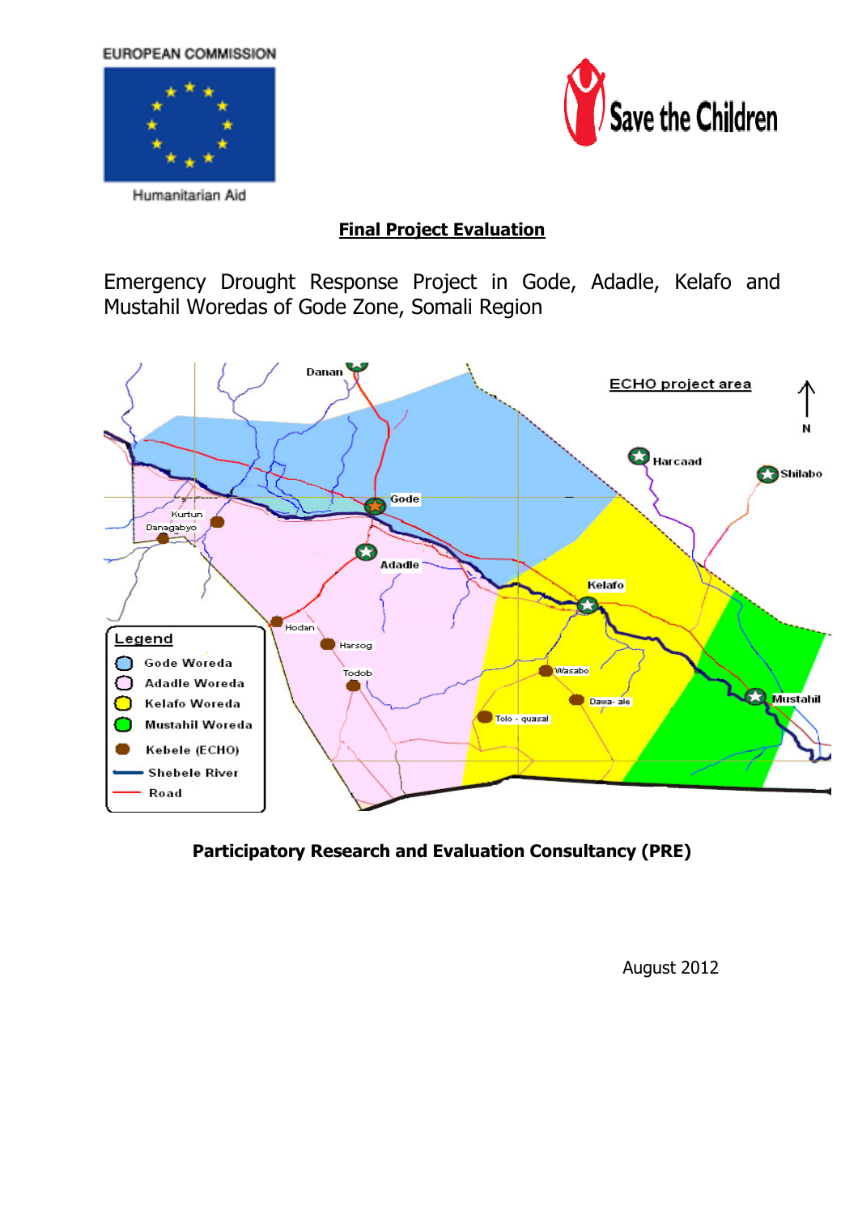**EUROPEAN COMMISSION** 





# Final Project Evaluation

Emergency Drought Response Project in Gode, Adadle, Kelafo and Mustahil Woredas of Gode Zone, Somali Region



# Participatory Research and Evaluation Consultancy (PRE)

August 2012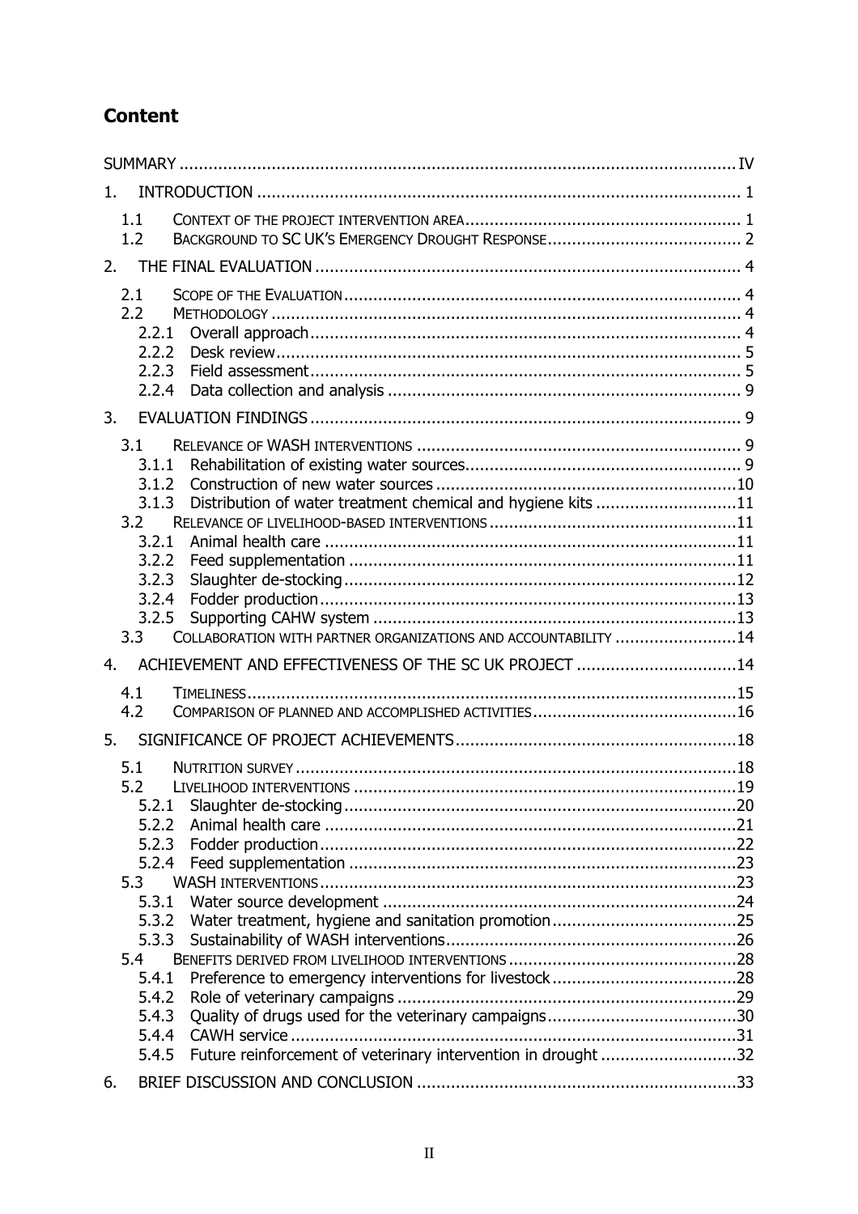# **Content**

| 1.                       |                                                                                                                                                                                                        |  |
|--------------------------|--------------------------------------------------------------------------------------------------------------------------------------------------------------------------------------------------------|--|
| 1.1<br>1.2               |                                                                                                                                                                                                        |  |
| 2.                       |                                                                                                                                                                                                        |  |
| 2.1<br>2.2               | 2.2.1<br>2.2.2<br>2.2.3<br>2.2.4                                                                                                                                                                       |  |
| 3.                       |                                                                                                                                                                                                        |  |
| 3.1<br>3.2<br>3.3        | 3.1.1<br>3.1.2<br>Distribution of water treatment chemical and hygiene kits 11<br>3.1.3<br>3.2.1<br>3.2.2<br>3.2.3<br>3.2.4<br>3.2.5<br>COLLABORATION WITH PARTNER ORGANIZATIONS AND ACCOUNTABILITY 14 |  |
| 4.                       | ACHIEVEMENT AND EFFECTIVENESS OF THE SC UK PROJECT 14                                                                                                                                                  |  |
| 4.1                      |                                                                                                                                                                                                        |  |
| 4.2                      |                                                                                                                                                                                                        |  |
| 5.                       |                                                                                                                                                                                                        |  |
| 5.1<br>5.2<br>5.3<br>5.4 | 5.2.1<br>5.2.2<br>5.2.3<br>5.2.4<br>5.3.1<br>5.3.2<br>5.3.3<br>5.4.1<br>5.4.2<br>5.4.3<br>5.4.4<br>Future reinforcement of veterinary intervention in drought 32<br>5.4.5                              |  |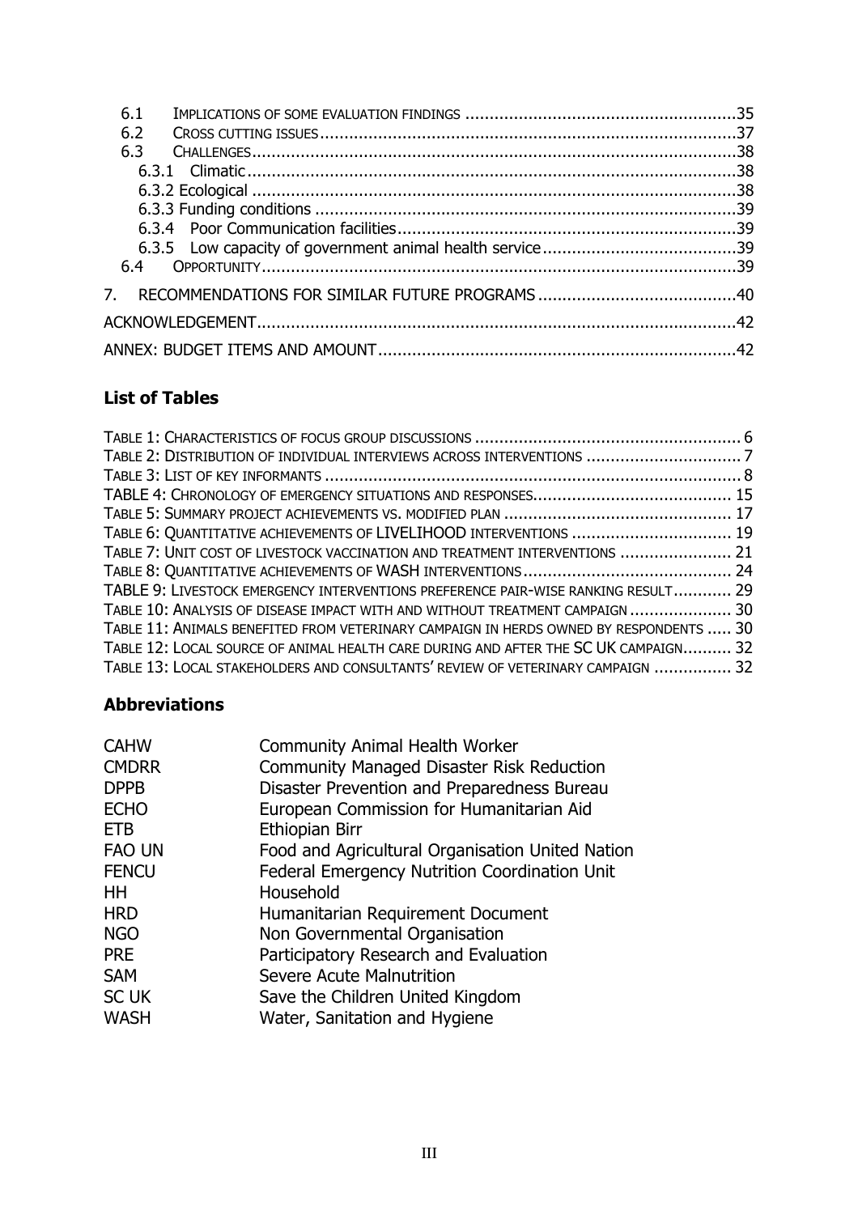| 6.1 |  |
|-----|--|
|     |  |
| 6.2 |  |
| 6.3 |  |
|     |  |
|     |  |
|     |  |
|     |  |
|     |  |
| 6.4 |  |
|     |  |
|     |  |
|     |  |
|     |  |
|     |  |

# List of Tables

| TABLE 6: QUANTITATIVE ACHIEVEMENTS OF LIVELIHOOD INTERVENTIONS  19                     |  |
|----------------------------------------------------------------------------------------|--|
| TABLE 7: UNIT COST OF LIVESTOCK VACCINATION AND TREATMENT INTERVENTIONS  21            |  |
|                                                                                        |  |
| TABLE 9: LIVESTOCK EMERGENCY INTERVENTIONS PREFERENCE PAIR-WISE RANKING RESULT 29      |  |
| TABLE 10: ANALYSIS OF DISEASE IMPACT WITH AND WITHOUT TREATMENT CAMPAIGN  30           |  |
| TABLE 11: ANIMALS BENEFITED FROM VETERINARY CAMPAIGN IN HERDS OWNED BY RESPONDENTS  30 |  |
| TABLE 12: LOCAL SOURCE OF ANIMAL HEALTH CARE DURING AND AFTER THE SC UK CAMPAIGN 32    |  |
| TABLE 13: LOCAL STAKEHOLDERS AND CONSULTANTS' REVIEW OF VETERINARY CAMPAIGN  32        |  |

# Abbreviations

| <b>CAHW</b>   | <b>Community Animal Health Worker</b>            |
|---------------|--------------------------------------------------|
| <b>CMDRR</b>  | Community Managed Disaster Risk Reduction        |
| <b>DPPB</b>   | Disaster Prevention and Preparedness Bureau      |
| <b>ECHO</b>   | European Commission for Humanitarian Aid         |
| <b>ETB</b>    | Ethiopian Birr                                   |
| <b>FAO UN</b> | Food and Agricultural Organisation United Nation |
| <b>FENCU</b>  | Federal Emergency Nutrition Coordination Unit    |
| HH            | Household                                        |
| <b>HRD</b>    | Humanitarian Requirement Document                |
| <b>NGO</b>    | Non Governmental Organisation                    |
| <b>PRE</b>    | Participatory Research and Evaluation            |
| <b>SAM</b>    | Severe Acute Malnutrition                        |
| <b>SC UK</b>  | Save the Children United Kingdom                 |
| <b>WASH</b>   | Water, Sanitation and Hygiene                    |
|               |                                                  |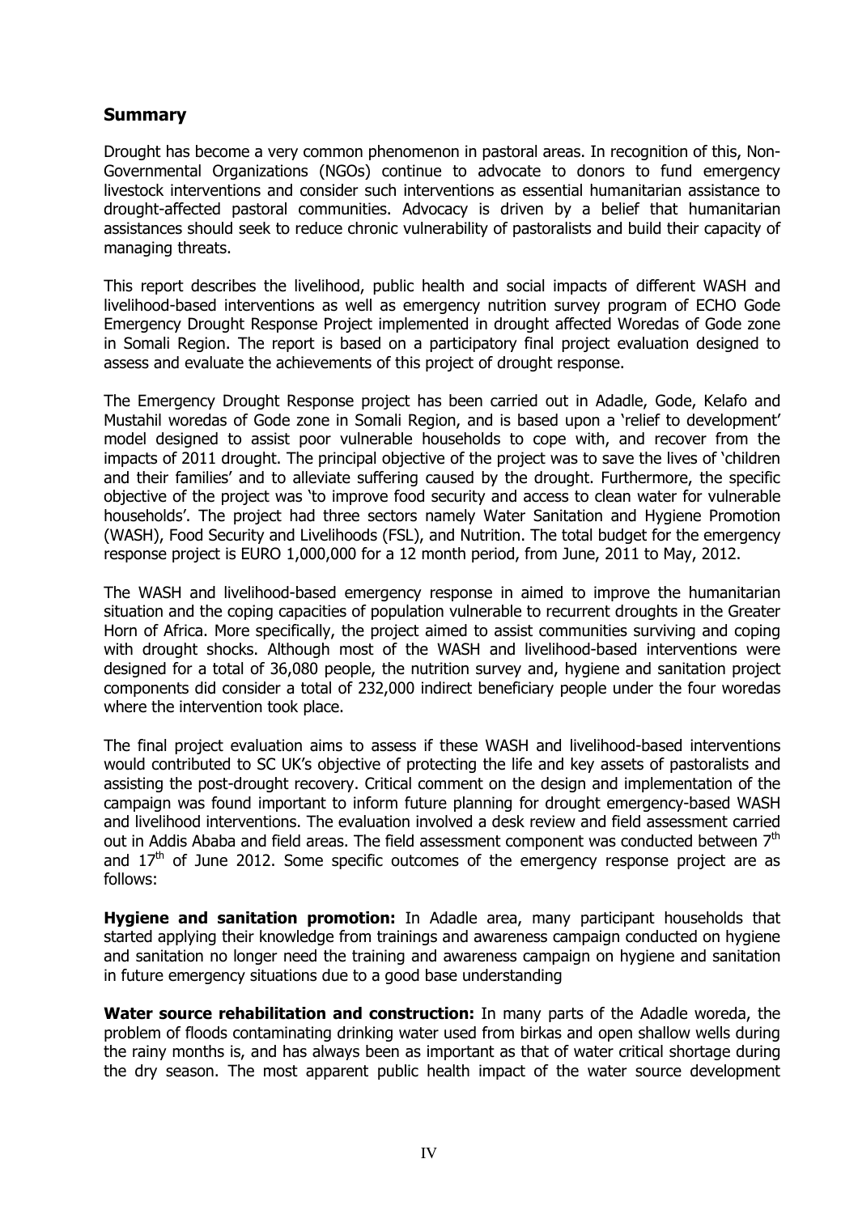## **Summary**

Drought has become a very common phenomenon in pastoral areas. In recognition of this, Non-Governmental Organizations (NGOs) continue to advocate to donors to fund emergency livestock interventions and consider such interventions as essential humanitarian assistance to drought-affected pastoral communities. Advocacy is driven by a belief that humanitarian assistances should seek to reduce chronic vulnerability of pastoralists and build their capacity of managing threats.

This report describes the livelihood, public health and social impacts of different WASH and livelihood-based interventions as well as emergency nutrition survey program of ECHO Gode Emergency Drought Response Project implemented in drought affected Woredas of Gode zone in Somali Region. The report is based on a participatory final project evaluation designed to assess and evaluate the achievements of this project of drought response.

The Emergency Drought Response project has been carried out in Adadle, Gode, Kelafo and Mustahil woredas of Gode zone in Somali Region, and is based upon a 'relief to development' model designed to assist poor vulnerable households to cope with, and recover from the impacts of 2011 drought. The principal objective of the project was to save the lives of 'children and their families' and to alleviate suffering caused by the drought. Furthermore, the specific objective of the project was 'to improve food security and access to clean water for vulnerable households'. The project had three sectors namely Water Sanitation and Hygiene Promotion (WASH), Food Security and Livelihoods (FSL), and Nutrition. The total budget for the emergency response project is EURO 1,000,000 for a 12 month period, from June, 2011 to May, 2012.

The WASH and livelihood-based emergency response in aimed to improve the humanitarian situation and the coping capacities of population vulnerable to recurrent droughts in the Greater Horn of Africa. More specifically, the project aimed to assist communities surviving and coping with drought shocks. Although most of the WASH and livelihood-based interventions were designed for a total of 36,080 people, the nutrition survey and, hygiene and sanitation project components did consider a total of 232,000 indirect beneficiary people under the four woredas where the intervention took place.

The final project evaluation aims to assess if these WASH and livelihood-based interventions would contributed to SC UK's objective of protecting the life and key assets of pastoralists and assisting the post-drought recovery. Critical comment on the design and implementation of the campaign was found important to inform future planning for drought emergency-based WASH and livelihood interventions. The evaluation involved a desk review and field assessment carried out in Addis Ababa and field areas. The field assessment component was conducted between  $7<sup>th</sup>$ and  $17<sup>th</sup>$  of June 2012. Some specific outcomes of the emergency response project are as follows:

**Hygiene and sanitation promotion:** In Adadle area, many participant households that started applying their knowledge from trainings and awareness campaign conducted on hygiene and sanitation no longer need the training and awareness campaign on hygiene and sanitation in future emergency situations due to a good base understanding

Water source rehabilitation and construction: In many parts of the Adadle woreda, the problem of floods contaminating drinking water used from birkas and open shallow wells during the rainy months is, and has always been as important as that of water critical shortage during the dry season. The most apparent public health impact of the water source development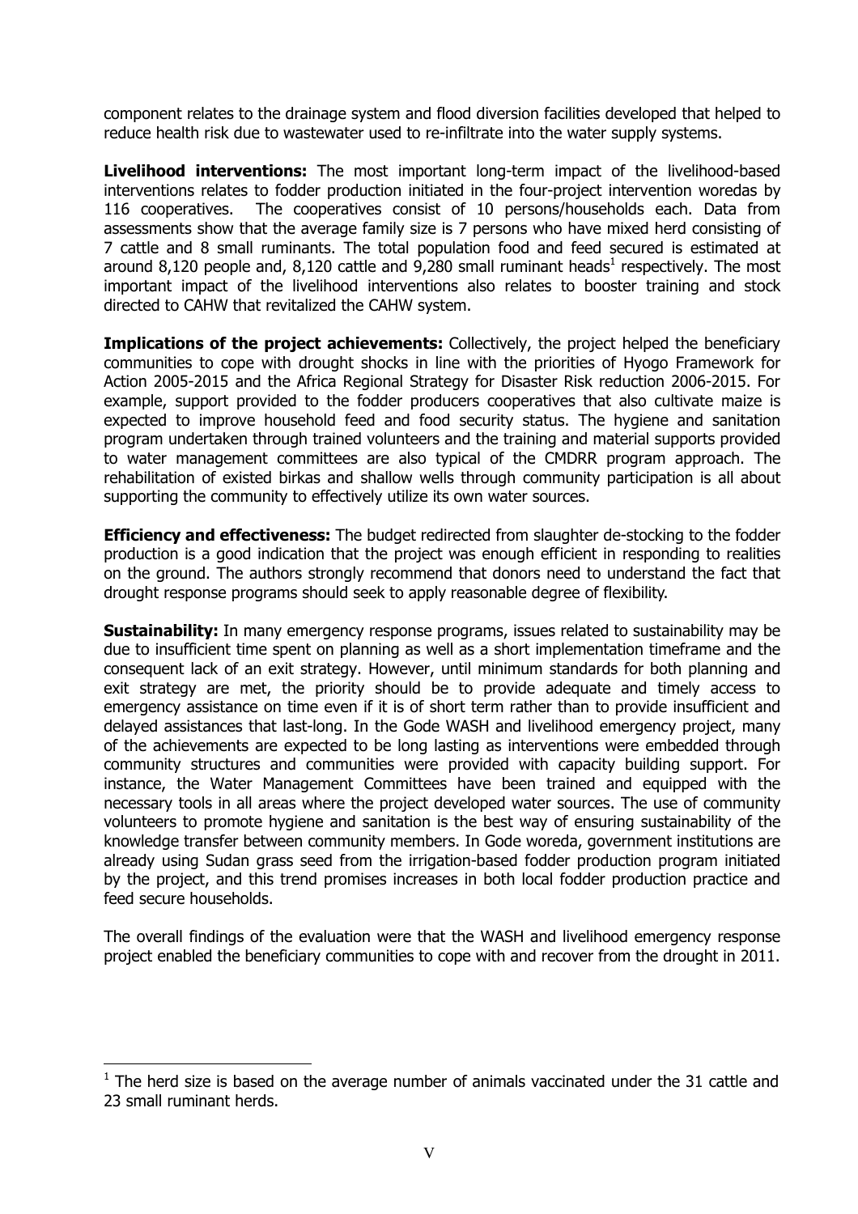component relates to the drainage system and flood diversion facilities developed that helped to reduce health risk due to wastewater used to re-infiltrate into the water supply systems.

Livelihood interventions: The most important long-term impact of the livelihood-based interventions relates to fodder production initiated in the four-project intervention woredas by 116 cooperatives. The cooperatives consist of 10 persons/households each. Data from assessments show that the average family size is 7 persons who have mixed herd consisting of 7 cattle and 8 small ruminants. The total population food and feed secured is estimated at around 8,120 people and, 8,120 cattle and 9,280 small ruminant heads<sup>1</sup> respectively. The most important impact of the livelihood interventions also relates to booster training and stock directed to CAHW that revitalized the CAHW system.

Implications of the project achievements: Collectively, the project helped the beneficiary communities to cope with drought shocks in line with the priorities of Hyogo Framework for Action 2005-2015 and the Africa Regional Strategy for Disaster Risk reduction 2006-2015. For example, support provided to the fodder producers cooperatives that also cultivate maize is expected to improve household feed and food security status. The hygiene and sanitation program undertaken through trained volunteers and the training and material supports provided to water management committees are also typical of the CMDRR program approach. The rehabilitation of existed birkas and shallow wells through community participation is all about supporting the community to effectively utilize its own water sources.

**Efficiency and effectiveness:** The budget redirected from slaughter de-stocking to the fodder production is a good indication that the project was enough efficient in responding to realities on the ground. The authors strongly recommend that donors need to understand the fact that drought response programs should seek to apply reasonable degree of flexibility.

**Sustainability:** In many emergency response programs, issues related to sustainability may be due to insufficient time spent on planning as well as a short implementation timeframe and the consequent lack of an exit strategy. However, until minimum standards for both planning and exit strategy are met, the priority should be to provide adequate and timely access to emergency assistance on time even if it is of short term rather than to provide insufficient and delayed assistances that last-long. In the Gode WASH and livelihood emergency project, many of the achievements are expected to be long lasting as interventions were embedded through community structures and communities were provided with capacity building support. For instance, the Water Management Committees have been trained and equipped with the necessary tools in all areas where the project developed water sources. The use of community volunteers to promote hygiene and sanitation is the best way of ensuring sustainability of the knowledge transfer between community members. In Gode woreda, government institutions are already using Sudan grass seed from the irrigation-based fodder production program initiated by the project, and this trend promises increases in both local fodder production practice and feed secure households.

The overall findings of the evaluation were that the WASH and livelihood emergency response project enabled the beneficiary communities to cope with and recover from the drought in 2011.

l

 $1$  The herd size is based on the average number of animals vaccinated under the 31 cattle and 23 small ruminant herds.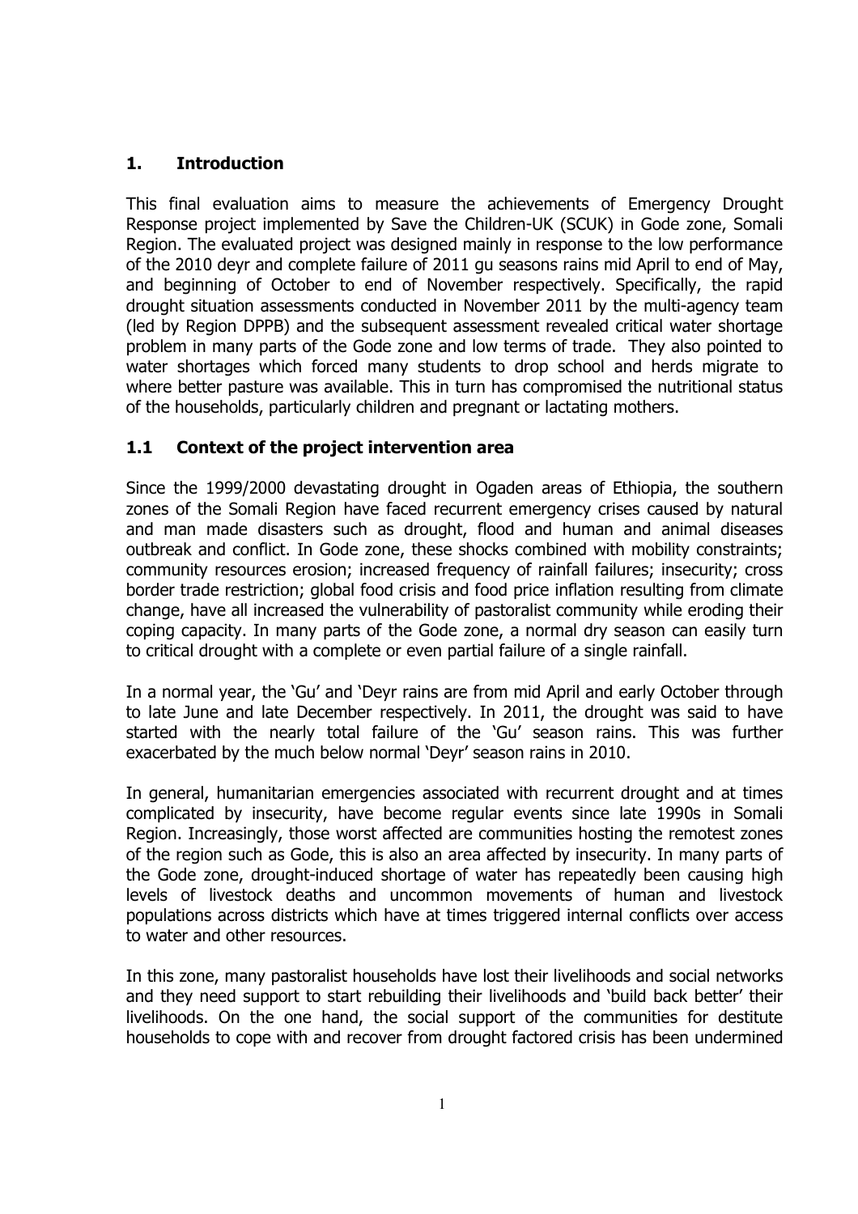## 1. Introduction

This final evaluation aims to measure the achievements of Emergency Drought Response project implemented by Save the Children-UK (SCUK) in Gode zone, Somali Region. The evaluated project was designed mainly in response to the low performance of the 2010 deyr and complete failure of 2011 gu seasons rains mid April to end of May, and beginning of October to end of November respectively. Specifically, the rapid drought situation assessments conducted in November 2011 by the multi-agency team (led by Region DPPB) and the subsequent assessment revealed critical water shortage problem in many parts of the Gode zone and low terms of trade. They also pointed to water shortages which forced many students to drop school and herds migrate to where better pasture was available. This in turn has compromised the nutritional status of the households, particularly children and pregnant or lactating mothers.

### 1.1 Context of the project intervention area

Since the 1999/2000 devastating drought in Ogaden areas of Ethiopia, the southern zones of the Somali Region have faced recurrent emergency crises caused by natural and man made disasters such as drought, flood and human and animal diseases outbreak and conflict. In Gode zone, these shocks combined with mobility constraints; community resources erosion; increased frequency of rainfall failures; insecurity; cross border trade restriction; global food crisis and food price inflation resulting from climate change, have all increased the vulnerability of pastoralist community while eroding their coping capacity. In many parts of the Gode zone, a normal dry season can easily turn to critical drought with a complete or even partial failure of a single rainfall.

In a normal year, the 'Gu' and 'Deyr rains are from mid April and early October through to late June and late December respectively. In 2011, the drought was said to have started with the nearly total failure of the 'Gu' season rains. This was further exacerbated by the much below normal 'Deyr' season rains in 2010.

In general, humanitarian emergencies associated with recurrent drought and at times complicated by insecurity, have become regular events since late 1990s in Somali Region. Increasingly, those worst affected are communities hosting the remotest zones of the region such as Gode, this is also an area affected by insecurity. In many parts of the Gode zone, drought-induced shortage of water has repeatedly been causing high levels of livestock deaths and uncommon movements of human and livestock populations across districts which have at times triggered internal conflicts over access to water and other resources.

In this zone, many pastoralist households have lost their livelihoods and social networks and they need support to start rebuilding their livelihoods and 'build back better' their livelihoods. On the one hand, the social support of the communities for destitute households to cope with and recover from drought factored crisis has been undermined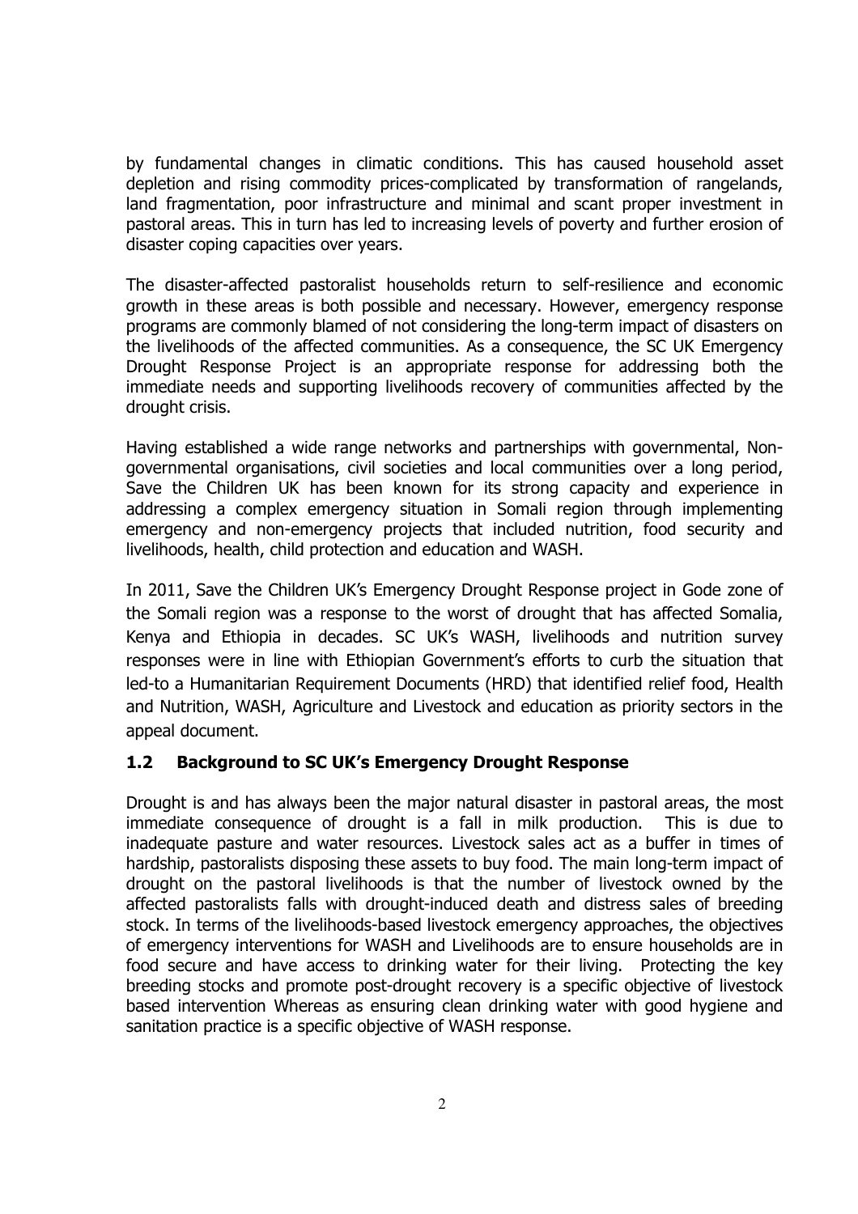by fundamental changes in climatic conditions. This has caused household asset depletion and rising commodity prices-complicated by transformation of rangelands, land fragmentation, poor infrastructure and minimal and scant proper investment in pastoral areas. This in turn has led to increasing levels of poverty and further erosion of disaster coping capacities over years.

The disaster-affected pastoralist households return to self-resilience and economic growth in these areas is both possible and necessary. However, emergency response programs are commonly blamed of not considering the long-term impact of disasters on the livelihoods of the affected communities. As a consequence, the SC UK Emergency Drought Response Project is an appropriate response for addressing both the immediate needs and supporting livelihoods recovery of communities affected by the drought crisis.

Having established a wide range networks and partnerships with governmental, Nongovernmental organisations, civil societies and local communities over a long period, Save the Children UK has been known for its strong capacity and experience in addressing a complex emergency situation in Somali region through implementing emergency and non-emergency projects that included nutrition, food security and livelihoods, health, child protection and education and WASH.

In 2011, Save the Children UK's Emergency Drought Response project in Gode zone of the Somali region was a response to the worst of drought that has affected Somalia, Kenya and Ethiopia in decades. SC UK's WASH, livelihoods and nutrition survey responses were in line with Ethiopian Government's efforts to curb the situation that led-to a Humanitarian Requirement Documents (HRD) that identified relief food, Health and Nutrition, WASH, Agriculture and Livestock and education as priority sectors in the appeal document.

## 1.2 Background to SC UK's Emergency Drought Response

Drought is and has always been the major natural disaster in pastoral areas, the most immediate consequence of drought is a fall in milk production. This is due to inadequate pasture and water resources. Livestock sales act as a buffer in times of hardship, pastoralists disposing these assets to buy food. The main long-term impact of drought on the pastoral livelihoods is that the number of livestock owned by the affected pastoralists falls with drought-induced death and distress sales of breeding stock. In terms of the livelihoods-based livestock emergency approaches, the objectives of emergency interventions for WASH and Livelihoods are to ensure households are in food secure and have access to drinking water for their living. Protecting the key breeding stocks and promote post-drought recovery is a specific objective of livestock based intervention Whereas as ensuring clean drinking water with good hygiene and sanitation practice is a specific objective of WASH response.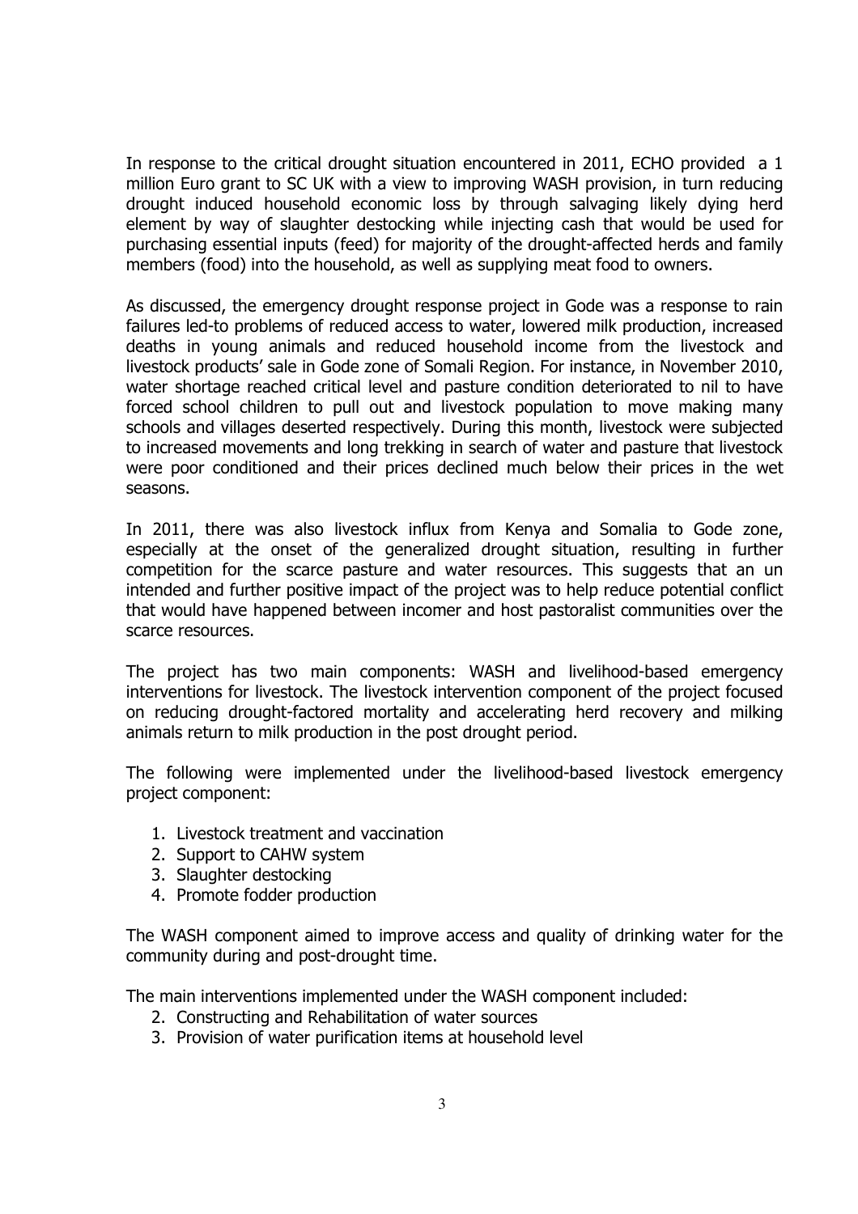In response to the critical drought situation encountered in 2011, ECHO provided a 1 million Euro grant to SC UK with a view to improving WASH provision, in turn reducing drought induced household economic loss by through salvaging likely dying herd element by way of slaughter destocking while injecting cash that would be used for purchasing essential inputs (feed) for majority of the drought-affected herds and family members (food) into the household, as well as supplying meat food to owners.

As discussed, the emergency drought response project in Gode was a response to rain failures led-to problems of reduced access to water, lowered milk production, increased deaths in young animals and reduced household income from the livestock and livestock products' sale in Gode zone of Somali Region. For instance, in November 2010, water shortage reached critical level and pasture condition deteriorated to nil to have forced school children to pull out and livestock population to move making many schools and villages deserted respectively. During this month, livestock were subjected to increased movements and long trekking in search of water and pasture that livestock were poor conditioned and their prices declined much below their prices in the wet seasons.

In 2011, there was also livestock influx from Kenya and Somalia to Gode zone, especially at the onset of the generalized drought situation, resulting in further competition for the scarce pasture and water resources. This suggests that an un intended and further positive impact of the project was to help reduce potential conflict that would have happened between incomer and host pastoralist communities over the scarce resources.

The project has two main components: WASH and livelihood-based emergency interventions for livestock. The livestock intervention component of the project focused on reducing drought-factored mortality and accelerating herd recovery and milking animals return to milk production in the post drought period.

The following were implemented under the livelihood-based livestock emergency project component:

- 1. Livestock treatment and vaccination
- 2. Support to CAHW system
- 3. Slaughter destocking
- 4. Promote fodder production

The WASH component aimed to improve access and quality of drinking water for the community during and post-drought time.

The main interventions implemented under the WASH component included:

- 2. Constructing and Rehabilitation of water sources
- 3. Provision of water purification items at household level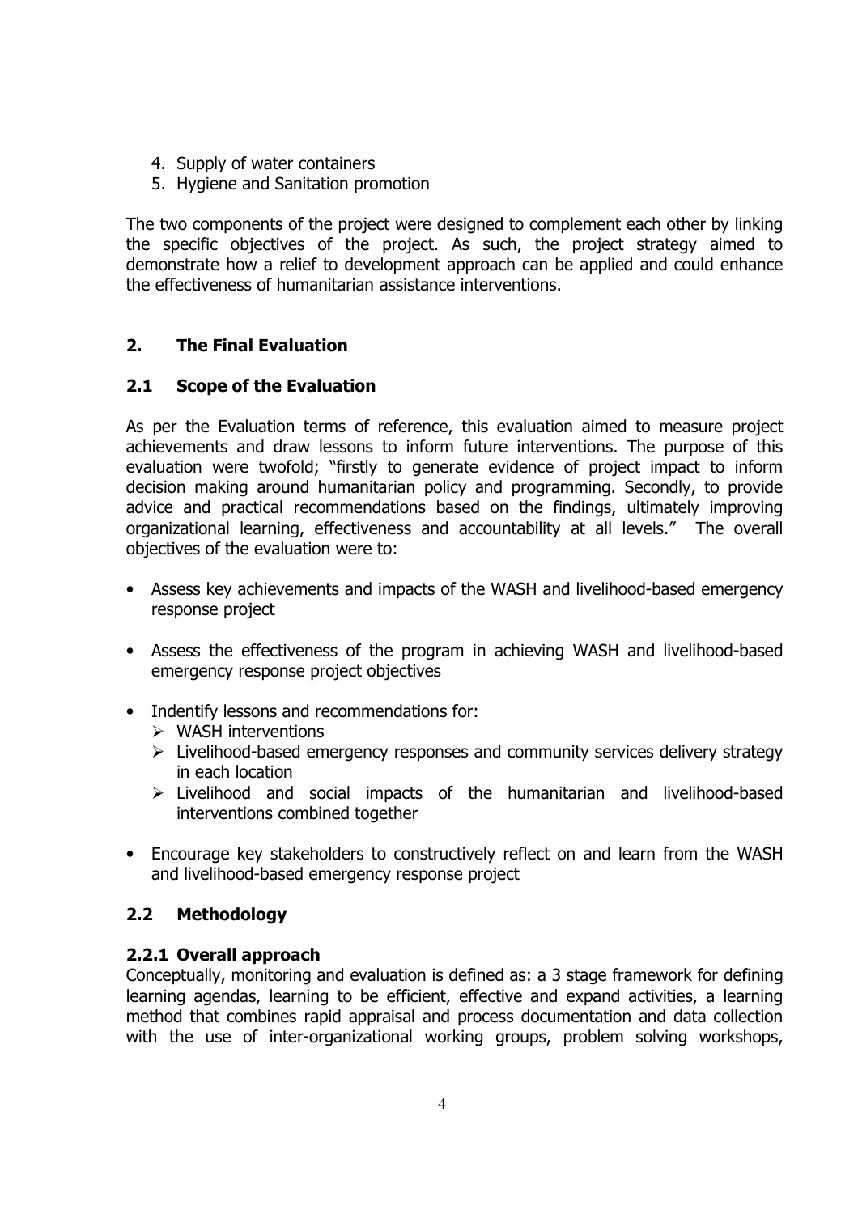- 4. Supply of water containers
- 5. Hygiene and Sanitation promotion

The two components of the project were designed to complement each other by linking the specific objectives of the project. As such, the project strategy aimed to demonstrate how a relief to development approach can be applied and could enhance the effectiveness of humanitarian assistance interventions.

## 2. The Final Evaluation

### 2.1 Scope of the Evaluation

As per the Evaluation terms of reference, this evaluation aimed to measure project achievements and draw lessons to inform future interventions. The purpose of this evaluation were twofold; "firstly to generate evidence of project impact to inform decision making around humanitarian policy and programming. Secondly, to provide advice and practical recommendations based on the findings, ultimately improving organizational learning, effectiveness and accountability at all levels." The overall objectives of the evaluation were to:

- Assess key achievements and impacts of the WASH and livelihood-based emergency response project
- Assess the effectiveness of the program in achieving WASH and livelihood-based emergency response project objectives
- Indentify lessons and recommendations for:
	- $\triangleright$  WASH interventions
	- $\triangleright$  Livelihood-based emergency responses and community services delivery strategy in each location
	- Livelihood and social impacts of the humanitarian and livelihood-based interventions combined together
- Encourage key stakeholders to constructively reflect on and learn from the WASH and livelihood-based emergency response project

## 2.2 Methodology

### 2.2.1 Overall approach

Conceptually, monitoring and evaluation is defined as: a 3 stage framework for defining learning agendas, learning to be efficient, effective and expand activities, a learning method that combines rapid appraisal and process documentation and data collection with the use of inter-organizational working groups, problem solving workshops,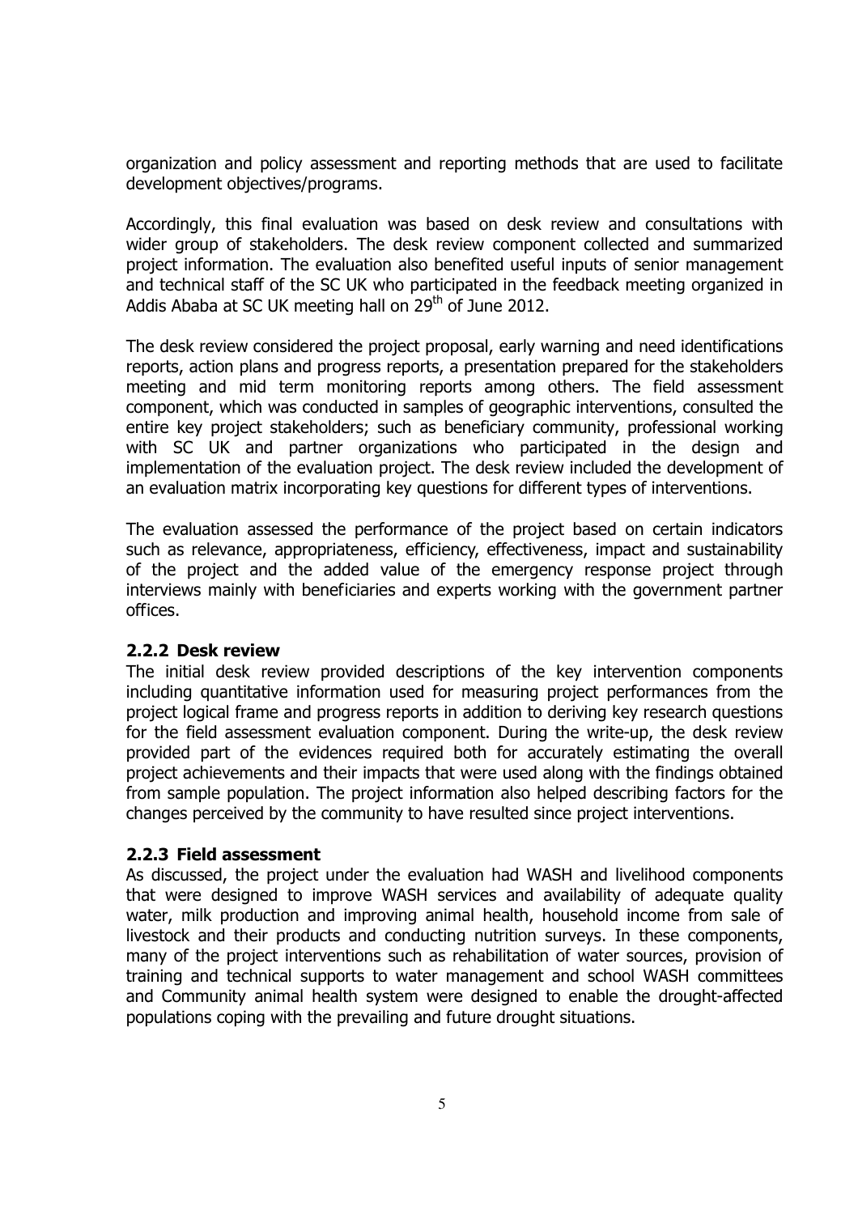organization and policy assessment and reporting methods that are used to facilitate development objectives/programs.

Accordingly, this final evaluation was based on desk review and consultations with wider group of stakeholders. The desk review component collected and summarized project information. The evaluation also benefited useful inputs of senior management and technical staff of the SC UK who participated in the feedback meeting organized in Addis Ababa at SC UK meeting hall on  $29<sup>th</sup>$  of June 2012.

The desk review considered the project proposal, early warning and need identifications reports, action plans and progress reports, a presentation prepared for the stakeholders meeting and mid term monitoring reports among others. The field assessment component, which was conducted in samples of geographic interventions, consulted the entire key project stakeholders; such as beneficiary community, professional working with SC UK and partner organizations who participated in the design and implementation of the evaluation project. The desk review included the development of an evaluation matrix incorporating key questions for different types of interventions.

The evaluation assessed the performance of the project based on certain indicators such as relevance, appropriateness, efficiency, effectiveness, impact and sustainability of the project and the added value of the emergency response project through interviews mainly with beneficiaries and experts working with the government partner offices.

### 2.2.2 Desk review

The initial desk review provided descriptions of the key intervention components including quantitative information used for measuring project performances from the project logical frame and progress reports in addition to deriving key research questions for the field assessment evaluation component. During the write-up, the desk review provided part of the evidences required both for accurately estimating the overall project achievements and their impacts that were used along with the findings obtained from sample population. The project information also helped describing factors for the changes perceived by the community to have resulted since project interventions.

#### 2.2.3 Field assessment

As discussed, the project under the evaluation had WASH and livelihood components that were designed to improve WASH services and availability of adequate quality water, milk production and improving animal health, household income from sale of livestock and their products and conducting nutrition surveys. In these components, many of the project interventions such as rehabilitation of water sources, provision of training and technical supports to water management and school WASH committees and Community animal health system were designed to enable the drought-affected populations coping with the prevailing and future drought situations.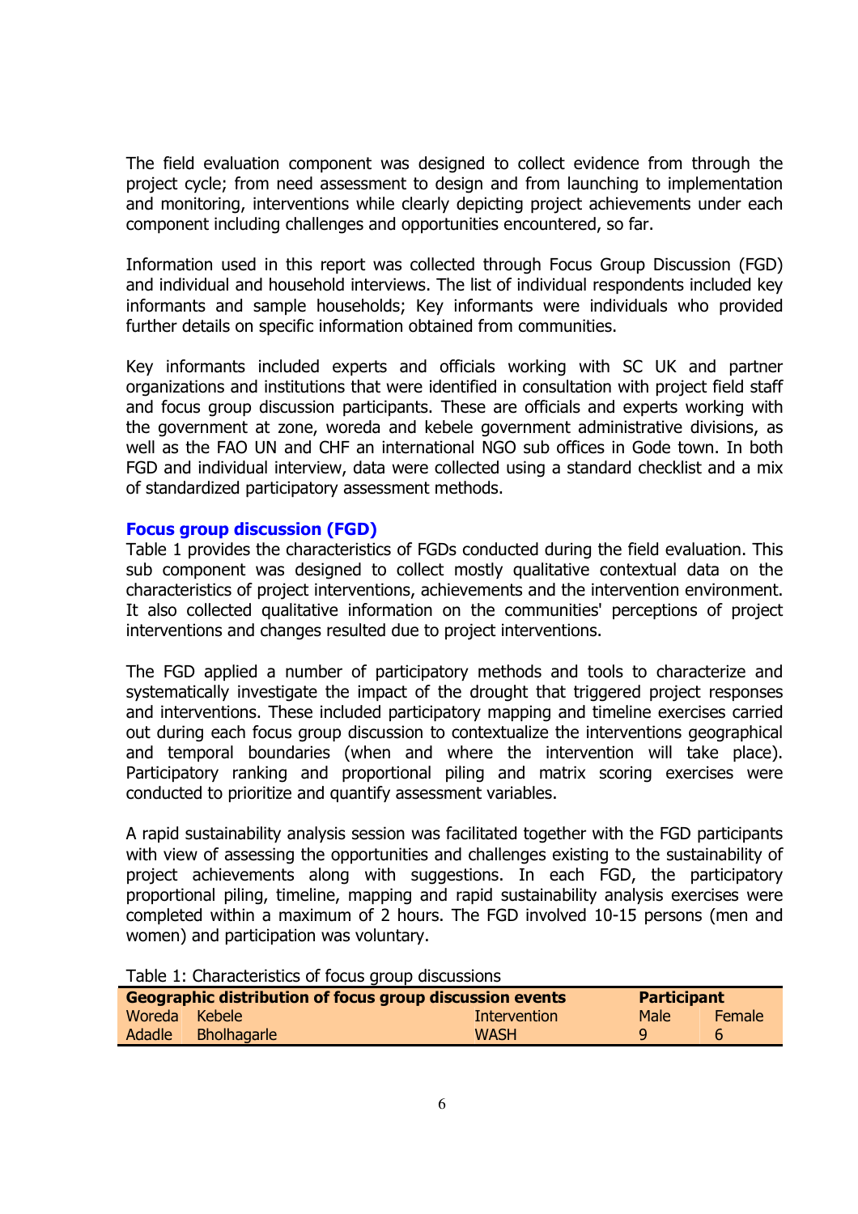The field evaluation component was designed to collect evidence from through the project cycle; from need assessment to design and from launching to implementation and monitoring, interventions while clearly depicting project achievements under each component including challenges and opportunities encountered, so far.

Information used in this report was collected through Focus Group Discussion (FGD) and individual and household interviews. The list of individual respondents included key informants and sample households; Key informants were individuals who provided further details on specific information obtained from communities.

Key informants included experts and officials working with SC UK and partner organizations and institutions that were identified in consultation with project field staff and focus group discussion participants. These are officials and experts working with the government at zone, woreda and kebele government administrative divisions, as well as the FAO UN and CHF an international NGO sub offices in Gode town. In both FGD and individual interview, data were collected using a standard checklist and a mix of standardized participatory assessment methods.

#### Focus group discussion (FGD)

Table 1 provides the characteristics of FGDs conducted during the field evaluation. This sub component was designed to collect mostly qualitative contextual data on the characteristics of project interventions, achievements and the intervention environment. It also collected qualitative information on the communities' perceptions of project interventions and changes resulted due to project interventions.

The FGD applied a number of participatory methods and tools to characterize and systematically investigate the impact of the drought that triggered project responses and interventions. These included participatory mapping and timeline exercises carried out during each focus group discussion to contextualize the interventions geographical and temporal boundaries (when and where the intervention will take place). Participatory ranking and proportional piling and matrix scoring exercises were conducted to prioritize and quantify assessment variables.

A rapid sustainability analysis session was facilitated together with the FGD participants with view of assessing the opportunities and challenges existing to the sustainability of project achievements along with suggestions. In each FGD, the participatory proportional piling, timeline, mapping and rapid sustainability analysis exercises were completed within a maximum of 2 hours. The FGD involved 10-15 persons (men and women) and participation was voluntary.

| <b>Geographic distribution of focus group discussion events</b><br><b>Participant</b> |                    |              |             |               |
|---------------------------------------------------------------------------------------|--------------------|--------------|-------------|---------------|
| Woreda Kebele                                                                         |                    | Intervention | <b>Male</b> | <b>Female</b> |
| Adadle                                                                                | <b>Bholhagarle</b> | <b>WASH</b>  |             | 6             |

Table 1: Characteristics of focus group discussions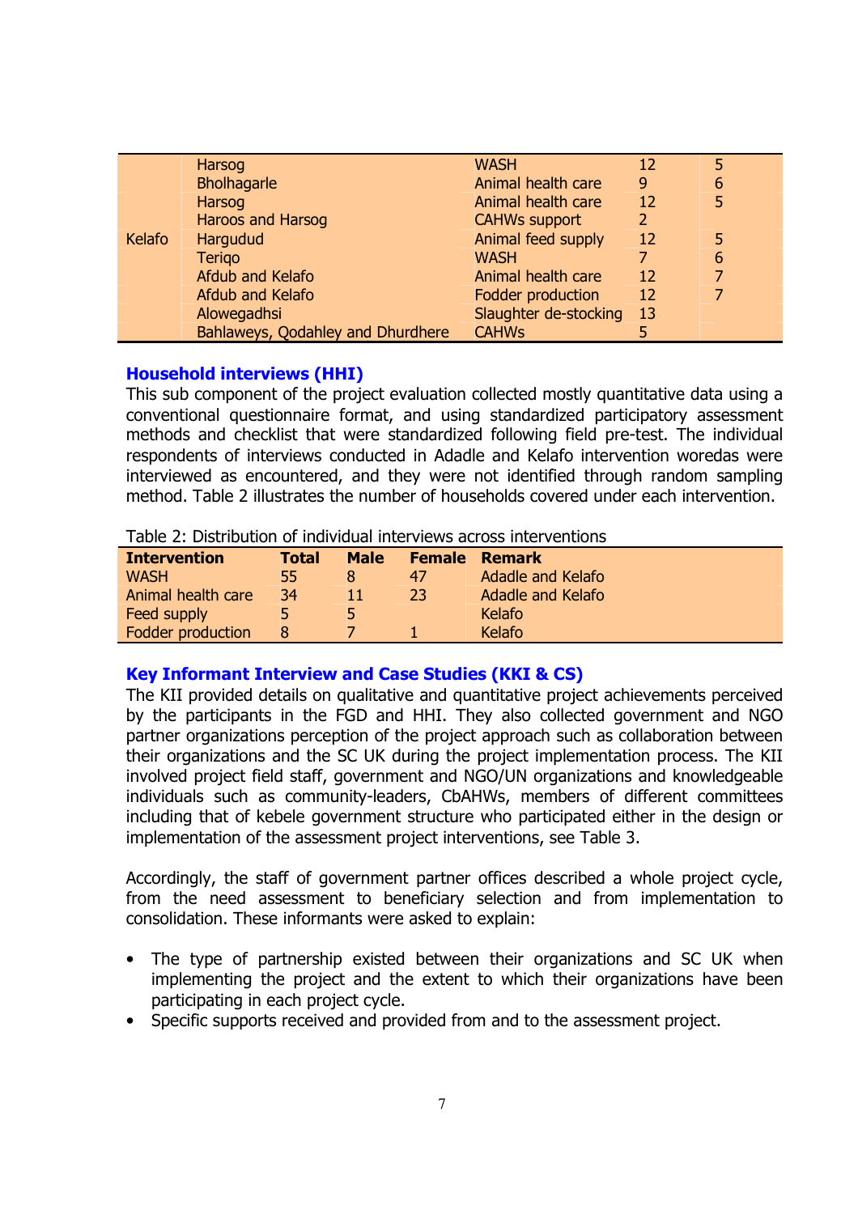|        | Harsog                            | <b>WASH</b>           | 12 | 5 |
|--------|-----------------------------------|-----------------------|----|---|
|        | <b>Bholhagarle</b>                | Animal health care    | 9  | 6 |
|        | Harsog                            | Animal health care    | 12 | 5 |
|        | Haroos and Harsog                 | <b>CAHWs support</b>  | 2  |   |
| Kelafo | Hargudud                          | Animal feed supply    | 12 | 5 |
|        | <b>Terigo</b>                     | <b>WASH</b>           |    | 6 |
|        | Afdub and Kelafo                  | Animal health care    | 12 |   |
|        | Afdub and Kelafo                  | Fodder production     | 12 |   |
|        | Alowegadhsi                       | Slaughter de-stocking | 13 |   |
|        | Bahlaweys, Qodahley and Dhurdhere | <b>CAHWs</b>          |    |   |

### Household interviews (HHI)

This sub component of the project evaluation collected mostly quantitative data using a conventional questionnaire format, and using standardized participatory assessment methods and checklist that were standardized following field pre-test. The individual respondents of interviews conducted in Adadle and Kelafo intervention woredas were interviewed as encountered, and they were not identified through random sampling method. Table 2 illustrates the number of households covered under each intervention.

#### Table 2: Distribution of individual interviews across interventions

| <b>Intervention</b>      | <b>Total</b> | <b>Male</b> | <b>Female</b> | Remark            |
|--------------------------|--------------|-------------|---------------|-------------------|
| <b>WASH</b>              | 55           | 8           | 47            | Adadle and Kelafo |
| Animal health care       | 34           | 11          | 23            | Adadle and Kelafo |
| Feed supply              | 5            | 5.          |               | Kelafo            |
| <b>Fodder production</b> | 8            |             |               | Kelafo            |

### Key Informant Interview and Case Studies (KKI & CS)

The KII provided details on qualitative and quantitative project achievements perceived by the participants in the FGD and HHI. They also collected government and NGO partner organizations perception of the project approach such as collaboration between their organizations and the SC UK during the project implementation process. The KII involved project field staff, government and NGO/UN organizations and knowledgeable individuals such as community-leaders, CbAHWs, members of different committees including that of kebele government structure who participated either in the design or implementation of the assessment project interventions, see Table 3.

Accordingly, the staff of government partner offices described a whole project cycle, from the need assessment to beneficiary selection and from implementation to consolidation. These informants were asked to explain:

- The type of partnership existed between their organizations and SC UK when implementing the project and the extent to which their organizations have been participating in each project cycle.
- Specific supports received and provided from and to the assessment project.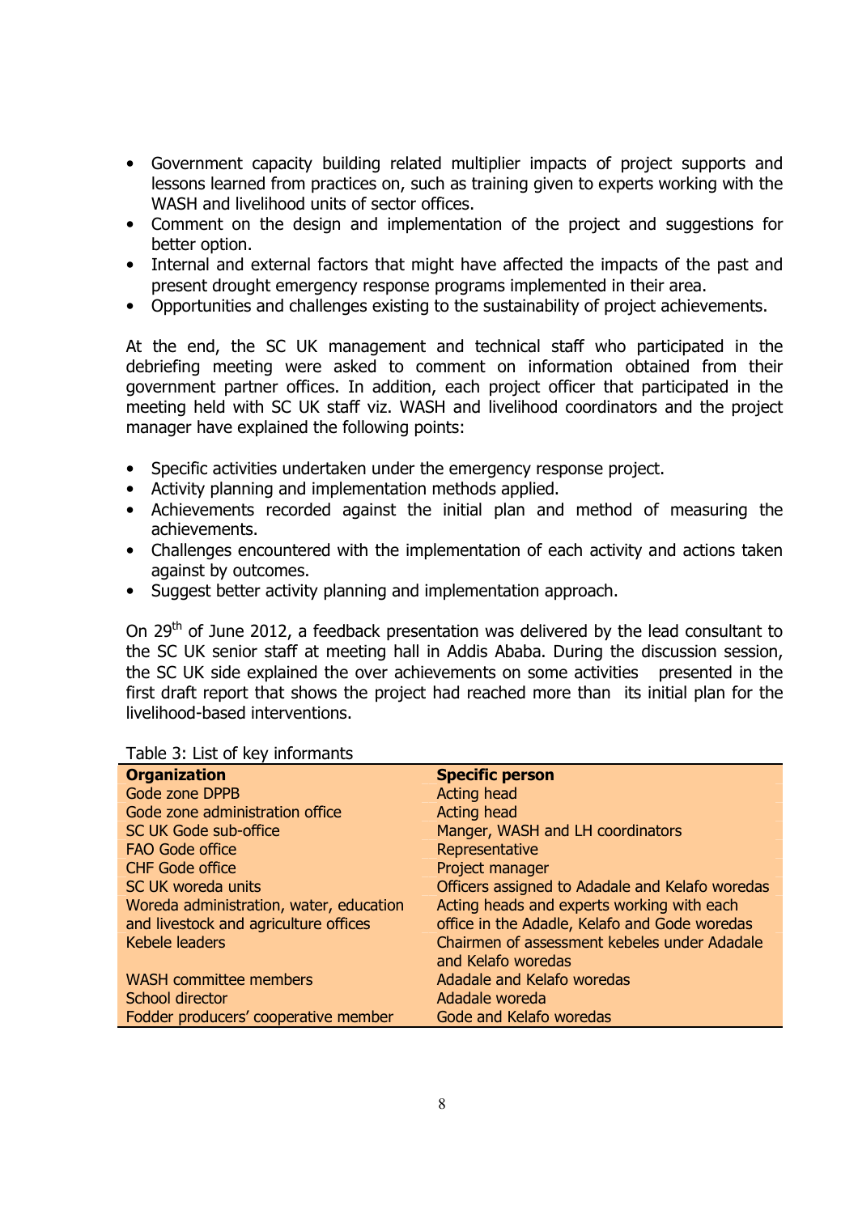- Government capacity building related multiplier impacts of project supports and lessons learned from practices on, such as training given to experts working with the WASH and livelihood units of sector offices.
- Comment on the design and implementation of the project and suggestions for better option.
- Internal and external factors that might have affected the impacts of the past and present drought emergency response programs implemented in their area.
- Opportunities and challenges existing to the sustainability of project achievements.

At the end, the SC UK management and technical staff who participated in the debriefing meeting were asked to comment on information obtained from their government partner offices. In addition, each project officer that participated in the meeting held with SC UK staff viz. WASH and livelihood coordinators and the project manager have explained the following points:

- Specific activities undertaken under the emergency response project.
- Activity planning and implementation methods applied.
- Achievements recorded against the initial plan and method of measuring the achievements.
- Challenges encountered with the implementation of each activity and actions taken against by outcomes.
- Suggest better activity planning and implementation approach.

On 29<sup>th</sup> of June 2012, a feedback presentation was delivered by the lead consultant to the SC UK senior staff at meeting hall in Addis Ababa. During the discussion session, the SC UK side explained the over achievements on some activities presented in the first draft report that shows the project had reached more than its initial plan for the livelihood-based interventions.

| <b>TUDIC 3. LIST OF RCY INTO HIGHLS</b> |                                                 |
|-----------------------------------------|-------------------------------------------------|
| <b>Organization</b>                     | <b>Specific person</b>                          |
| Gode zone DPPB                          | Acting head                                     |
| Gode zone administration office         | Acting head                                     |
| SC UK Gode sub-office                   | Manger, WASH and LH coordinators                |
| <b>FAO Gode office</b>                  | Representative                                  |
| <b>CHF Gode office</b>                  | Project manager                                 |
| SC UK woreda units                      | Officers assigned to Adadale and Kelafo woredas |
| Woreda administration, water, education | Acting heads and experts working with each      |
| and livestock and agriculture offices   | office in the Adadle, Kelafo and Gode woredas   |
| Kebele leaders                          | Chairmen of assessment kebeles under Adadale    |
|                                         | and Kelafo woredas                              |
| <b>WASH committee members</b>           | Adadale and Kelafo woredas                      |
| School director                         | Adadale woreda                                  |
| Fodder producers' cooperative member    | Gode and Kelafo woredas                         |

Table 3: List of key informants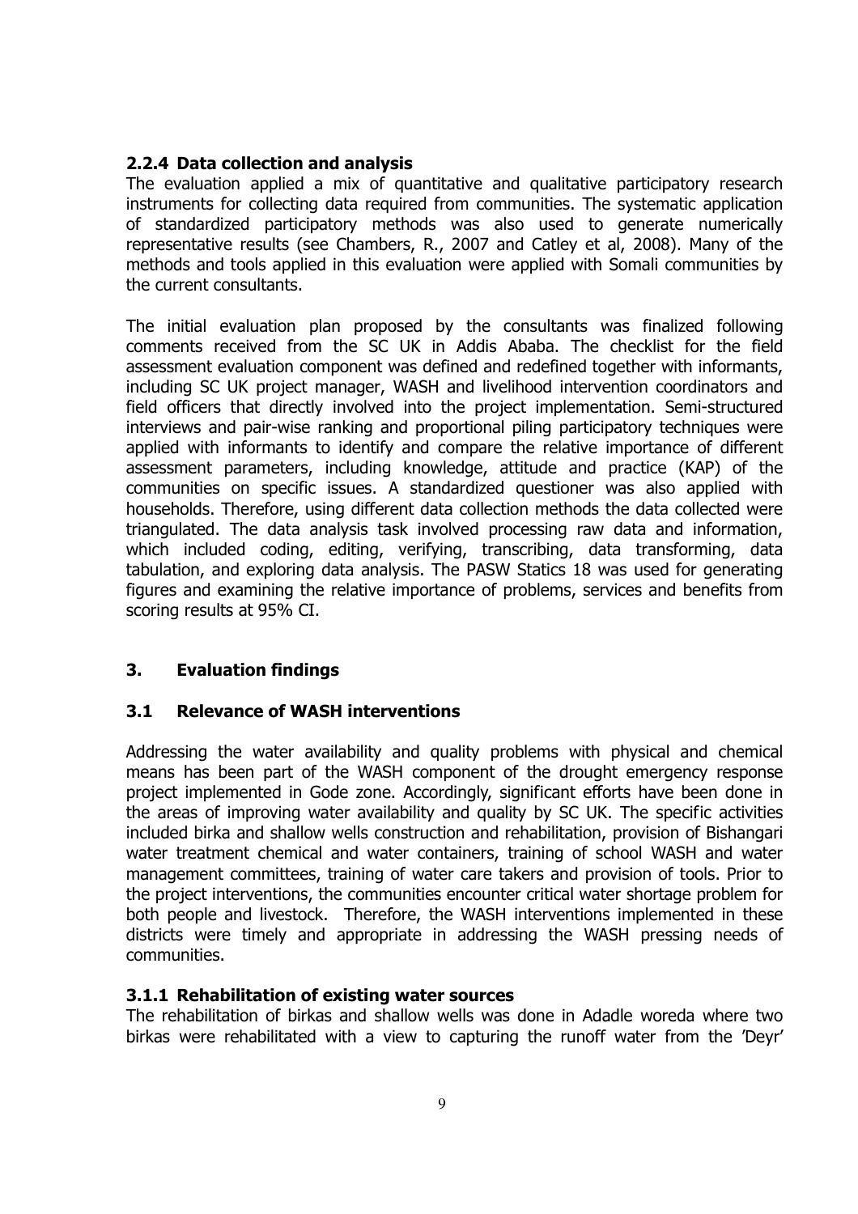### 2.2.4 Data collection and analysis

The evaluation applied a mix of quantitative and qualitative participatory research instruments for collecting data required from communities. The systematic application of standardized participatory methods was also used to generate numerically representative results (see Chambers, R., 2007 and Catley et al, 2008). Many of the methods and tools applied in this evaluation were applied with Somali communities by the current consultants.

The initial evaluation plan proposed by the consultants was finalized following comments received from the SC UK in Addis Ababa. The checklist for the field assessment evaluation component was defined and redefined together with informants, including SC UK project manager, WASH and livelihood intervention coordinators and field officers that directly involved into the project implementation. Semi-structured interviews and pair-wise ranking and proportional piling participatory techniques were applied with informants to identify and compare the relative importance of different assessment parameters, including knowledge, attitude and practice (KAP) of the communities on specific issues. A standardized questioner was also applied with households. Therefore, using different data collection methods the data collected were triangulated. The data analysis task involved processing raw data and information, which included coding, editing, verifying, transcribing, data transforming, data tabulation, and exploring data analysis. The PASW Statics 18 was used for generating figures and examining the relative importance of problems, services and benefits from scoring results at 95% CI.

## 3. Evaluation findings

## 3.1 Relevance of WASH interventions

Addressing the water availability and quality problems with physical and chemical means has been part of the WASH component of the drought emergency response project implemented in Gode zone. Accordingly, significant efforts have been done in the areas of improving water availability and quality by SC UK. The specific activities included birka and shallow wells construction and rehabilitation, provision of Bishangari water treatment chemical and water containers, training of school WASH and water management committees, training of water care takers and provision of tools. Prior to the project interventions, the communities encounter critical water shortage problem for both people and livestock. Therefore, the WASH interventions implemented in these districts were timely and appropriate in addressing the WASH pressing needs of communities.

### 3.1.1 Rehabilitation of existing water sources

The rehabilitation of birkas and shallow wells was done in Adadle woreda where two birkas were rehabilitated with a view to capturing the runoff water from the 'Deyr'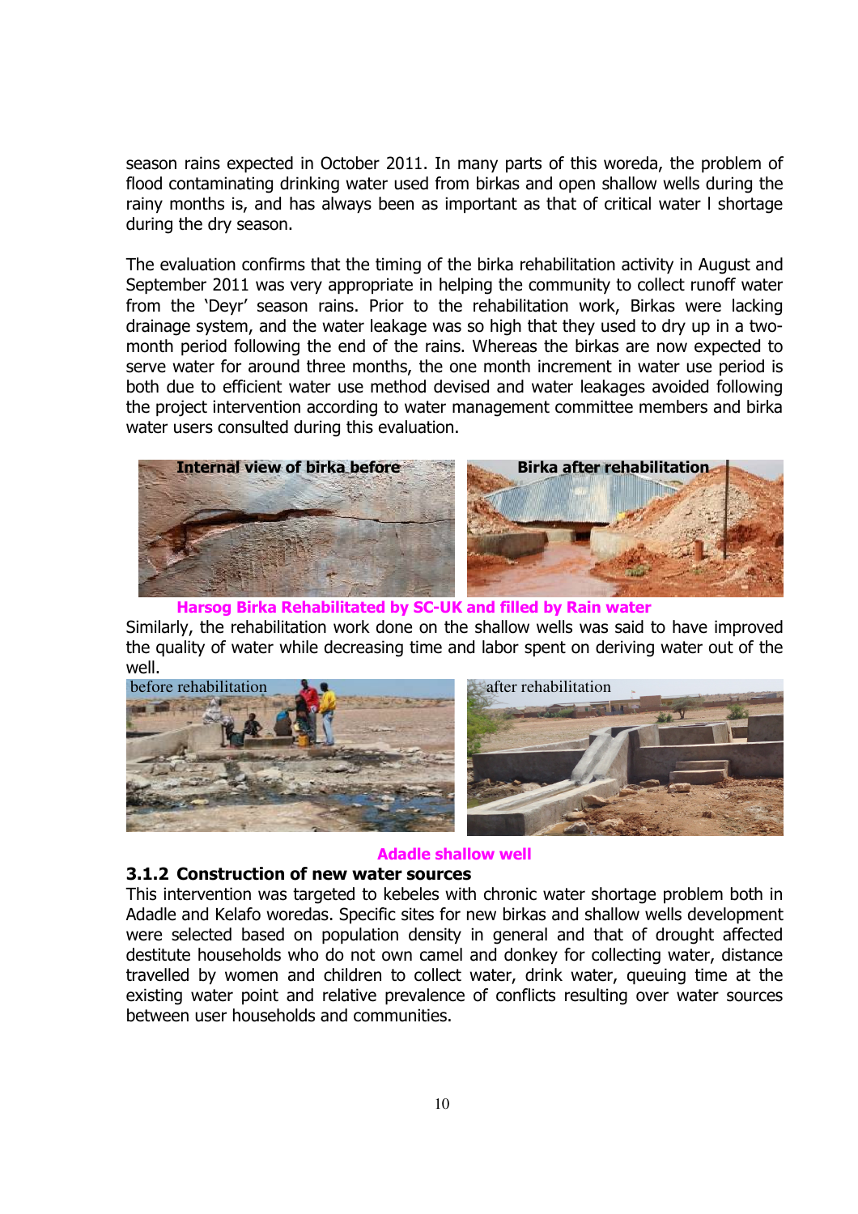season rains expected in October 2011. In many parts of this woreda, the problem of flood contaminating drinking water used from birkas and open shallow wells during the rainy months is, and has always been as important as that of critical water l shortage during the dry season.

The evaluation confirms that the timing of the birka rehabilitation activity in August and September 2011 was very appropriate in helping the community to collect runoff water from the 'Deyr' season rains. Prior to the rehabilitation work, Birkas were lacking drainage system, and the water leakage was so high that they used to dry up in a twomonth period following the end of the rains. Whereas the birkas are now expected to serve water for around three months, the one month increment in water use period is both due to efficient water use method devised and water leakages avoided following the project intervention according to water management committee members and birka water users consulted during this evaluation.



#### Harsog Birka Rehabilitated by SC-UK and filled by Rain water

Similarly, the rehabilitation work done on the shallow wells was said to have improved the quality of water while decreasing time and labor spent on deriving water out of the well.



#### Adadle shallow well

#### 3.1.2 Construction of new water sources

This intervention was targeted to kebeles with chronic water shortage problem both in Adadle and Kelafo woredas. Specific sites for new birkas and shallow wells development were selected based on population density in general and that of drought affected destitute households who do not own camel and donkey for collecting water, distance travelled by women and children to collect water, drink water, queuing time at the existing water point and relative prevalence of conflicts resulting over water sources between user households and communities.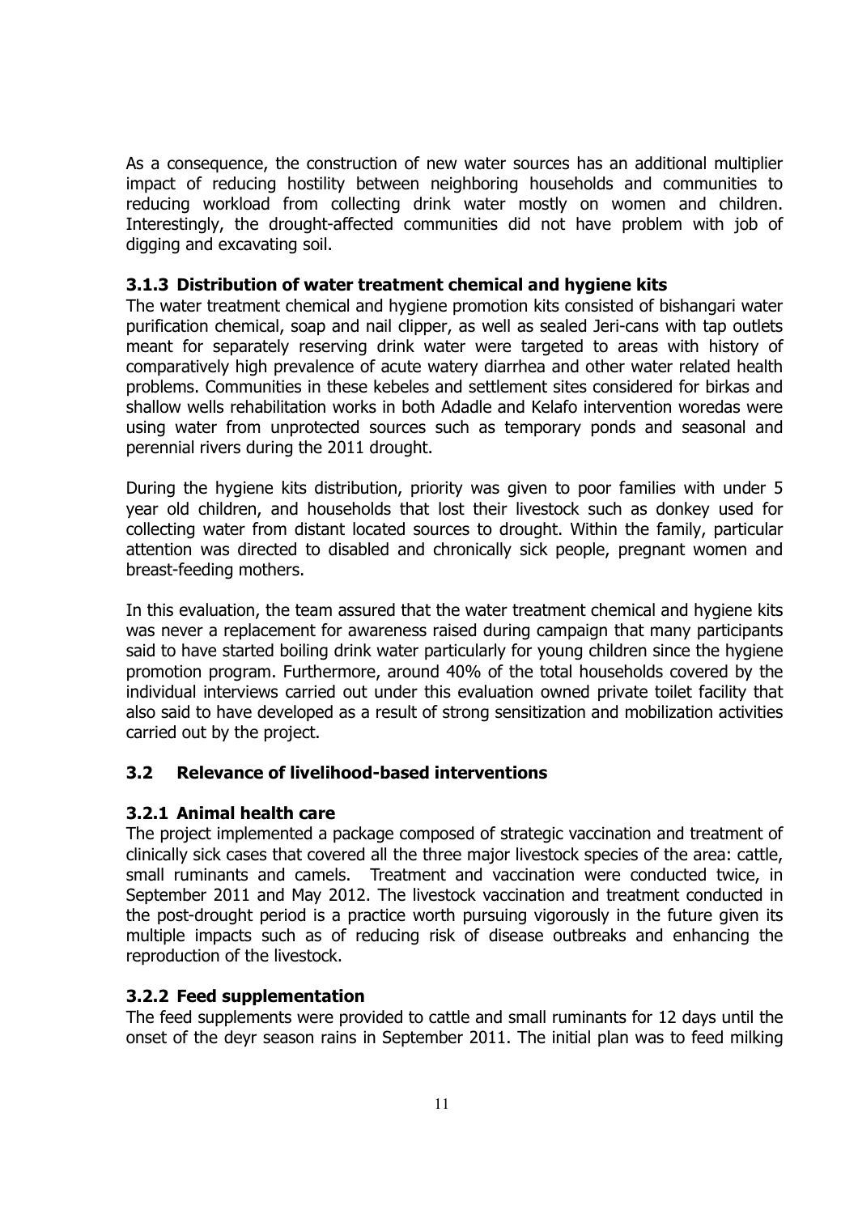As a consequence, the construction of new water sources has an additional multiplier impact of reducing hostility between neighboring households and communities to reducing workload from collecting drink water mostly on women and children. Interestingly, the drought-affected communities did not have problem with job of digging and excavating soil.

### 3.1.3 Distribution of water treatment chemical and hygiene kits

The water treatment chemical and hygiene promotion kits consisted of bishangari water purification chemical, soap and nail clipper, as well as sealed Jeri-cans with tap outlets meant for separately reserving drink water were targeted to areas with history of comparatively high prevalence of acute watery diarrhea and other water related health problems. Communities in these kebeles and settlement sites considered for birkas and shallow wells rehabilitation works in both Adadle and Kelafo intervention woredas were using water from unprotected sources such as temporary ponds and seasonal and perennial rivers during the 2011 drought.

During the hygiene kits distribution, priority was given to poor families with under 5 year old children, and households that lost their livestock such as donkey used for collecting water from distant located sources to drought. Within the family, particular attention was directed to disabled and chronically sick people, pregnant women and breast-feeding mothers.

In this evaluation, the team assured that the water treatment chemical and hygiene kits was never a replacement for awareness raised during campaign that many participants said to have started boiling drink water particularly for young children since the hygiene promotion program. Furthermore, around 40% of the total households covered by the individual interviews carried out under this evaluation owned private toilet facility that also said to have developed as a result of strong sensitization and mobilization activities carried out by the project.

### 3.2 Relevance of livelihood-based interventions

#### 3.2.1 Animal health care

The project implemented a package composed of strategic vaccination and treatment of clinically sick cases that covered all the three major livestock species of the area: cattle, small ruminants and camels. Treatment and vaccination were conducted twice, in September 2011 and May 2012. The livestock vaccination and treatment conducted in the post-drought period is a practice worth pursuing vigorously in the future given its multiple impacts such as of reducing risk of disease outbreaks and enhancing the reproduction of the livestock.

#### 3.2.2 Feed supplementation

The feed supplements were provided to cattle and small ruminants for 12 days until the onset of the deyr season rains in September 2011. The initial plan was to feed milking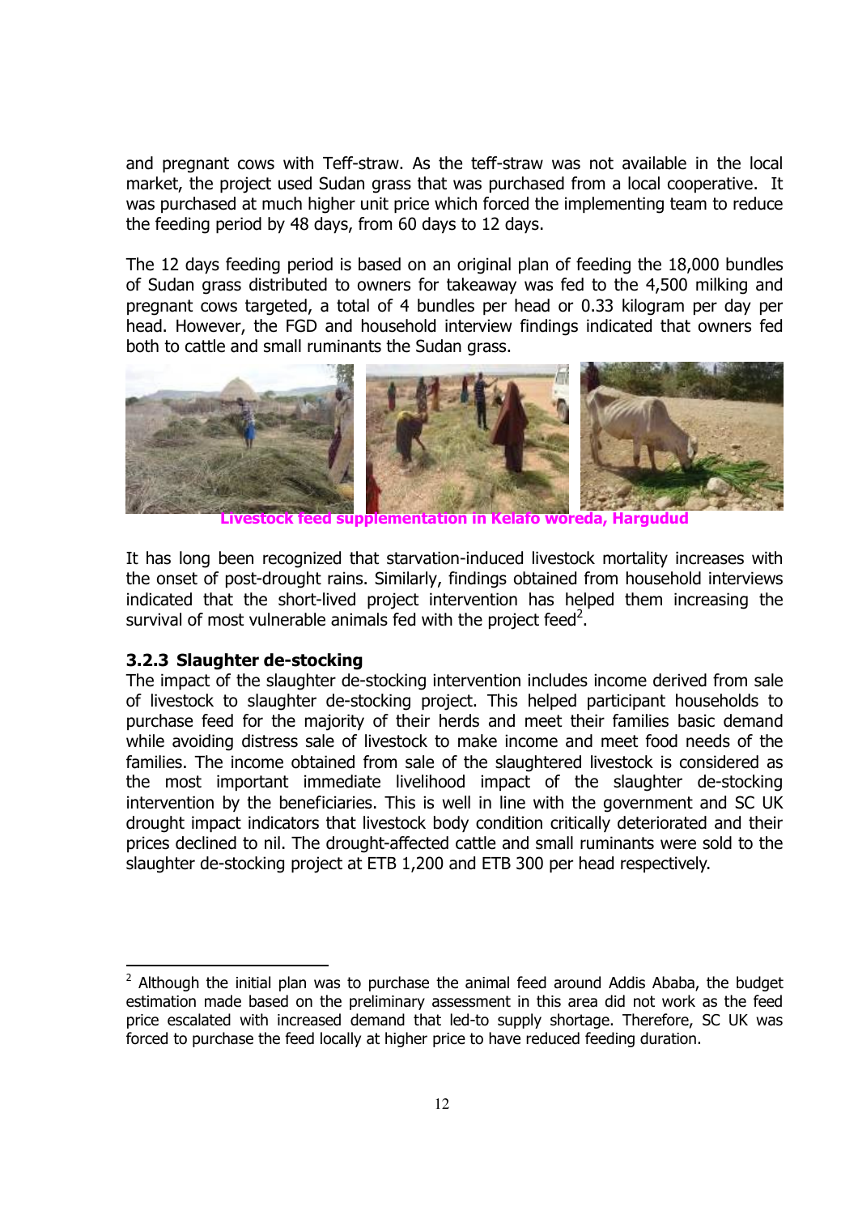and pregnant cows with Teff-straw. As the teff-straw was not available in the local market, the project used Sudan grass that was purchased from a local cooperative. It was purchased at much higher unit price which forced the implementing team to reduce the feeding period by 48 days, from 60 days to 12 days.

The 12 days feeding period is based on an original plan of feeding the 18,000 bundles of Sudan grass distributed to owners for takeaway was fed to the 4,500 milking and pregnant cows targeted, a total of 4 bundles per head or 0.33 kilogram per day per head. However, the FGD and household interview findings indicated that owners fed both to cattle and small ruminants the Sudan grass.



Livestock feed supplementation in Kelafo woreda, Hargudud

It has long been recognized that starvation-induced livestock mortality increases with the onset of post-drought rains. Similarly, findings obtained from household interviews indicated that the short-lived project intervention has helped them increasing the survival of most vulnerable animals fed with the project feed<sup>2</sup>.

#### 3.2.3 Slaughter de-stocking

l

The impact of the slaughter de-stocking intervention includes income derived from sale of livestock to slaughter de-stocking project. This helped participant households to purchase feed for the majority of their herds and meet their families basic demand while avoiding distress sale of livestock to make income and meet food needs of the families. The income obtained from sale of the slaughtered livestock is considered as the most important immediate livelihood impact of the slaughter de-stocking intervention by the beneficiaries. This is well in line with the government and SC UK drought impact indicators that livestock body condition critically deteriorated and their prices declined to nil. The drought-affected cattle and small ruminants were sold to the slaughter de-stocking project at ETB 1,200 and ETB 300 per head respectively.

 $2$  Although the initial plan was to purchase the animal feed around Addis Ababa, the budget estimation made based on the preliminary assessment in this area did not work as the feed price escalated with increased demand that led-to supply shortage. Therefore, SC UK was forced to purchase the feed locally at higher price to have reduced feeding duration.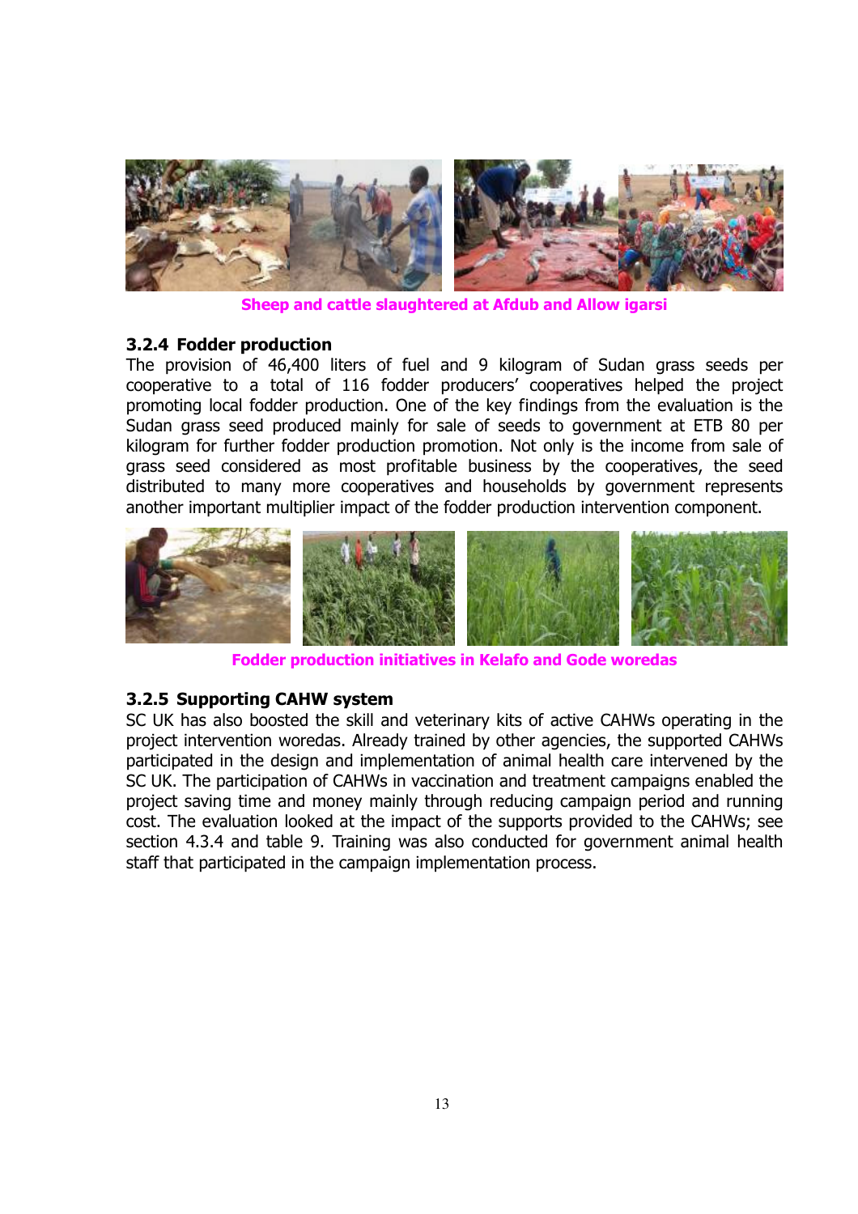

Sheep and cattle slaughtered at Afdub and Allow igarsi

### 3.2.4 Fodder production

The provision of 46,400 liters of fuel and 9 kilogram of Sudan grass seeds per cooperative to a total of 116 fodder producers' cooperatives helped the project promoting local fodder production. One of the key findings from the evaluation is the Sudan grass seed produced mainly for sale of seeds to government at ETB 80 per kilogram for further fodder production promotion. Not only is the income from sale of grass seed considered as most profitable business by the cooperatives, the seed distributed to many more cooperatives and households by government represents another important multiplier impact of the fodder production intervention component.



Fodder production initiatives in Kelafo and Gode woredas

### 3.2.5 Supporting CAHW system

SC UK has also boosted the skill and veterinary kits of active CAHWs operating in the project intervention woredas. Already trained by other agencies, the supported CAHWs participated in the design and implementation of animal health care intervened by the SC UK. The participation of CAHWs in vaccination and treatment campaigns enabled the project saving time and money mainly through reducing campaign period and running cost. The evaluation looked at the impact of the supports provided to the CAHWs; see section 4.3.4 and table 9. Training was also conducted for government animal health staff that participated in the campaign implementation process.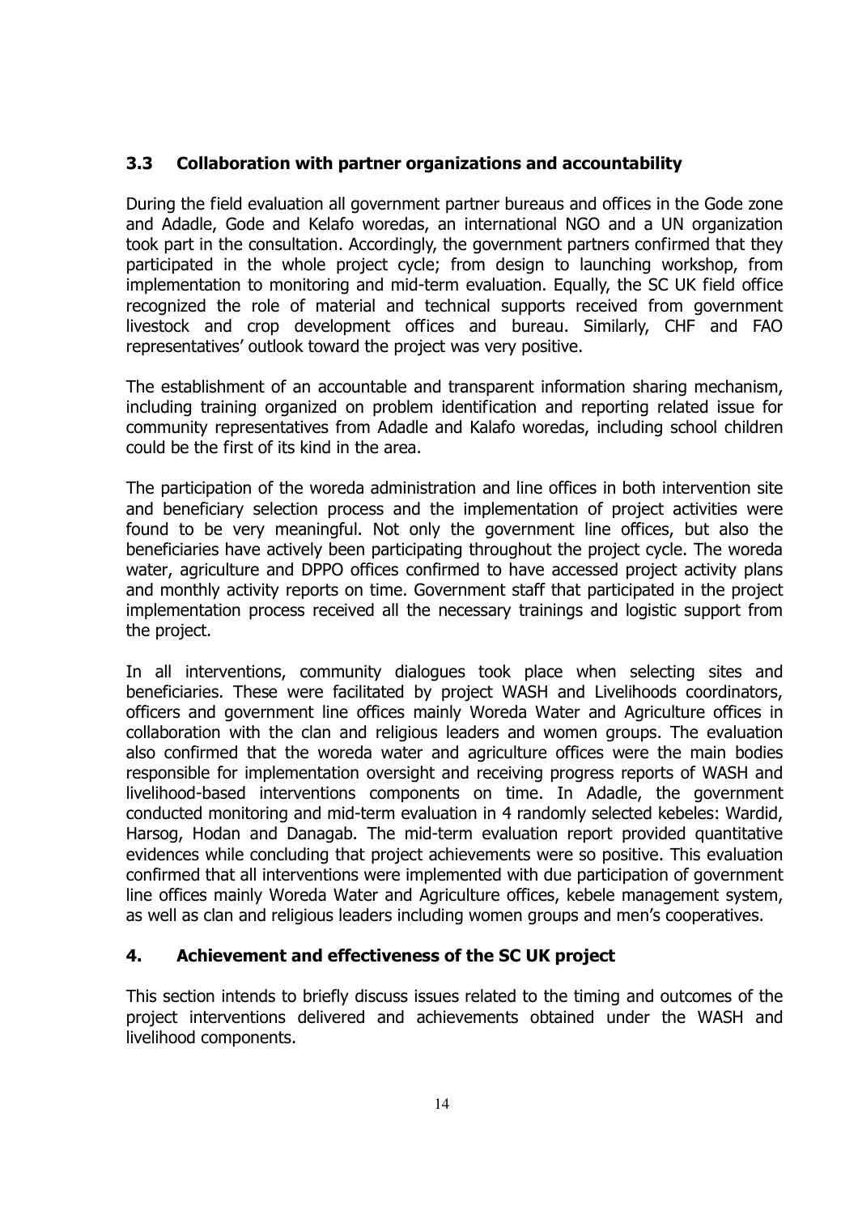## 3.3 Collaboration with partner organizations and accountability

During the field evaluation all government partner bureaus and offices in the Gode zone and Adadle, Gode and Kelafo woredas, an international NGO and a UN organization took part in the consultation. Accordingly, the government partners confirmed that they participated in the whole project cycle; from design to launching workshop, from implementation to monitoring and mid-term evaluation. Equally, the SC UK field office recognized the role of material and technical supports received from government livestock and crop development offices and bureau. Similarly, CHF and FAO representatives' outlook toward the project was very positive.

The establishment of an accountable and transparent information sharing mechanism, including training organized on problem identification and reporting related issue for community representatives from Adadle and Kalafo woredas, including school children could be the first of its kind in the area.

The participation of the woreda administration and line offices in both intervention site and beneficiary selection process and the implementation of project activities were found to be very meaningful. Not only the government line offices, but also the beneficiaries have actively been participating throughout the project cycle. The woreda water, agriculture and DPPO offices confirmed to have accessed project activity plans and monthly activity reports on time. Government staff that participated in the project implementation process received all the necessary trainings and logistic support from the project.

In all interventions, community dialogues took place when selecting sites and beneficiaries. These were facilitated by project WASH and Livelihoods coordinators, officers and government line offices mainly Woreda Water and Agriculture offices in collaboration with the clan and religious leaders and women groups. The evaluation also confirmed that the woreda water and agriculture offices were the main bodies responsible for implementation oversight and receiving progress reports of WASH and livelihood-based interventions components on time. In Adadle, the government conducted monitoring and mid-term evaluation in 4 randomly selected kebeles: Wardid, Harsog, Hodan and Danagab. The mid-term evaluation report provided quantitative evidences while concluding that project achievements were so positive. This evaluation confirmed that all interventions were implemented with due participation of government line offices mainly Woreda Water and Agriculture offices, kebele management system, as well as clan and religious leaders including women groups and men's cooperatives.

## 4. Achievement and effectiveness of the SC UK project

This section intends to briefly discuss issues related to the timing and outcomes of the project interventions delivered and achievements obtained under the WASH and livelihood components.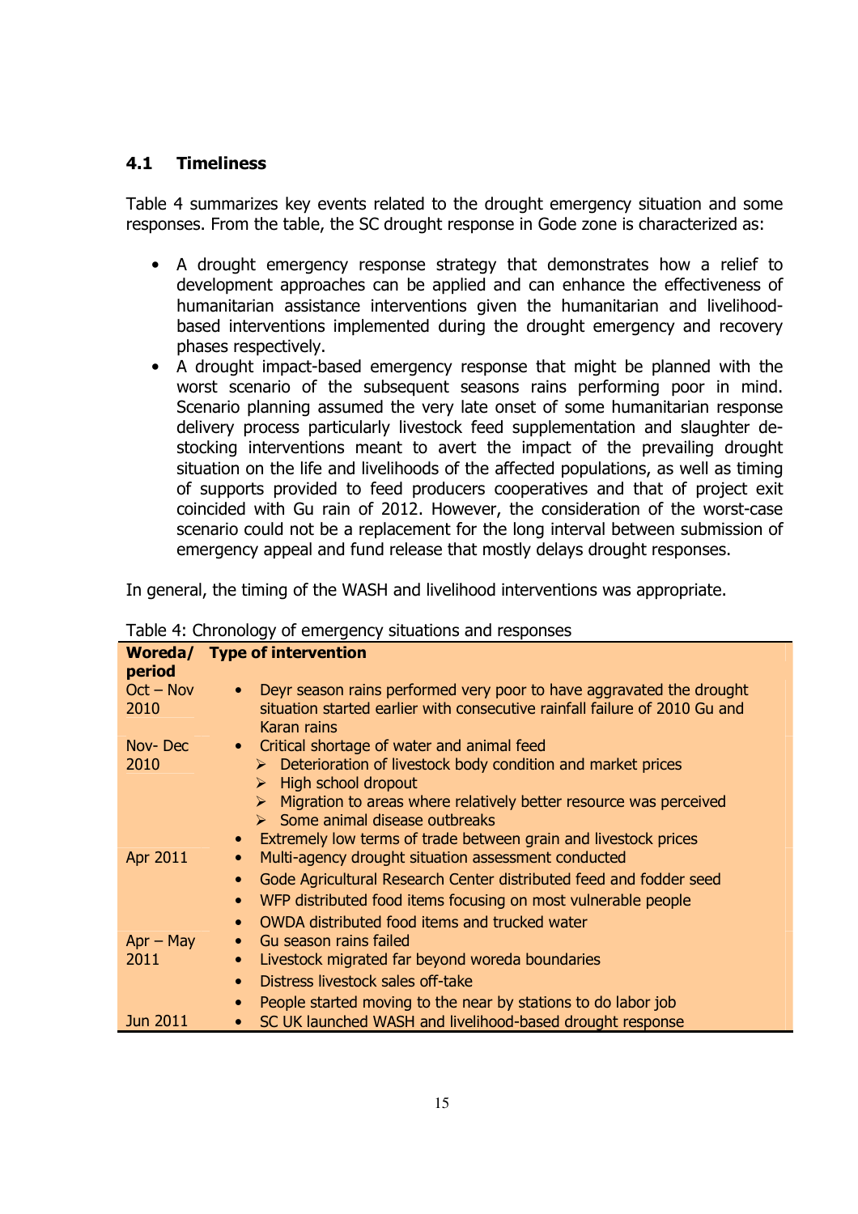### 4.1 Timeliness

Table 4 summarizes key events related to the drought emergency situation and some responses. From the table, the SC drought response in Gode zone is characterized as:

- A drought emergency response strategy that demonstrates how a relief to development approaches can be applied and can enhance the effectiveness of humanitarian assistance interventions given the humanitarian and livelihoodbased interventions implemented during the drought emergency and recovery phases respectively.
- A drought impact-based emergency response that might be planned with the worst scenario of the subsequent seasons rains performing poor in mind. Scenario planning assumed the very late onset of some humanitarian response delivery process particularly livestock feed supplementation and slaughter destocking interventions meant to avert the impact of the prevailing drought situation on the life and livelihoods of the affected populations, as well as timing of supports provided to feed producers cooperatives and that of project exit coincided with Gu rain of 2012. However, the consideration of the worst-case scenario could not be a replacement for the long interval between submission of emergency appeal and fund release that mostly delays drought responses.

In general, the timing of the WASH and livelihood interventions was appropriate.

| period              | Woreda/ Type of intervention                                                                                                                                                                                                                                                                                                                                                    |
|---------------------|---------------------------------------------------------------------------------------------------------------------------------------------------------------------------------------------------------------------------------------------------------------------------------------------------------------------------------------------------------------------------------|
| $Oct - Nov$<br>2010 | Deyr season rains performed very poor to have aggravated the drought<br>$\bullet$<br>situation started earlier with consecutive rainfall failure of 2010 Gu and<br>Karan rains                                                                                                                                                                                                  |
| Nov-Dec<br>2010     | Critical shortage of water and animal feed<br>$\bullet$<br>$\triangleright$ Deterioration of livestock body condition and market prices<br>High school dropout<br>$\triangleright$<br>Migration to areas where relatively better resource was perceived<br>$\triangleright$<br>$\triangleright$ Some animal disease outbreaks                                                   |
| Apr 2011            | Extremely low terms of trade between grain and livestock prices<br>$\bullet$<br>Multi-agency drought situation assessment conducted<br>$\bullet$<br>Gode Agricultural Research Center distributed feed and fodder seed<br>$\bullet$<br>WFP distributed food items focusing on most vulnerable people<br>$\bullet$<br>OWDA distributed food items and trucked water<br>$\bullet$ |
| $Apr - May$<br>2011 | Gu season rains failed<br>$\bullet$<br>Livestock migrated far beyond woreda boundaries<br>$\bullet$<br>Distress livestock sales off-take<br>$\bullet$<br>People started moving to the near by stations to do labor job<br>$\bullet$                                                                                                                                             |
| Jun 2011            | SC UK launched WASH and livelihood-based drought response<br>$\bullet$                                                                                                                                                                                                                                                                                                          |

| Table 4: Chronology of emergency situations and responses |
|-----------------------------------------------------------|
|-----------------------------------------------------------|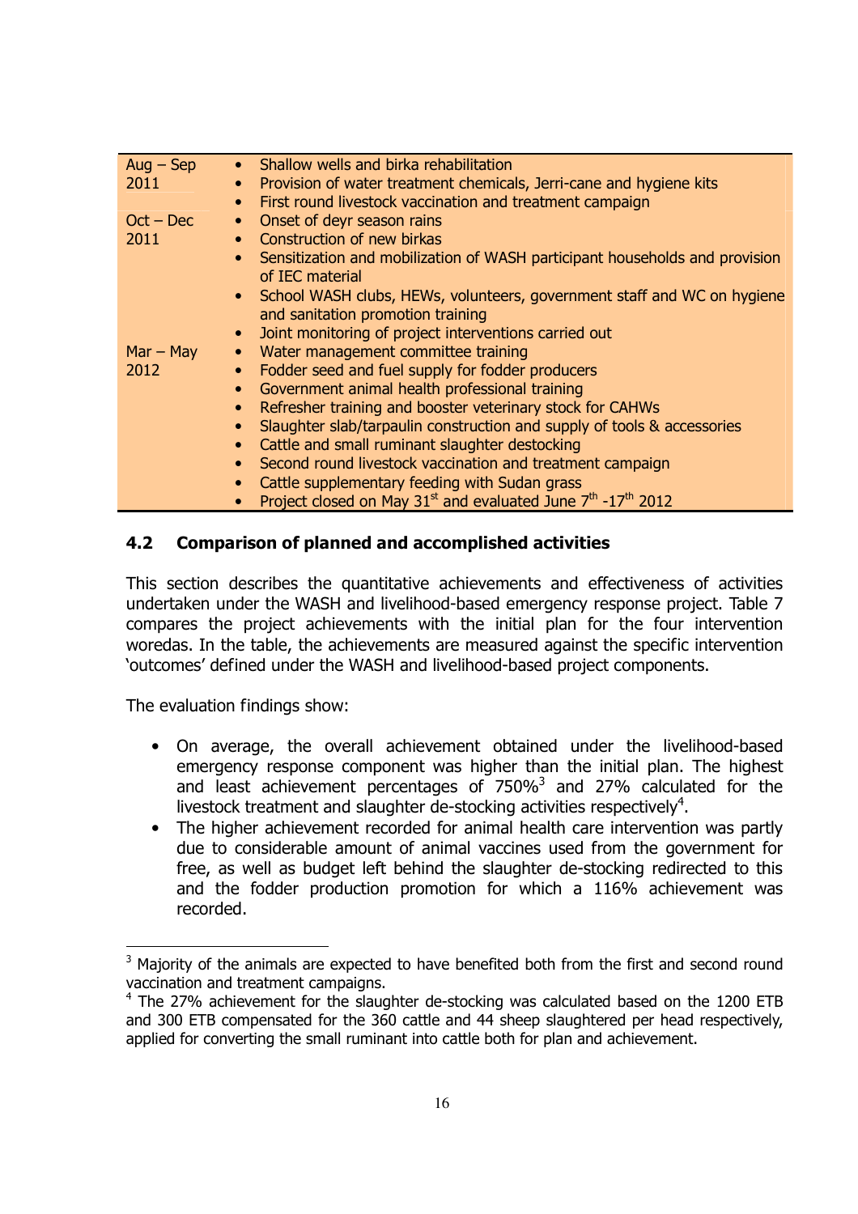| $Aug - Sep$ | • Shallow wells and birka rehabilitation                                                         |
|-------------|--------------------------------------------------------------------------------------------------|
| 2011        | • Provision of water treatment chemicals, Jerri-cane and hygiene kits                            |
|             | • First round livestock vaccination and treatment campaign                                       |
| $Oct - Dec$ | Onset of deyr season rains<br>$\bullet$                                                          |
| 2011        | • Construction of new birkas                                                                     |
|             | • Sensitization and mobilization of WASH participant households and provision<br>of IEC material |
|             | • School WASH clubs, HEWs, volunteers, government staff and WC on hygiene                        |
|             | and sanitation promotion training                                                                |
|             | Joint monitoring of project interventions carried out                                            |
| $Mar - May$ | Water management committee training                                                              |
| 2012        | Fodder seed and fuel supply for fodder producers                                                 |
|             | Government animal health professional training                                                   |
|             | Refresher training and booster veterinary stock for CAHWs                                        |
|             | Slaughter slab/tarpaulin construction and supply of tools & accessories                          |
|             | Cattle and small ruminant slaughter destocking                                                   |
|             | Second round livestock vaccination and treatment campaign                                        |
|             | Cattle supplementary feeding with Sudan grass                                                    |
|             | Project closed on May 31 <sup>st</sup> and evaluated June 7 <sup>th</sup> -17 <sup>th</sup> 2012 |

## 4.2 Comparison of planned and accomplished activities

This section describes the quantitative achievements and effectiveness of activities undertaken under the WASH and livelihood-based emergency response project. Table 7 compares the project achievements with the initial plan for the four intervention woredas. In the table, the achievements are measured against the specific intervention 'outcomes' defined under the WASH and livelihood-based project components.

The evaluation findings show:

l

- On average, the overall achievement obtained under the livelihood-based emergency response component was higher than the initial plan. The highest and least achievement percentages of  $750\%$ <sup>3</sup> and  $27\%$  calculated for the livestock treatment and slaughter de-stocking activities respectively<sup>4</sup>.
- The higher achievement recorded for animal health care intervention was partly due to considerable amount of animal vaccines used from the government for free, as well as budget left behind the slaughter de-stocking redirected to this and the fodder production promotion for which a 116% achievement was recorded.

 $3$  Majority of the animals are expected to have benefited both from the first and second round vaccination and treatment campaigns.

<sup>&</sup>lt;sup>4</sup> The 27% achievement for the slaughter de-stocking was calculated based on the 1200 ETB and 300 ETB compensated for the 360 cattle and 44 sheep slaughtered per head respectively, applied for converting the small ruminant into cattle both for plan and achievement.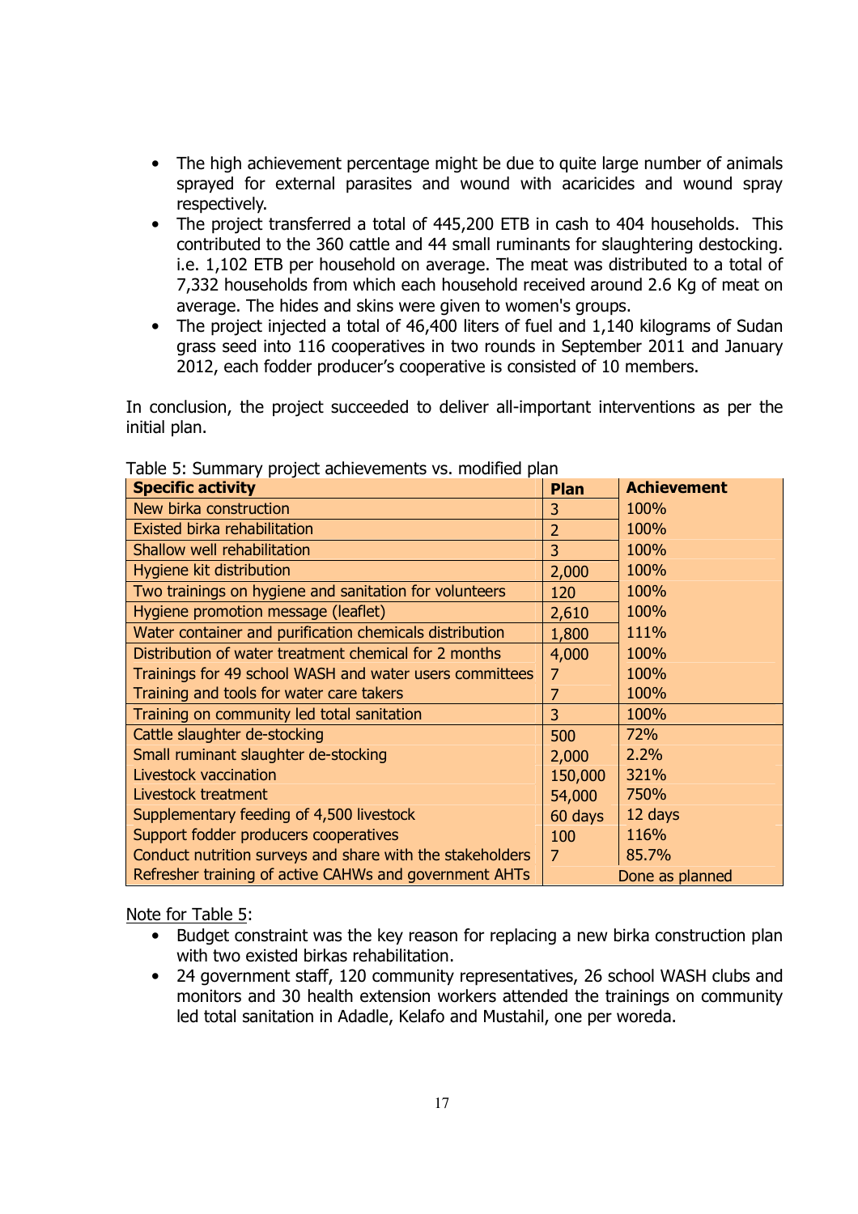- The high achievement percentage might be due to quite large number of animals sprayed for external parasites and wound with acaricides and wound spray respectively.
- The project transferred a total of 445,200 ETB in cash to 404 households. This contributed to the 360 cattle and 44 small ruminants for slaughtering destocking. i.e. 1,102 ETB per household on average. The meat was distributed to a total of 7,332 households from which each household received around 2.6 Kg of meat on average. The hides and skins were given to women's groups.
- The project injected a total of 46,400 liters of fuel and 1,140 kilograms of Sudan grass seed into 116 cooperatives in two rounds in September 2011 and January 2012, each fodder producer's cooperative is consisted of 10 members.

In conclusion, the project succeeded to deliver all-important interventions as per the initial plan.

| st cammany project achievements for modified p<br><b>Specific activity</b> | Plan           | <b>Achievement</b> |
|----------------------------------------------------------------------------|----------------|--------------------|
| New birka construction                                                     | 3              | 100%               |
| Existed birka rehabilitation                                               | $\overline{2}$ | 100%               |
| Shallow well rehabilitation                                                | 3              | 100%               |
| Hygiene kit distribution                                                   | 2,000          | 100%               |
| Two trainings on hygiene and sanitation for volunteers                     | 120            | 100%               |
| Hygiene promotion message (leaflet)                                        | 2,610          | 100%               |
| Water container and purification chemicals distribution                    | 1,800          | 111%               |
| Distribution of water treatment chemical for 2 months                      | 4,000          | 100%               |
| Trainings for 49 school WASH and water users committees                    | 7              | 100%               |
| Training and tools for water care takers                                   | 7              | 100%               |
| Training on community led total sanitation                                 | 3              | 100%               |
| Cattle slaughter de-stocking                                               | 500            | 72%                |
| Small ruminant slaughter de-stocking                                       | 2,000          | 2.2%               |
| <b>Livestock vaccination</b>                                               | 150,000        | 321%               |
| Livestock treatment                                                        | 54,000         | 750%               |
| Supplementary feeding of 4,500 livestock                                   | 60 days        | 12 days            |
| Support fodder producers cooperatives                                      | 100            | 116%               |
| Conduct nutrition surveys and share with the stakeholders                  | 7              | 85.7%              |
| Refresher training of active CAHWs and government AHTs                     |                | Done as planned    |

#### Table 5: Summary project achievements vs. modified plan

Note for Table 5:

- Budget constraint was the key reason for replacing a new birka construction plan with two existed birkas rehabilitation.
- 24 government staff, 120 community representatives, 26 school WASH clubs and monitors and 30 health extension workers attended the trainings on community led total sanitation in Adadle, Kelafo and Mustahil, one per woreda.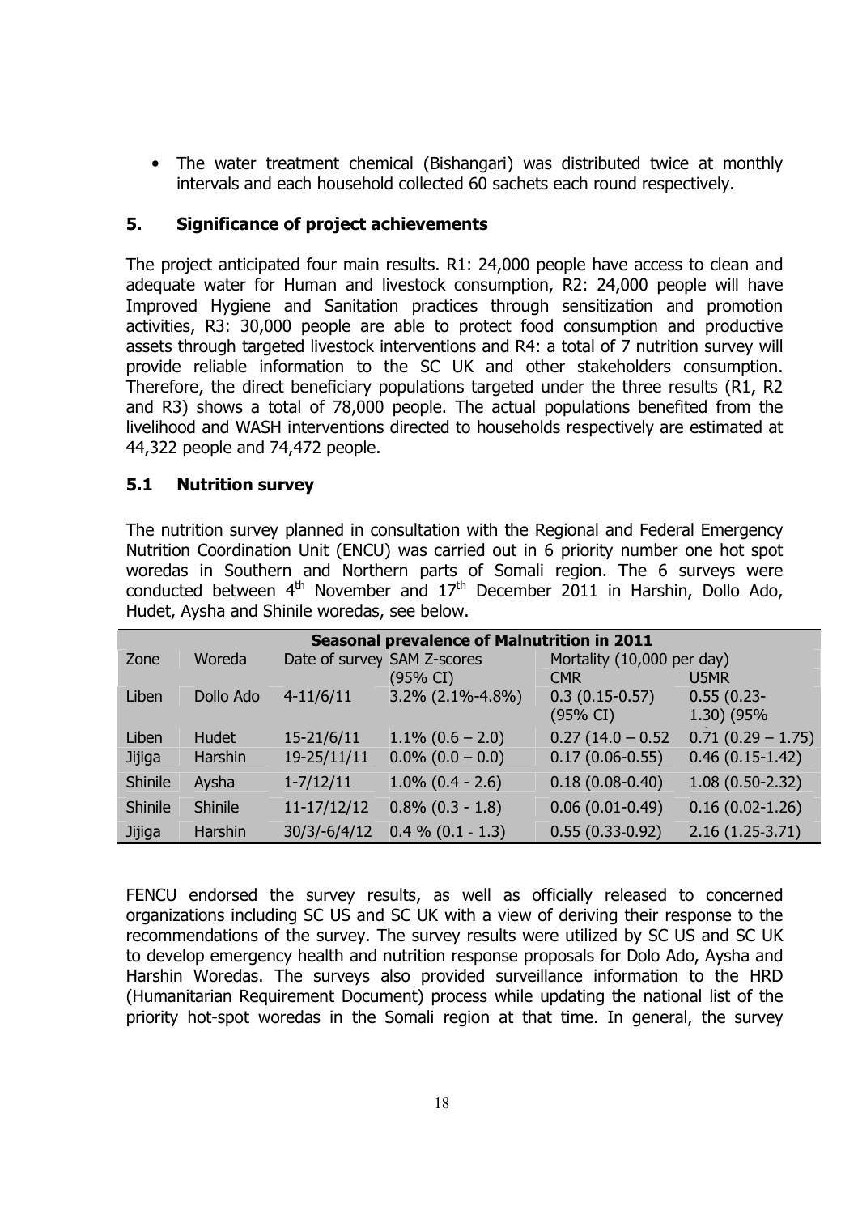• The water treatment chemical (Bishangari) was distributed twice at monthly intervals and each household collected 60 sachets each round respectively.

## 5. Significance of project achievements

The project anticipated four main results. R1: 24,000 people have access to clean and adequate water for Human and livestock consumption, R2: 24,000 people will have Improved Hygiene and Sanitation practices through sensitization and promotion activities, R3: 30,000 people are able to protect food consumption and productive assets through targeted livestock interventions and R4: a total of 7 nutrition survey will provide reliable information to the SC UK and other stakeholders consumption. Therefore, the direct beneficiary populations targeted under the three results (R1, R2 and R3) shows a total of 78,000 people. The actual populations benefited from the livelihood and WASH interventions directed to households respectively are estimated at 44,322 people and 74,472 people.

### 5.1 Nutrition survey

The nutrition survey planned in consultation with the Regional and Federal Emergency Nutrition Coordination Unit (ENCU) was carried out in 6 priority number one hot spot woredas in Southern and Northern parts of Somali region. The 6 surveys were conducted between  $4<sup>th</sup>$  November and  $17<sup>th</sup>$  December 2011 in Harshin, Dollo Ado, Hudet, Aysha and Shinile woredas, see below.

|                | <b>Seasonal prevalence of Malnutrition in 2011</b> |                             |                     |                            |                     |  |  |  |  |  |  |  |
|----------------|----------------------------------------------------|-----------------------------|---------------------|----------------------------|---------------------|--|--|--|--|--|--|--|
| Zone           | Woreda                                             | Date of survey SAM Z-scores |                     | Mortality (10,000 per day) |                     |  |  |  |  |  |  |  |
|                |                                                    |                             | (95% CI)            | <b>CMR</b>                 | U5MR                |  |  |  |  |  |  |  |
| Liben          | Dollo Ado                                          | $4-11/6/11$                 | $3.2\%$ (2.1%-4.8%) | $0.3(0.15-0.57)$           | $0.55(0.23 -$       |  |  |  |  |  |  |  |
|                |                                                    |                             |                     | (95% CI)                   | 1.30) (95%          |  |  |  |  |  |  |  |
| Liben          | Hudet                                              | 15-21/6/11                  | $1.1\%$ (0.6 – 2.0) | $0.27(14.0 - 0.52)$        | $0.71(0.29 - 1.75)$ |  |  |  |  |  |  |  |
| Jijiga         | Harshin                                            | 19-25/11/11                 | $0.0\%$ (0.0 - 0.0) | $0.17(0.06-0.55)$          | $0.46(0.15-1.42)$   |  |  |  |  |  |  |  |
| <b>Shinile</b> | Aysha                                              | $1 - 7/12/11$               | $1.0\%$ (0.4 - 2.6) | $0.18(0.08-0.40)$          | $1.08(0.50-2.32)$   |  |  |  |  |  |  |  |
| <b>Shinile</b> | <b>Shinile</b>                                     | $11 - 17/12/12$             | $0.8\%$ (0.3 - 1.8) | $0.06(0.01-0.49)$          | $0.16(0.02-1.26)$   |  |  |  |  |  |  |  |
| Jijiga         | Harshin                                            | $30/3/-6/4/12$              | $0.4\%$ (0.1 - 1.3) | $0.55(0.33-0.92)$          | $2.16(1.25-3.71)$   |  |  |  |  |  |  |  |

FENCU endorsed the survey results, as well as officially released to concerned organizations including SC US and SC UK with a view of deriving their response to the recommendations of the survey. The survey results were utilized by SC US and SC UK to develop emergency health and nutrition response proposals for Dolo Ado, Aysha and Harshin Woredas. The surveys also provided surveillance information to the HRD (Humanitarian Requirement Document) process while updating the national list of the priority hot-spot woredas in the Somali region at that time. In general, the survey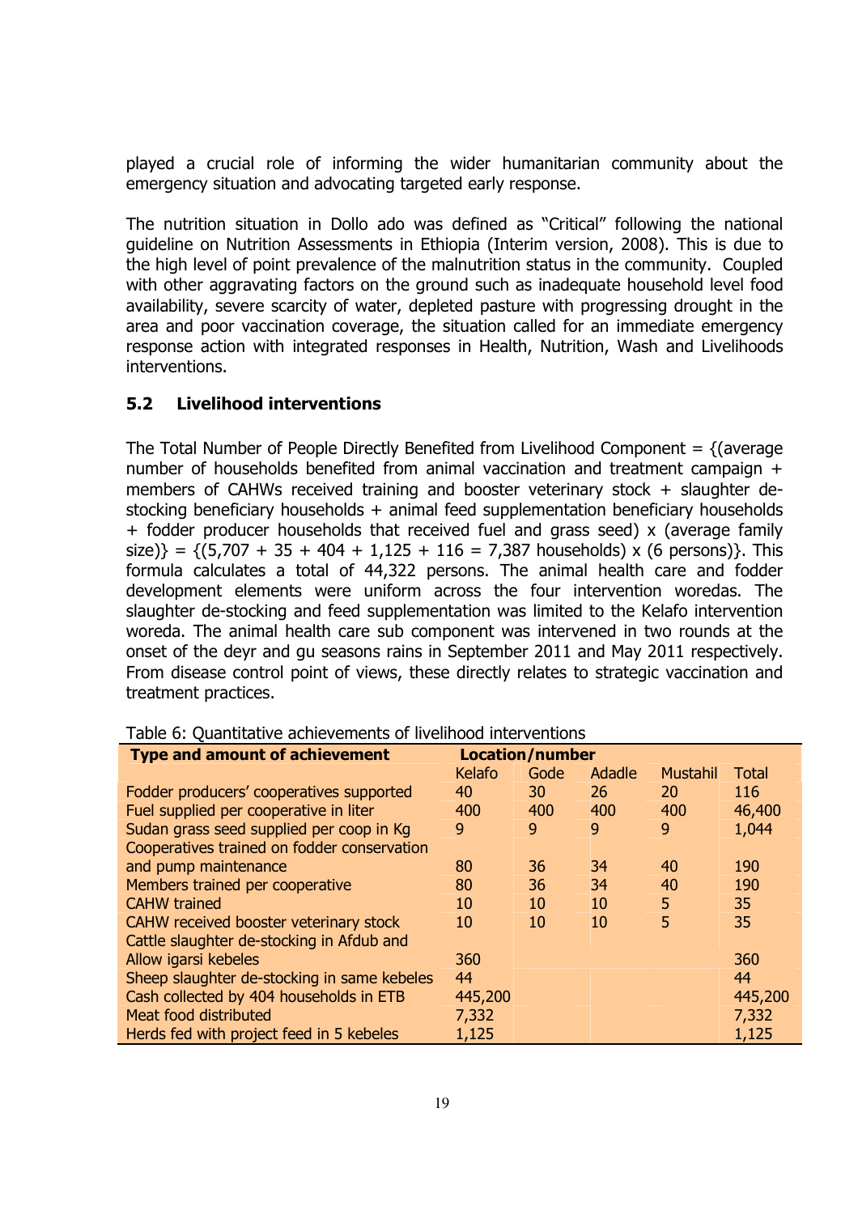played a crucial role of informing the wider humanitarian community about the emergency situation and advocating targeted early response.

The nutrition situation in Dollo ado was defined as "Critical" following the national guideline on Nutrition Assessments in Ethiopia (Interim version, 2008). This is due to the high level of point prevalence of the malnutrition status in the community. Coupled with other aggravating factors on the ground such as inadequate household level food availability, severe scarcity of water, depleted pasture with progressing drought in the area and poor vaccination coverage, the situation called for an immediate emergency response action with integrated responses in Health, Nutrition, Wash and Livelihoods interventions.

### 5.2 Livelihood interventions

The Total Number of People Directly Benefited from Livelihood Component  $=$  {(average number of households benefited from animal vaccination and treatment campaign + members of CAHWs received training and booster veterinary stock + slaughter destocking beneficiary households + animal feed supplementation beneficiary households + fodder producer households that received fuel and grass seed) x (average family  $size$ )} = {(5,707 + 35 + 404 + 1,125 + 116 = 7,387 households) x (6 persons)}. This formula calculates a total of 44,322 persons. The animal health care and fodder development elements were uniform across the four intervention woredas. The slaughter de-stocking and feed supplementation was limited to the Kelafo intervention woreda. The animal health care sub component was intervened in two rounds at the onset of the deyr and gu seasons rains in September 2011 and May 2011 respectively. From disease control point of views, these directly relates to strategic vaccination and treatment practices.

| <b>Type and amount of achievement</b>       | <b>Location/number</b> |      |        |          |              |
|---------------------------------------------|------------------------|------|--------|----------|--------------|
|                                             | Kelafo                 | Gode | Adadle | Mustahil | <b>Total</b> |
| Fodder producers' cooperatives supported    | 40                     | 30   | 26     | 20       | 116          |
| Fuel supplied per cooperative in liter      | 400                    | 400  | 400    | 400      | 46,400       |
| Sudan grass seed supplied per coop in Kg    | 9                      | 9    | 9      | 9        | 1,044        |
| Cooperatives trained on fodder conservation |                        |      |        |          |              |
| and pump maintenance                        | 80                     | 36   | 34     | 40       | 190          |
| Members trained per cooperative             | 80                     | 36   | 34     | 40       | 190          |
| <b>CAHW</b> trained                         | 10                     | 10   | 10     | 5        | 35           |
| CAHW received booster veterinary stock      | 10                     | 10   | 10     | 5        | 35           |
| Cattle slaughter de-stocking in Afdub and   |                        |      |        |          |              |
| Allow igarsi kebeles                        | 360                    |      |        |          | 360          |
| Sheep slaughter de-stocking in same kebeles | 44                     |      |        |          | 44           |
| Cash collected by 404 households in ETB     | 445,200                |      |        |          | 445,200      |
| Meat food distributed                       | 7,332                  |      |        |          | 7,332        |
| Herds fed with project feed in 5 kebeles    | 1,125                  |      |        |          | 1,125        |

Table 6: Quantitative achievements of livelihood interventions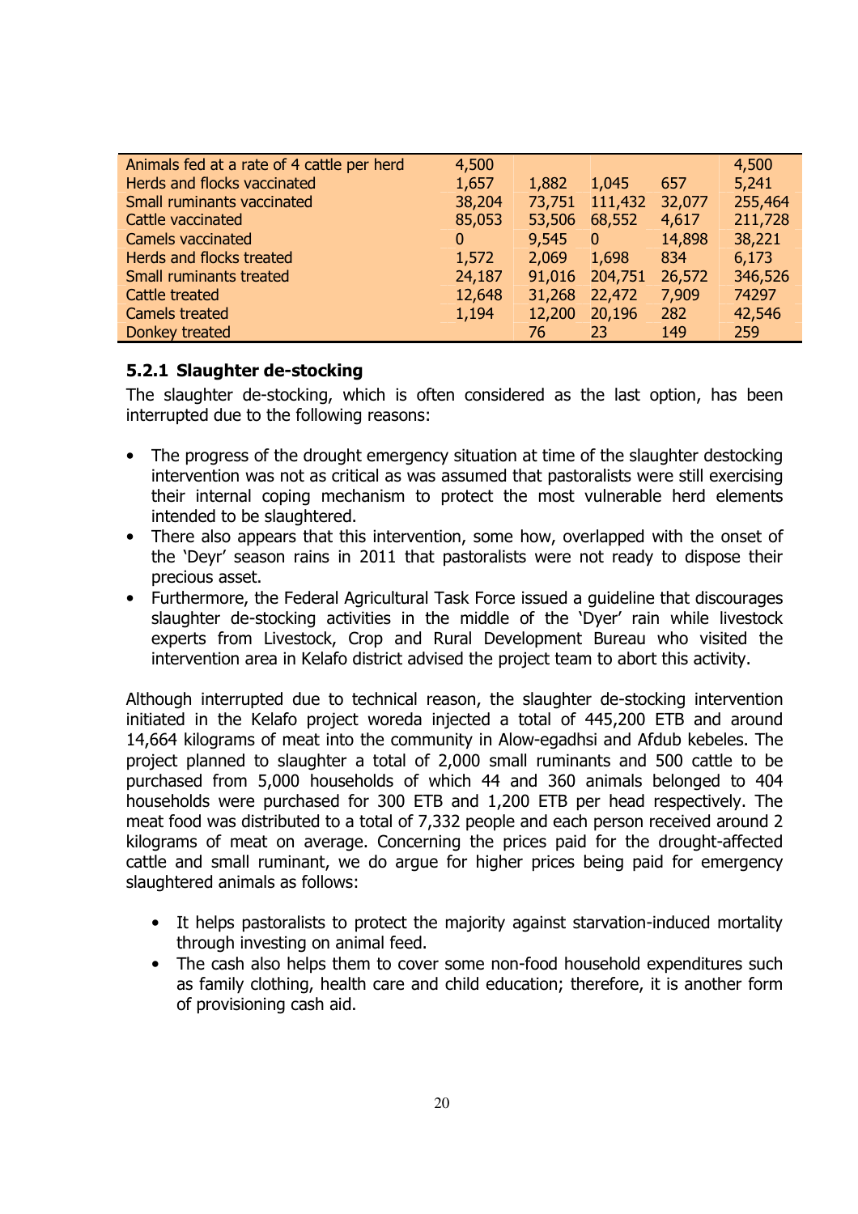| Animals fed at a rate of 4 cattle per herd | 4,500    |        |          |        | 4,500   |
|--------------------------------------------|----------|--------|----------|--------|---------|
| Herds and flocks vaccinated                | 1,657    | 1,882  | 1,045    | 657    | 5,241   |
| Small ruminants vaccinated                 | 38,204   | 73,751 | 111,432  | 32,077 | 255,464 |
| Cattle vaccinated                          | 85,053   | 53,506 | 68,552   | 4,617  | 211,728 |
| Camels vaccinated                          | $\bf{0}$ | 9,545  | $\bf{0}$ | 14,898 | 38,221  |
| Herds and flocks treated                   | 1,572    | 2,069  | 1,698    | 834    | 6,173   |
| <b>Small ruminants treated</b>             | 24,187   | 91,016 | 204,751  | 26,572 | 346,526 |
| Cattle treated                             | 12,648   | 31,268 | 22,472   | 7,909  | 74297   |
| <b>Camels treated</b>                      | 1,194    | 12,200 | 20,196   | 282    | 42,546  |
| Donkey treated                             |          | 76     | 23       | 149    | 259     |

### 5.2.1 Slaughter de-stocking

The slaughter de-stocking, which is often considered as the last option, has been interrupted due to the following reasons:

- The progress of the drought emergency situation at time of the slaughter destocking intervention was not as critical as was assumed that pastoralists were still exercising their internal coping mechanism to protect the most vulnerable herd elements intended to be slaughtered.
- There also appears that this intervention, some how, overlapped with the onset of the 'Deyr' season rains in 2011 that pastoralists were not ready to dispose their precious asset.
- Furthermore, the Federal Agricultural Task Force issued a guideline that discourages slaughter de-stocking activities in the middle of the 'Dyer' rain while livestock experts from Livestock, Crop and Rural Development Bureau who visited the intervention area in Kelafo district advised the project team to abort this activity.

Although interrupted due to technical reason, the slaughter de-stocking intervention initiated in the Kelafo project woreda injected a total of 445,200 ETB and around 14,664 kilograms of meat into the community in Alow-egadhsi and Afdub kebeles. The project planned to slaughter a total of 2,000 small ruminants and 500 cattle to be purchased from 5,000 households of which 44 and 360 animals belonged to 404 households were purchased for 300 ETB and 1,200 ETB per head respectively. The meat food was distributed to a total of 7,332 people and each person received around 2 kilograms of meat on average. Concerning the prices paid for the drought-affected cattle and small ruminant, we do argue for higher prices being paid for emergency slaughtered animals as follows:

- It helps pastoralists to protect the majority against starvation-induced mortality through investing on animal feed.
- The cash also helps them to cover some non-food household expenditures such as family clothing, health care and child education; therefore, it is another form of provisioning cash aid.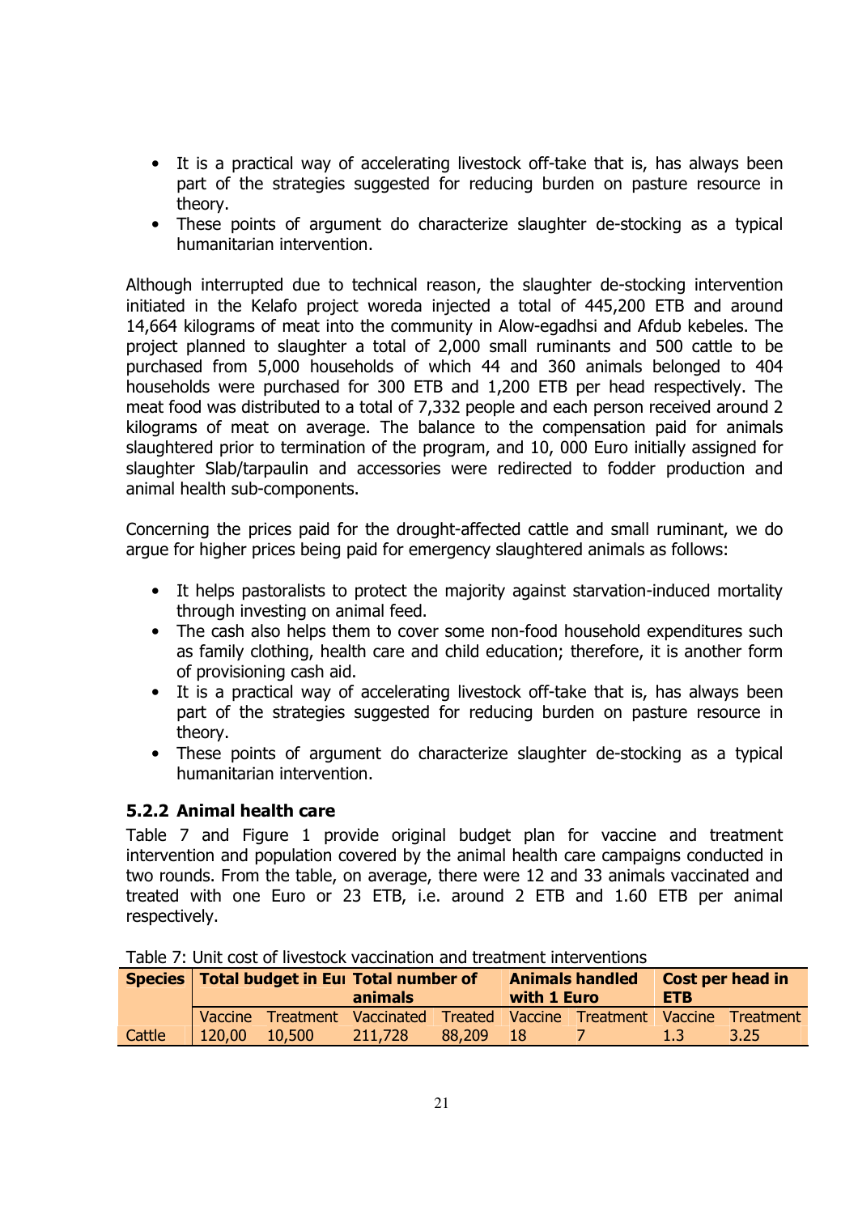- It is a practical way of accelerating livestock off-take that is, has always been part of the strategies suggested for reducing burden on pasture resource in theory.
- These points of argument do characterize slaughter de-stocking as a typical humanitarian intervention.

Although interrupted due to technical reason, the slaughter de-stocking intervention initiated in the Kelafo project woreda injected a total of 445,200 ETB and around 14,664 kilograms of meat into the community in Alow-egadhsi and Afdub kebeles. The project planned to slaughter a total of 2,000 small ruminants and 500 cattle to be purchased from 5,000 households of which 44 and 360 animals belonged to 404 households were purchased for 300 ETB and 1,200 ETB per head respectively. The meat food was distributed to a total of 7,332 people and each person received around 2 kilograms of meat on average. The balance to the compensation paid for animals slaughtered prior to termination of the program, and 10, 000 Euro initially assigned for slaughter Slab/tarpaulin and accessories were redirected to fodder production and animal health sub-components.

Concerning the prices paid for the drought-affected cattle and small ruminant, we do argue for higher prices being paid for emergency slaughtered animals as follows:

- It helps pastoralists to protect the majority against starvation-induced mortality through investing on animal feed.
- The cash also helps them to cover some non-food household expenditures such as family clothing, health care and child education; therefore, it is another form of provisioning cash aid.
- It is a practical way of accelerating livestock off-take that is, has always been part of the strategies suggested for reducing burden on pasture resource in theory.
- These points of argument do characterize slaughter de-stocking as a typical humanitarian intervention.

## 5.2.2 Animal health care

Table 7 and Figure 1 provide original budget plan for vaccine and treatment intervention and population covered by the animal health care campaigns conducted in two rounds. From the table, on average, there were 12 and 33 animals vaccinated and treated with one Euro or 23 ETB, i.e. around 2 ETB and 1.60 ETB per animal respectively.

| בוסטוכ 7. סדות כספרטר וועכפנטכה עמכנו ומנוטרו מרוס נרכמנו וכרוכ ויתכו עכותוטרופ |                                               |        |                                                                          |        |                                       |  |                                       |      |
|---------------------------------------------------------------------------------|-----------------------------------------------|--------|--------------------------------------------------------------------------|--------|---------------------------------------|--|---------------------------------------|------|
|                                                                                 | Species   Total budget in Eur Total number of |        | animals                                                                  |        | <b>Animals handled</b><br>with 1 Euro |  | <b>Cost per head in</b><br><b>ETB</b> |      |
|                                                                                 |                                               |        | Vaccine Treatment Vaccinated Treated Vaccine Treatment Vaccine Treatment |        |                                       |  |                                       |      |
| Cattle                                                                          | 120,00                                        | 10,500 | 211,728                                                                  | 88.209 | -18                                   |  | 1.3                                   | 3.25 |

|  |  |  |  | Table 7: Unit cost of livestock vaccination and treatment interventions |
|--|--|--|--|-------------------------------------------------------------------------|
|  |  |  |  |                                                                         |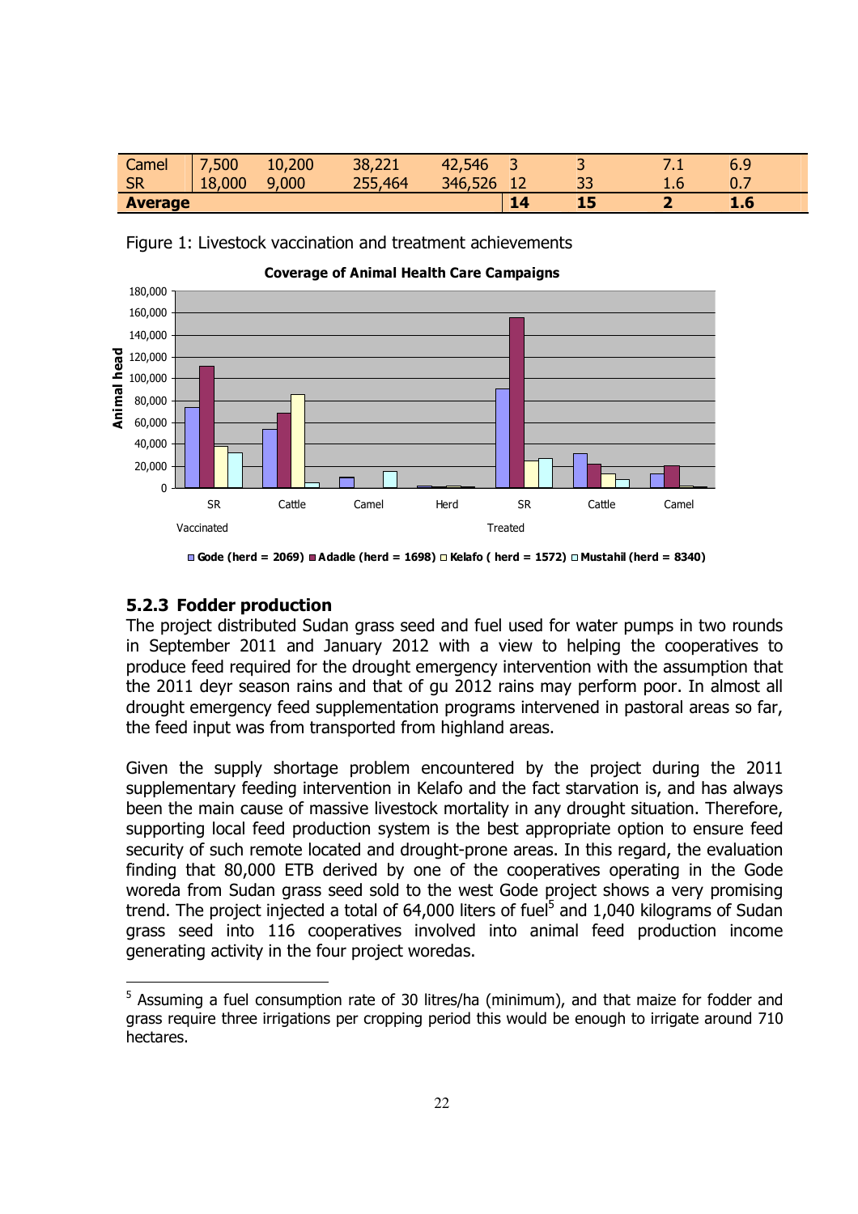| Camel          | ,500   | 10,200 | 38,221  | 42,546  |    | м  | .    | 6.9 |  |
|----------------|--------|--------|---------|---------|----|----|------|-----|--|
| <b>SR</b>      | 18,000 | 9,000  | 255,464 | 346,526 |    | 33 | 1. U | 0.7 |  |
| <b>Average</b> |        |        |         |         | 14 |    |      | 1.6 |  |



Figure 1: Livestock vaccination and treatment achievements

### 5.2.3 Fodder production

The project distributed Sudan grass seed and fuel used for water pumps in two rounds in September 2011 and January 2012 with a view to helping the cooperatives to produce feed required for the drought emergency intervention with the assumption that the 2011 deyr season rains and that of gu 2012 rains may perform poor. In almost all drought emergency feed supplementation programs intervened in pastoral areas so far, the feed input was from transported from highland areas.

Given the supply shortage problem encountered by the project during the 2011 supplementary feeding intervention in Kelafo and the fact starvation is, and has always been the main cause of massive livestock mortality in any drought situation. Therefore, supporting local feed production system is the best appropriate option to ensure feed security of such remote located and drought-prone areas. In this regard, the evaluation finding that 80,000 ETB derived by one of the cooperatives operating in the Gode woreda from Sudan grass seed sold to the west Gode project shows a very promising trend. The project injected a total of 64,000 liters of fuel<sup>5</sup> and 1,040 kilograms of Sudan grass seed into 116 cooperatives involved into animal feed production income generating activity in the four project woredas.

Gode (herd = 2069) Adadle (herd = 1698)  $\Box$  Kelafo (herd = 1572)  $\Box$  Mustahil (herd = 8340)

<sup>&</sup>lt;sup>5</sup> Assuming a fuel consumption rate of 30 litres/ha (minimum), and that maize for fodder and grass require three irrigations per cropping period this would be enough to irrigate around 710 hectares.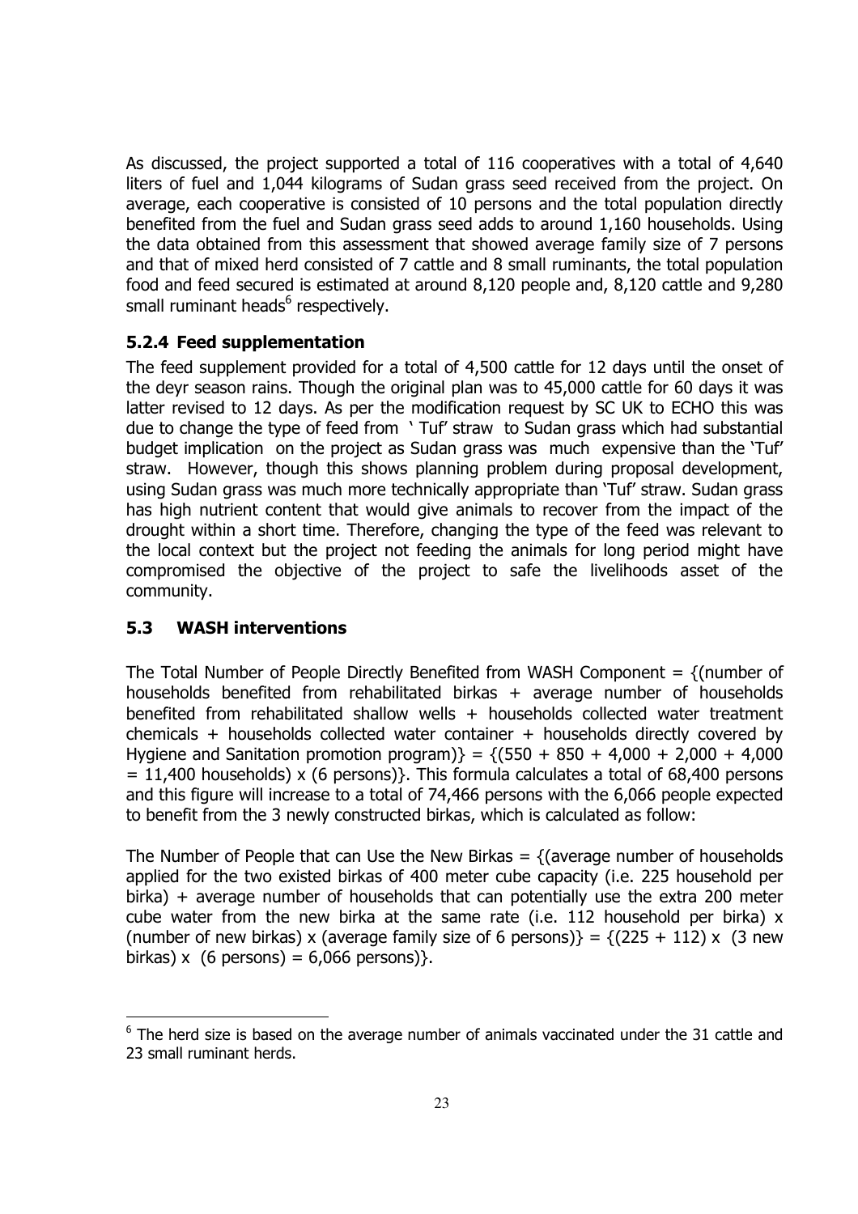As discussed, the project supported a total of 116 cooperatives with a total of 4,640 liters of fuel and 1,044 kilograms of Sudan grass seed received from the project. On average, each cooperative is consisted of 10 persons and the total population directly benefited from the fuel and Sudan grass seed adds to around 1,160 households. Using the data obtained from this assessment that showed average family size of 7 persons and that of mixed herd consisted of 7 cattle and 8 small ruminants, the total population food and feed secured is estimated at around 8,120 people and, 8,120 cattle and 9,280 small ruminant heads<sup>6</sup> respectively.

### 5.2.4 Feed supplementation

The feed supplement provided for a total of 4,500 cattle for 12 days until the onset of the deyr season rains. Though the original plan was to 45,000 cattle for 60 days it was latter revised to 12 days. As per the modification request by SC UK to ECHO this was due to change the type of feed from ' Tuf' straw to Sudan grass which had substantial budget implication on the project as Sudan grass was much expensive than the 'Tuf' straw. However, though this shows planning problem during proposal development, using Sudan grass was much more technically appropriate than 'Tuf' straw. Sudan grass has high nutrient content that would give animals to recover from the impact of the drought within a short time. Therefore, changing the type of the feed was relevant to the local context but the project not feeding the animals for long period might have compromised the objective of the project to safe the livelihoods asset of the community.

### 5.3 WASH interventions

l

The Total Number of People Directly Benefited from WASH Component =  $\{$ (number of households benefited from rehabilitated birkas + average number of households benefited from rehabilitated shallow wells + households collected water treatment chemicals + households collected water container + households directly covered by Hygiene and Sanitation promotion program)} =  ${(550 + 850 + 4,000 + 2,000 + 4,000)}$  $= 11,400$  households) x (6 persons)}. This formula calculates a total of 68,400 persons and this figure will increase to a total of 74,466 persons with the 6,066 people expected to benefit from the 3 newly constructed birkas, which is calculated as follow:

The Number of People that can Use the New Birkas  $= \{$  (average number of households applied for the two existed birkas of 400 meter cube capacity (i.e. 225 household per birka) + average number of households that can potentially use the extra 200 meter cube water from the new birka at the same rate (i.e. 112 household per birka) x (number of new birkas) x (average family size of 6 persons)} =  $\{(225 + 112) \times (3 \text{ new})\}$ birkas) x  $(6 \text{ persons}) = 6.066 \text{ persons}$ )

 $6$  The herd size is based on the average number of animals vaccinated under the 31 cattle and 23 small ruminant herds.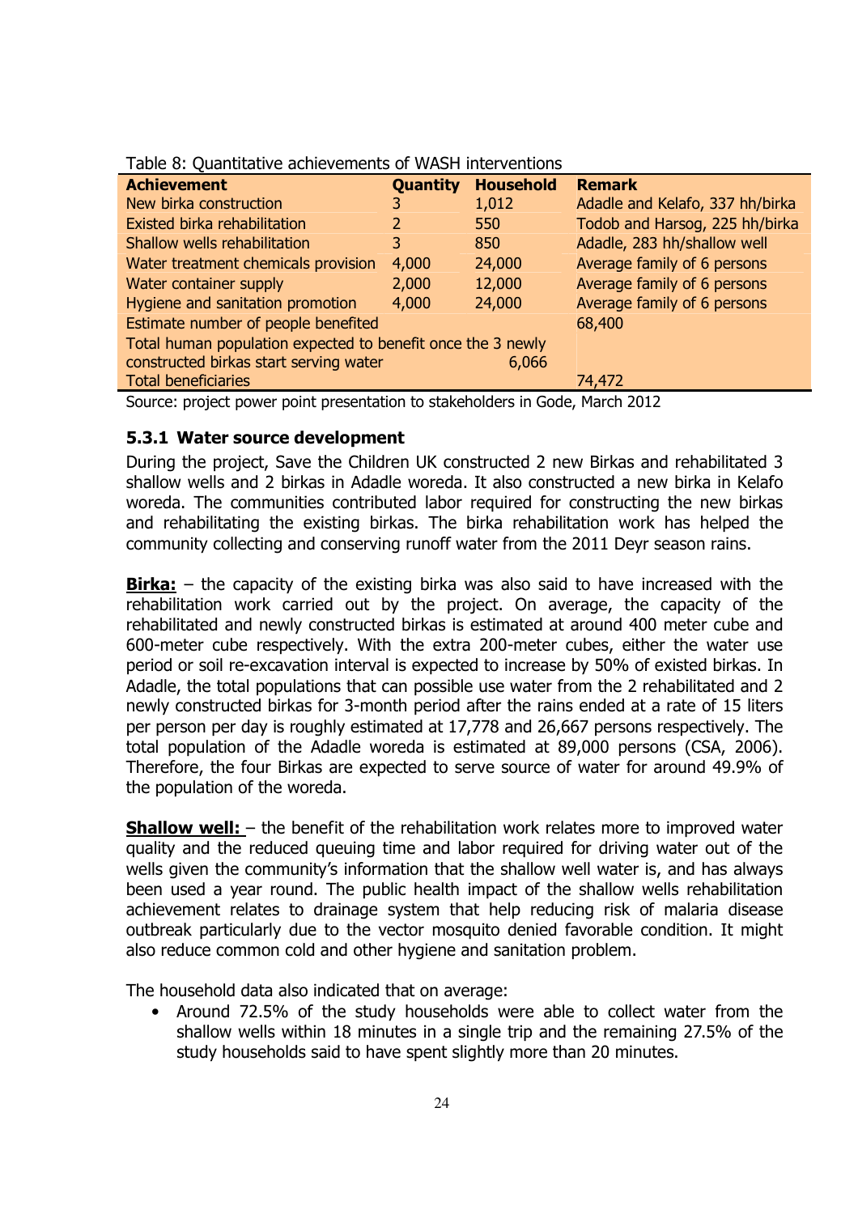| <b>Quantity</b> | <b>Household</b> | <b>Remark</b>                                               |
|-----------------|------------------|-------------------------------------------------------------|
|                 | 1,012            | Adadle and Kelafo, 337 hh/birka                             |
|                 | 550              | Todob and Harsog, 225 hh/birka                              |
| 3               | 850              | Adadle, 283 hh/shallow well                                 |
| 4,000           | 24,000           | Average family of 6 persons                                 |
| 2,000           | 12,000           | Average family of 6 persons                                 |
| 4,000           | 24,000           | Average family of 6 persons                                 |
|                 |                  | 68,400                                                      |
|                 |                  |                                                             |
|                 | 6,066            |                                                             |
|                 |                  | 74,472                                                      |
|                 |                  | Total human population expected to benefit once the 3 newly |

#### Table 8: Quantitative achievements of WASH interventions

Source: project power point presentation to stakeholders in Gode, March 2012

### 5.3.1 Water source development

During the project, Save the Children UK constructed 2 new Birkas and rehabilitated 3 shallow wells and 2 birkas in Adadle woreda. It also constructed a new birka in Kelafo woreda. The communities contributed labor required for constructing the new birkas and rehabilitating the existing birkas. The birka rehabilitation work has helped the community collecting and conserving runoff water from the 2011 Deyr season rains.

**Birka:**  $-$  the capacity of the existing birka was also said to have increased with the rehabilitation work carried out by the project. On average, the capacity of the rehabilitated and newly constructed birkas is estimated at around 400 meter cube and 600-meter cube respectively. With the extra 200-meter cubes, either the water use period or soil re-excavation interval is expected to increase by 50% of existed birkas. In Adadle, the total populations that can possible use water from the 2 rehabilitated and 2 newly constructed birkas for 3-month period after the rains ended at a rate of 15 liters per person per day is roughly estimated at 17,778 and 26,667 persons respectively. The total population of the Adadle woreda is estimated at 89,000 persons (CSA, 2006). Therefore, the four Birkas are expected to serve source of water for around 49.9% of the population of the woreda.

**Shallow well:**  $-$  the benefit of the rehabilitation work relates more to improved water quality and the reduced queuing time and labor required for driving water out of the wells given the community's information that the shallow well water is, and has always been used a year round. The public health impact of the shallow wells rehabilitation achievement relates to drainage system that help reducing risk of malaria disease outbreak particularly due to the vector mosquito denied favorable condition. It might also reduce common cold and other hygiene and sanitation problem.

The household data also indicated that on average:

• Around 72.5% of the study households were able to collect water from the shallow wells within 18 minutes in a single trip and the remaining 27.5% of the study households said to have spent slightly more than 20 minutes.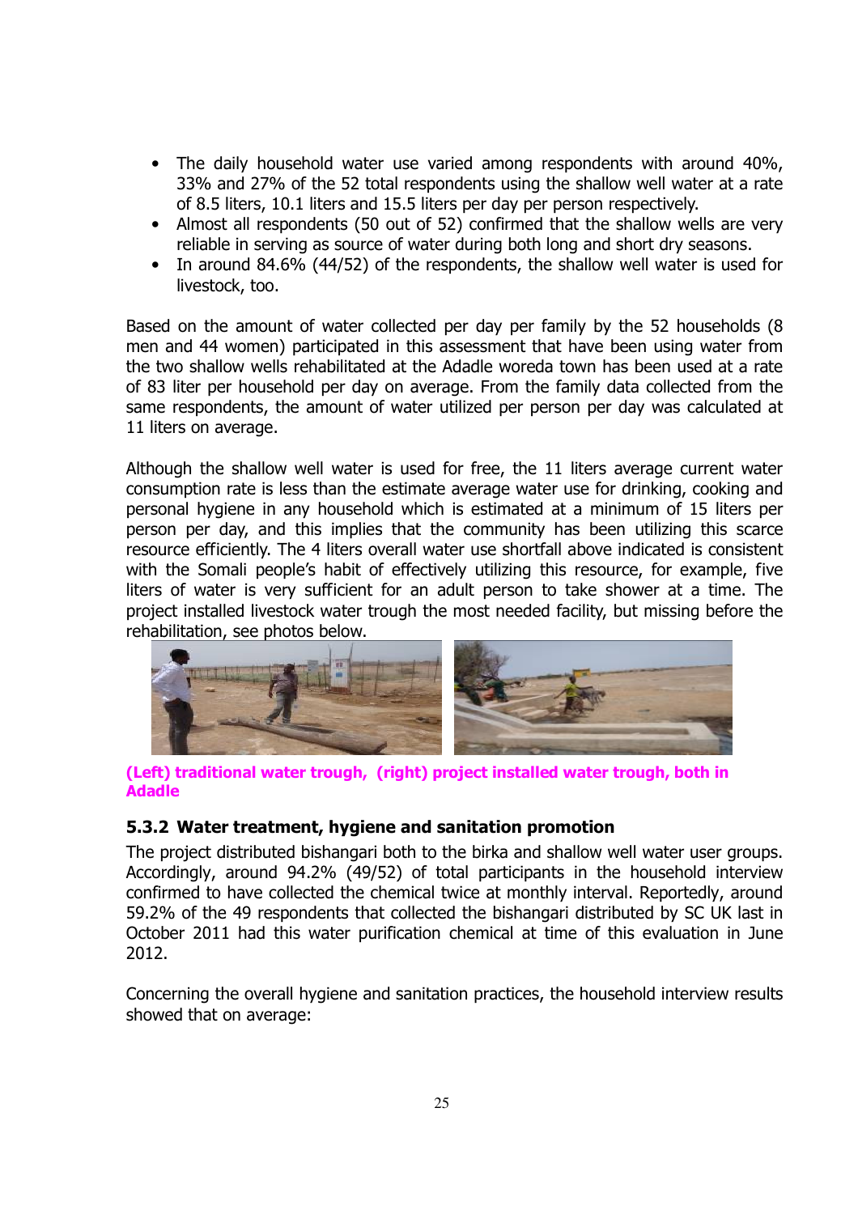- The daily household water use varied among respondents with around 40%, 33% and 27% of the 52 total respondents using the shallow well water at a rate of 8.5 liters, 10.1 liters and 15.5 liters per day per person respectively.
- Almost all respondents (50 out of 52) confirmed that the shallow wells are very reliable in serving as source of water during both long and short dry seasons.
- In around 84.6% (44/52) of the respondents, the shallow well water is used for livestock, too.

Based on the amount of water collected per day per family by the 52 households (8 men and 44 women) participated in this assessment that have been using water from the two shallow wells rehabilitated at the Adadle woreda town has been used at a rate of 83 liter per household per day on average. From the family data collected from the same respondents, the amount of water utilized per person per day was calculated at 11 liters on average.

Although the shallow well water is used for free, the 11 liters average current water consumption rate is less than the estimate average water use for drinking, cooking and personal hygiene in any household which is estimated at a minimum of 15 liters per person per day, and this implies that the community has been utilizing this scarce resource efficiently. The 4 liters overall water use shortfall above indicated is consistent with the Somali people's habit of effectively utilizing this resource, for example, five liters of water is very sufficient for an adult person to take shower at a time. The project installed livestock water trough the most needed facility, but missing before the rehabilitation, see photos below.



(Left) traditional water trough, (right) project installed water trough, both in Adadle

## 5.3.2 Water treatment, hygiene and sanitation promotion

The project distributed bishangari both to the birka and shallow well water user groups. Accordingly, around 94.2% (49/52) of total participants in the household interview confirmed to have collected the chemical twice at monthly interval. Reportedly, around 59.2% of the 49 respondents that collected the bishangari distributed by SC UK last in October 2011 had this water purification chemical at time of this evaluation in June 2012.

Concerning the overall hygiene and sanitation practices, the household interview results showed that on average: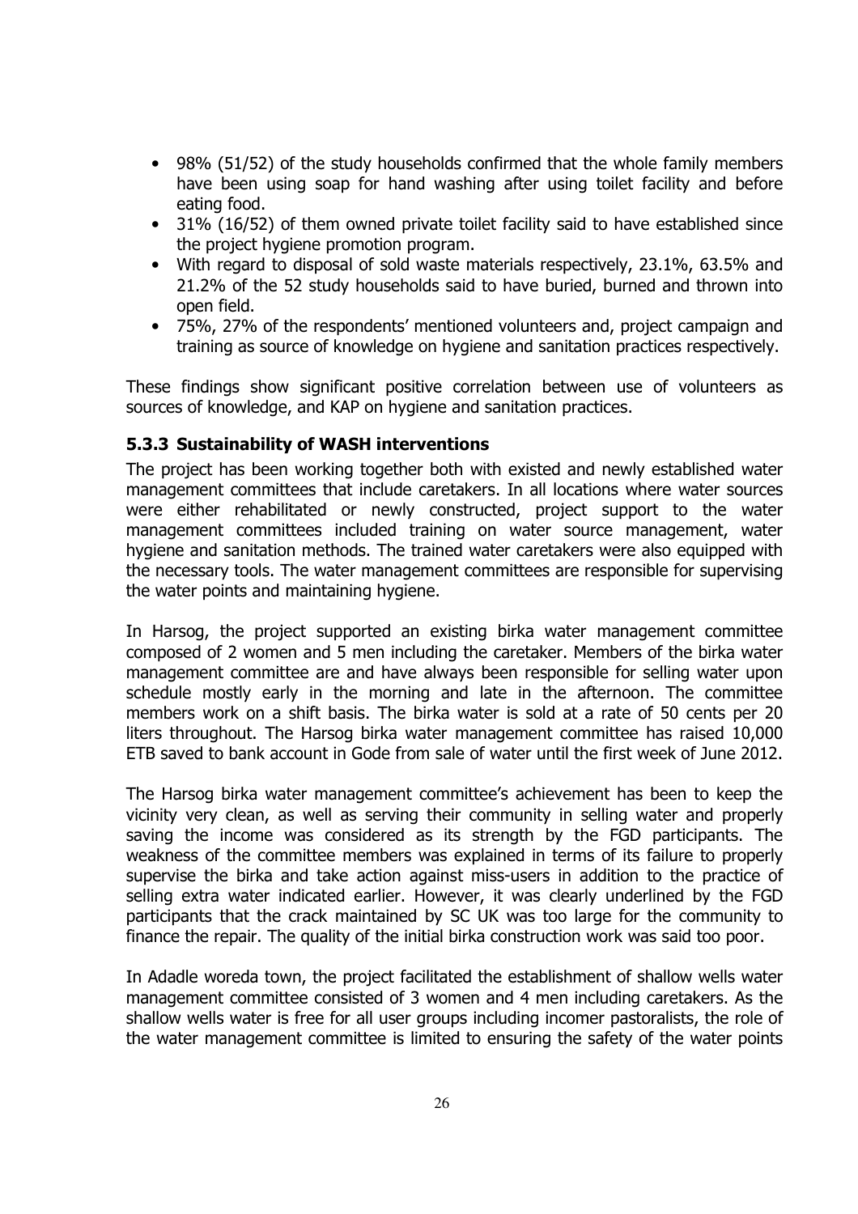- 98% (51/52) of the study households confirmed that the whole family members have been using soap for hand washing after using toilet facility and before eating food.
- 31% (16/52) of them owned private toilet facility said to have established since the project hygiene promotion program.
- With regard to disposal of sold waste materials respectively, 23.1%, 63.5% and 21.2% of the 52 study households said to have buried, burned and thrown into open field.
- 75%, 27% of the respondents' mentioned volunteers and, project campaign and training as source of knowledge on hygiene and sanitation practices respectively.

These findings show significant positive correlation between use of volunteers as sources of knowledge, and KAP on hygiene and sanitation practices.

### 5.3.3 Sustainability of WASH interventions

The project has been working together both with existed and newly established water management committees that include caretakers. In all locations where water sources were either rehabilitated or newly constructed, project support to the water management committees included training on water source management, water hygiene and sanitation methods. The trained water caretakers were also equipped with the necessary tools. The water management committees are responsible for supervising the water points and maintaining hygiene.

In Harsog, the project supported an existing birka water management committee composed of 2 women and 5 men including the caretaker. Members of the birka water management committee are and have always been responsible for selling water upon schedule mostly early in the morning and late in the afternoon. The committee members work on a shift basis. The birka water is sold at a rate of 50 cents per 20 liters throughout. The Harsog birka water management committee has raised 10,000 ETB saved to bank account in Gode from sale of water until the first week of June 2012.

The Harsog birka water management committee's achievement has been to keep the vicinity very clean, as well as serving their community in selling water and properly saving the income was considered as its strength by the FGD participants. The weakness of the committee members was explained in terms of its failure to properly supervise the birka and take action against miss-users in addition to the practice of selling extra water indicated earlier. However, it was clearly underlined by the FGD participants that the crack maintained by SC UK was too large for the community to finance the repair. The quality of the initial birka construction work was said too poor.

In Adadle woreda town, the project facilitated the establishment of shallow wells water management committee consisted of 3 women and 4 men including caretakers. As the shallow wells water is free for all user groups including incomer pastoralists, the role of the water management committee is limited to ensuring the safety of the water points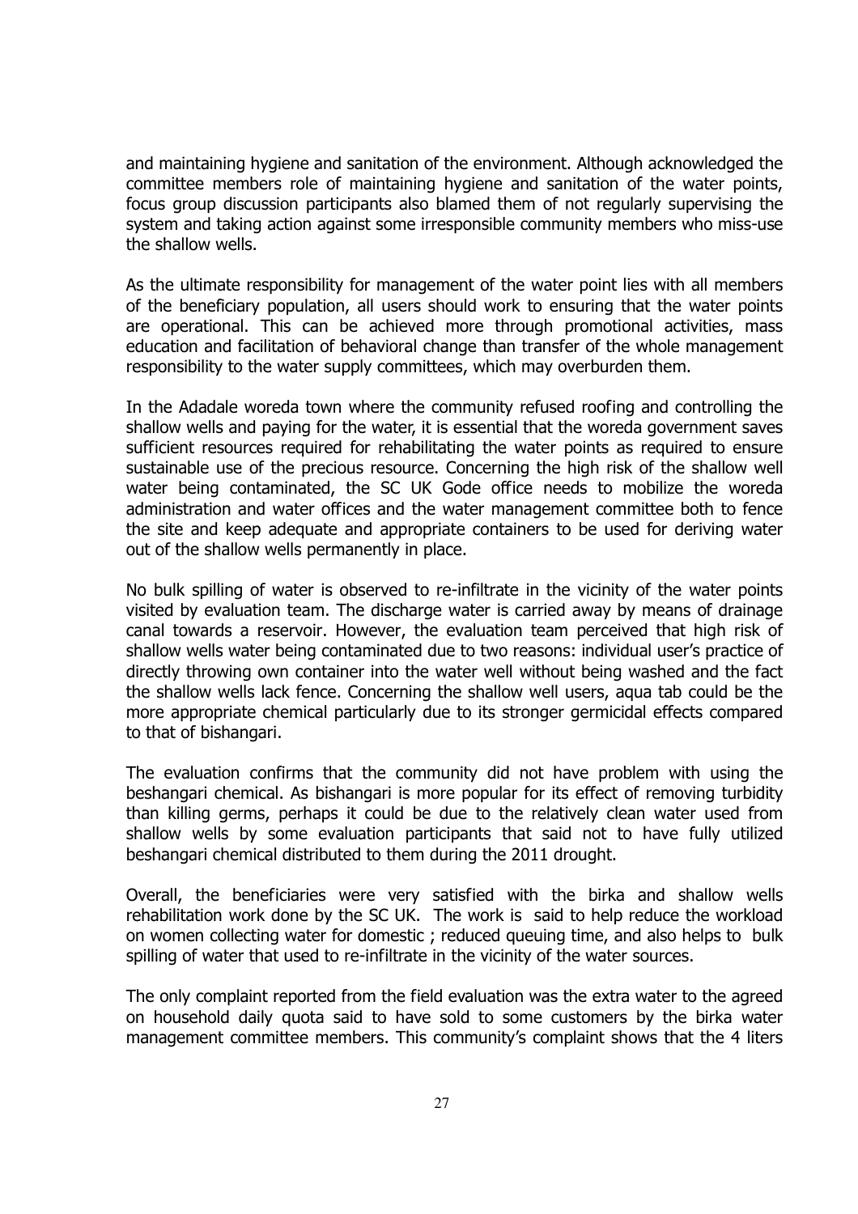and maintaining hygiene and sanitation of the environment. Although acknowledged the committee members role of maintaining hygiene and sanitation of the water points, focus group discussion participants also blamed them of not regularly supervising the system and taking action against some irresponsible community members who miss-use the shallow wells.

As the ultimate responsibility for management of the water point lies with all members of the beneficiary population, all users should work to ensuring that the water points are operational. This can be achieved more through promotional activities, mass education and facilitation of behavioral change than transfer of the whole management responsibility to the water supply committees, which may overburden them.

In the Adadale woreda town where the community refused roofing and controlling the shallow wells and paying for the water, it is essential that the woreda government saves sufficient resources required for rehabilitating the water points as required to ensure sustainable use of the precious resource. Concerning the high risk of the shallow well water being contaminated, the SC UK Gode office needs to mobilize the woreda administration and water offices and the water management committee both to fence the site and keep adequate and appropriate containers to be used for deriving water out of the shallow wells permanently in place.

No bulk spilling of water is observed to re-infiltrate in the vicinity of the water points visited by evaluation team. The discharge water is carried away by means of drainage canal towards a reservoir. However, the evaluation team perceived that high risk of shallow wells water being contaminated due to two reasons: individual user's practice of directly throwing own container into the water well without being washed and the fact the shallow wells lack fence. Concerning the shallow well users, aqua tab could be the more appropriate chemical particularly due to its stronger germicidal effects compared to that of bishangari.

The evaluation confirms that the community did not have problem with using the beshangari chemical. As bishangari is more popular for its effect of removing turbidity than killing germs, perhaps it could be due to the relatively clean water used from shallow wells by some evaluation participants that said not to have fully utilized beshangari chemical distributed to them during the 2011 drought.

Overall, the beneficiaries were very satisfied with the birka and shallow wells rehabilitation work done by the SC UK. The work is said to help reduce the workload on women collecting water for domestic ; reduced queuing time, and also helps to bulk spilling of water that used to re-infiltrate in the vicinity of the water sources.

The only complaint reported from the field evaluation was the extra water to the agreed on household daily quota said to have sold to some customers by the birka water management committee members. This community's complaint shows that the 4 liters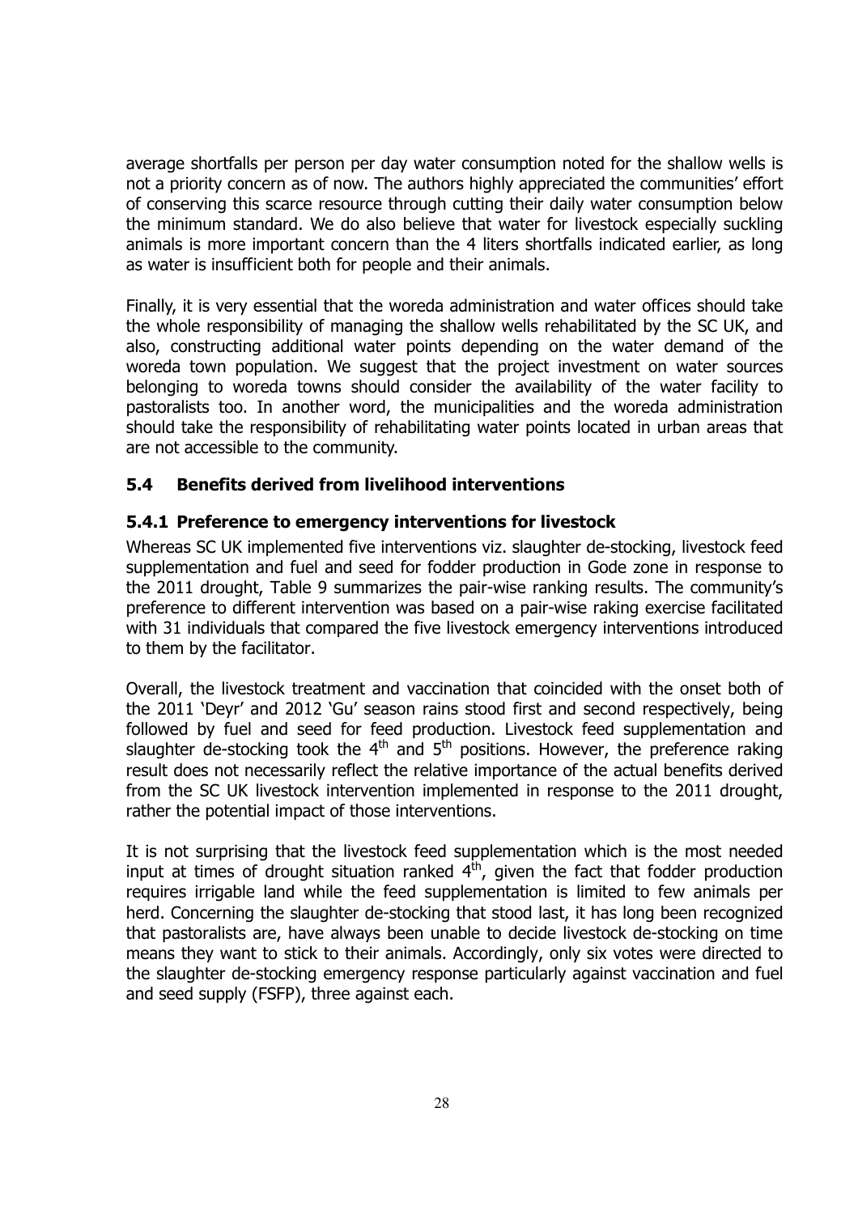average shortfalls per person per day water consumption noted for the shallow wells is not a priority concern as of now. The authors highly appreciated the communities' effort of conserving this scarce resource through cutting their daily water consumption below the minimum standard. We do also believe that water for livestock especially suckling animals is more important concern than the 4 liters shortfalls indicated earlier, as long as water is insufficient both for people and their animals.

Finally, it is very essential that the woreda administration and water offices should take the whole responsibility of managing the shallow wells rehabilitated by the SC UK, and also, constructing additional water points depending on the water demand of the woreda town population. We suggest that the project investment on water sources belonging to woreda towns should consider the availability of the water facility to pastoralists too. In another word, the municipalities and the woreda administration should take the responsibility of rehabilitating water points located in urban areas that are not accessible to the community.

### 5.4 Benefits derived from livelihood interventions

### 5.4.1 Preference to emergency interventions for livestock

Whereas SC UK implemented five interventions viz. slaughter de-stocking, livestock feed supplementation and fuel and seed for fodder production in Gode zone in response to the 2011 drought, Table 9 summarizes the pair-wise ranking results. The community's preference to different intervention was based on a pair-wise raking exercise facilitated with 31 individuals that compared the five livestock emergency interventions introduced to them by the facilitator.

Overall, the livestock treatment and vaccination that coincided with the onset both of the 2011 'Deyr' and 2012 'Gu' season rains stood first and second respectively, being followed by fuel and seed for feed production. Livestock feed supplementation and slaughter de-stocking took the  $4<sup>th</sup>$  and  $5<sup>th</sup>$  positions. However, the preference raking result does not necessarily reflect the relative importance of the actual benefits derived from the SC UK livestock intervention implemented in response to the 2011 drought, rather the potential impact of those interventions.

It is not surprising that the livestock feed supplementation which is the most needed input at times of drought situation ranked  $4<sup>th</sup>$ , given the fact that fodder production requires irrigable land while the feed supplementation is limited to few animals per herd. Concerning the slaughter de-stocking that stood last, it has long been recognized that pastoralists are, have always been unable to decide livestock de-stocking on time means they want to stick to their animals. Accordingly, only six votes were directed to the slaughter de-stocking emergency response particularly against vaccination and fuel and seed supply (FSFP), three against each.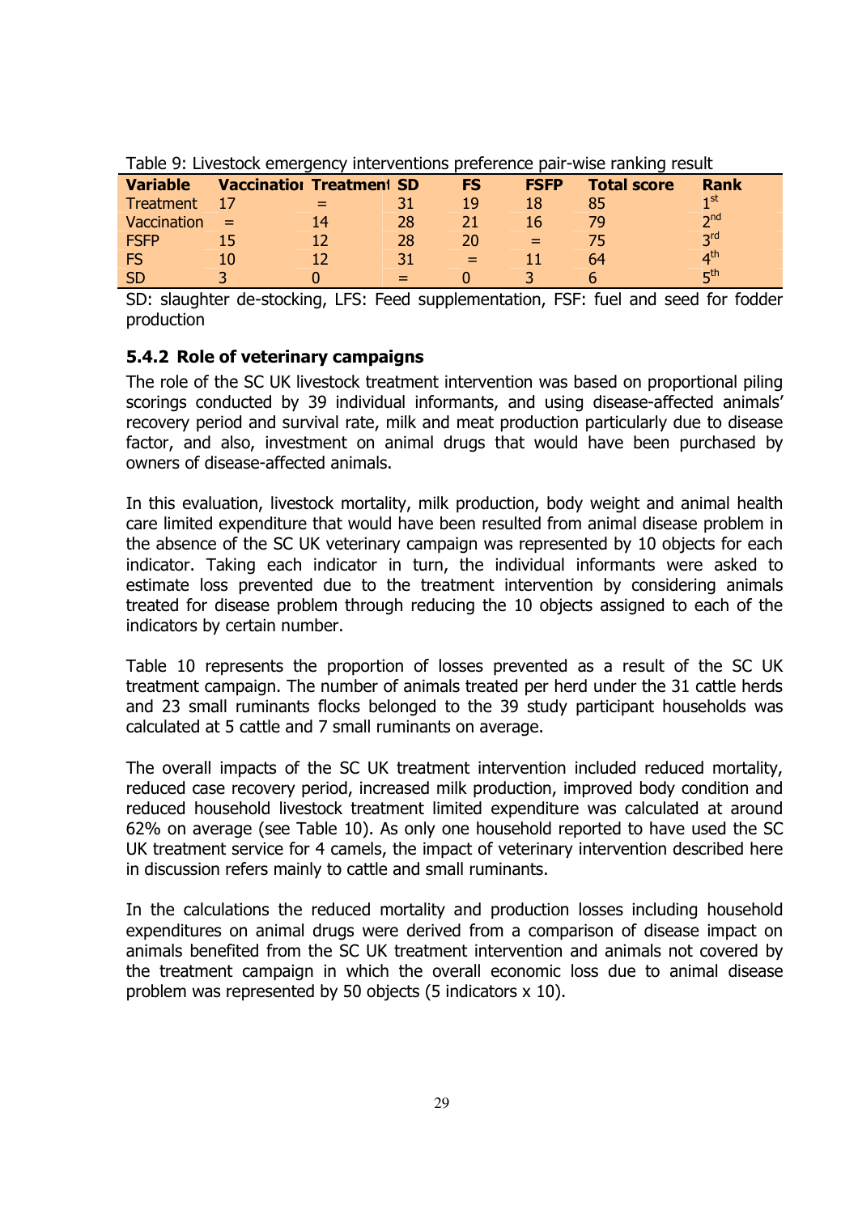| <b>Variable</b>  | <b>Vaccination Treatment SD</b> |    |    | <b>FS</b> | <b>FSFP</b> | <b>Total score</b> | <b>Rank</b>     |
|------------------|---------------------------------|----|----|-----------|-------------|--------------------|-----------------|
| <b>Treatment</b> |                                 |    | 31 | 19        | 18          | 85                 | $1$ st          |
| Vaccination      | $=$                             | 14 | 28 | 21        | 16          | 79                 | $\mathsf{p}$ nd |
| <b>FSFP</b>      |                                 |    | 28 | 20        | $=$         | 75                 | 2rd             |
| <b>FS</b>        |                                 |    | 31 | $=$       |             | 64                 | 4 <sup>th</sup> |
| <b>SD</b>        |                                 |    |    |           |             |                    | E <sub>th</sub> |

Table 9: Livestock emergency interventions preference pair-wise ranking result

SD: slaughter de-stocking, LFS: Feed supplementation, FSF: fuel and seed for fodder production

### 5.4.2 Role of veterinary campaigns

The role of the SC UK livestock treatment intervention was based on proportional piling scorings conducted by 39 individual informants, and using disease-affected animals' recovery period and survival rate, milk and meat production particularly due to disease factor, and also, investment on animal drugs that would have been purchased by owners of disease-affected animals.

In this evaluation, livestock mortality, milk production, body weight and animal health care limited expenditure that would have been resulted from animal disease problem in the absence of the SC UK veterinary campaign was represented by 10 objects for each indicator. Taking each indicator in turn, the individual informants were asked to estimate loss prevented due to the treatment intervention by considering animals treated for disease problem through reducing the 10 objects assigned to each of the indicators by certain number.

Table 10 represents the proportion of losses prevented as a result of the SC UK treatment campaign. The number of animals treated per herd under the 31 cattle herds and 23 small ruminants flocks belonged to the 39 study participant households was calculated at 5 cattle and 7 small ruminants on average.

The overall impacts of the SC UK treatment intervention included reduced mortality, reduced case recovery period, increased milk production, improved body condition and reduced household livestock treatment limited expenditure was calculated at around 62% on average (see Table 10). As only one household reported to have used the SC UK treatment service for 4 camels, the impact of veterinary intervention described here in discussion refers mainly to cattle and small ruminants.

In the calculations the reduced mortality and production losses including household expenditures on animal drugs were derived from a comparison of disease impact on animals benefited from the SC UK treatment intervention and animals not covered by the treatment campaign in which the overall economic loss due to animal disease problem was represented by 50 objects (5 indicators x 10).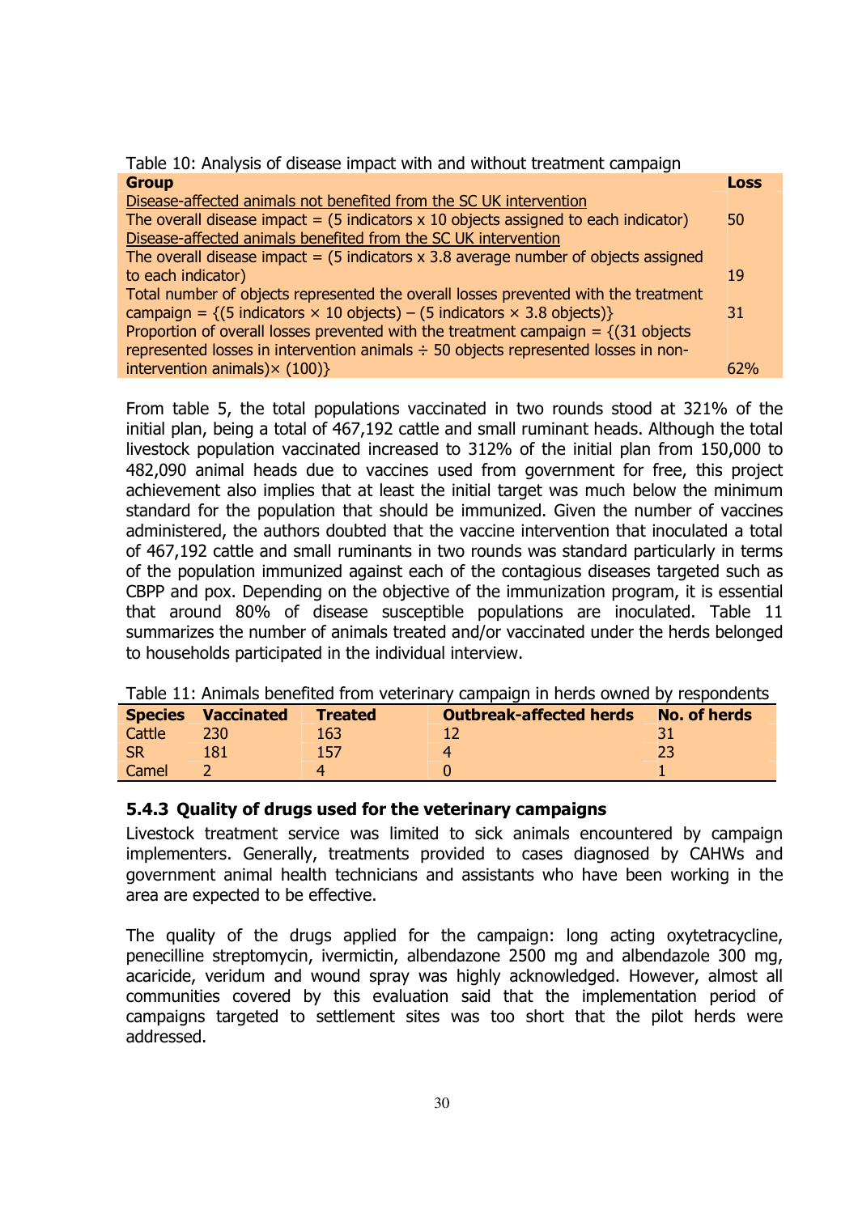Table 10: Analysis of disease impact with and without treatment campaign **Group Contract Contract Contract Contract Contract Contract Contract Contract Contract Contract Contract Contr** 

| Givup                                                                                                                 | нчы |
|-----------------------------------------------------------------------------------------------------------------------|-----|
| Disease-affected animals not benefited from the SC UK intervention                                                    |     |
| The overall disease impact = $(5 \text{ indicators} \times 10 \text{ objects assigned to each indicator})$            | 50  |
| Disease-affected animals benefited from the SC UK intervention                                                        |     |
| The overall disease impact $=$ (5 indicators x 3.8 average number of objects assigned                                 |     |
| to each indicator)                                                                                                    | 19  |
| Total number of objects represented the overall losses prevented with the treatment                                   |     |
| campaign = $\{(5 \text{ indicators} \times 10 \text{ objects}) - (5 \text{ indicators} \times 3.8 \text{ objects})\}$ | 31  |
| Proportion of overall losses prevented with the treatment campaign = $\{(31 \text{ objects}$                          |     |
| represented losses in intervention animals $\div$ 50 objects represented losses in non-                               |     |
| intervention animals) $\times$ (100)}                                                                                 | 62% |
|                                                                                                                       |     |

From table 5, the total populations vaccinated in two rounds stood at 321% of the initial plan, being a total of 467,192 cattle and small ruminant heads. Although the total livestock population vaccinated increased to 312% of the initial plan from 150,000 to 482,090 animal heads due to vaccines used from government for free, this project achievement also implies that at least the initial target was much below the minimum standard for the population that should be immunized. Given the number of vaccines administered, the authors doubted that the vaccine intervention that inoculated a total of 467,192 cattle and small ruminants in two rounds was standard particularly in terms of the population immunized against each of the contagious diseases targeted such as CBPP and pox. Depending on the objective of the immunization program, it is essential that around 80% of disease susceptible populations are inoculated. Table 11 summarizes the number of animals treated and/or vaccinated under the herds belonged to households participated in the individual interview.

|        | <b>Species Vaccinated</b> | <b>Treated</b> | <b>Outbreak-affected herds</b> | No. of herds |  |  |  |  |
|--------|---------------------------|----------------|--------------------------------|--------------|--|--|--|--|
| Cattle | 230                       | 163.           |                                |              |  |  |  |  |
| -SR    | 181                       | 157            |                                |              |  |  |  |  |
| Camel  |                           |                |                                |              |  |  |  |  |

Table 11: Animals benefited from veterinary campaign in herds owned by respondents

#### 5.4.3 Quality of drugs used for the veterinary campaigns

Livestock treatment service was limited to sick animals encountered by campaign implementers. Generally, treatments provided to cases diagnosed by CAHWs and government animal health technicians and assistants who have been working in the area are expected to be effective.

The quality of the drugs applied for the campaign: long acting oxytetracycline, penecilline streptomycin, ivermictin, albendazone 2500 mg and albendazole 300 mg, acaricide, veridum and wound spray was highly acknowledged. However, almost all communities covered by this evaluation said that the implementation period of campaigns targeted to settlement sites was too short that the pilot herds were addressed.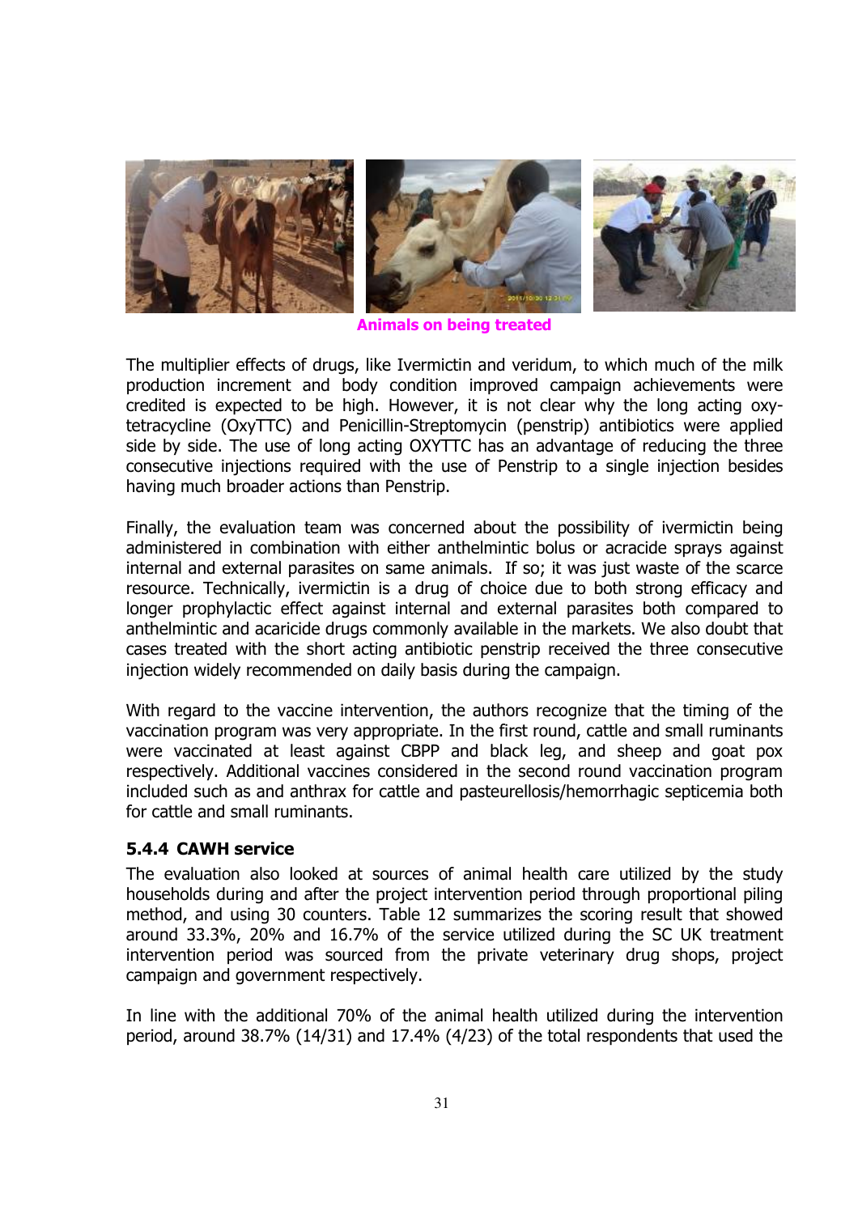

Animals on being treated

The multiplier effects of drugs, like Ivermictin and veridum, to which much of the milk production increment and body condition improved campaign achievements were credited is expected to be high. However, it is not clear why the long acting oxytetracycline (OxyTTC) and Penicillin-Streptomycin (penstrip) antibiotics were applied side by side. The use of long acting OXYTTC has an advantage of reducing the three consecutive injections required with the use of Penstrip to a single injection besides having much broader actions than Penstrip.

Finally, the evaluation team was concerned about the possibility of ivermictin being administered in combination with either anthelmintic bolus or acracide sprays against internal and external parasites on same animals. If so; it was just waste of the scarce resource. Technically, ivermictin is a drug of choice due to both strong efficacy and longer prophylactic effect against internal and external parasites both compared to anthelmintic and acaricide drugs commonly available in the markets. We also doubt that cases treated with the short acting antibiotic penstrip received the three consecutive injection widely recommended on daily basis during the campaign.

With regard to the vaccine intervention, the authors recognize that the timing of the vaccination program was very appropriate. In the first round, cattle and small ruminants were vaccinated at least against CBPP and black leg, and sheep and goat pox respectively. Additional vaccines considered in the second round vaccination program included such as and anthrax for cattle and pasteurellosis/hemorrhagic septicemia both for cattle and small ruminants.

#### 5.4.4 CAWH service

The evaluation also looked at sources of animal health care utilized by the study households during and after the project intervention period through proportional piling method, and using 30 counters. Table 12 summarizes the scoring result that showed around 33.3%, 20% and 16.7% of the service utilized during the SC UK treatment intervention period was sourced from the private veterinary drug shops, project campaign and government respectively.

In line with the additional 70% of the animal health utilized during the intervention period, around 38.7% (14/31) and 17.4% (4/23) of the total respondents that used the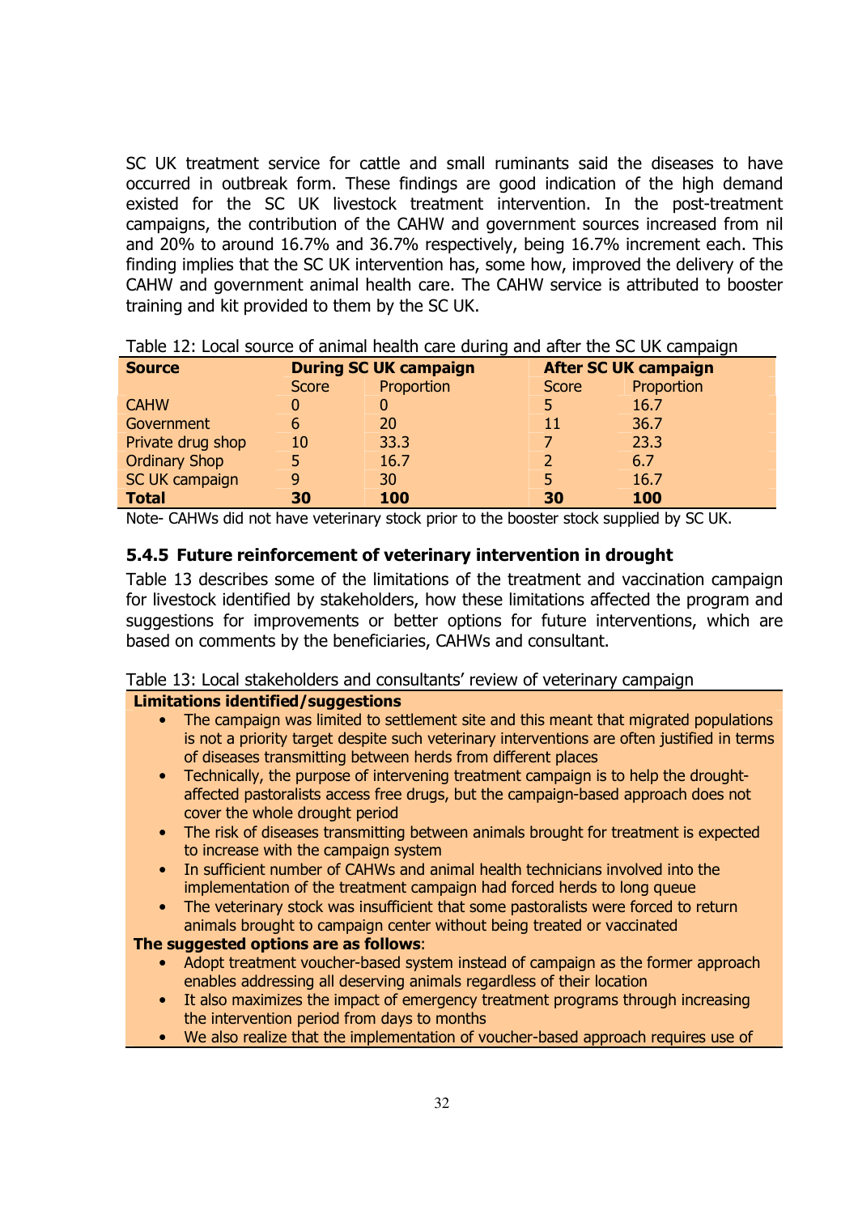SC UK treatment service for cattle and small ruminants said the diseases to have occurred in outbreak form. These findings are good indication of the high demand existed for the SC UK livestock treatment intervention. In the post-treatment campaigns, the contribution of the CAHW and government sources increased from nil and 20% to around 16.7% and 36.7% respectively, being 16.7% increment each. This finding implies that the SC UK intervention has, some how, improved the delivery of the CAHW and government animal health care. The CAHW service is attributed to booster training and kit provided to them by the SC UK.

| <b>Source</b>        | <b>During SC UK campaign</b> |            | <b>After SC UK campaign</b> |            |
|----------------------|------------------------------|------------|-----------------------------|------------|
|                      | Score                        | Proportion | <b>Score</b>                | Proportion |
| <b>CAHW</b>          |                              |            |                             | 16.7       |
| Government           | 6                            | 20         |                             | 36.7       |
| Private drug shop    | 10                           | 33.3       |                             | 23.3       |
| <b>Ordinary Shop</b> | 5                            | 16.7       |                             | 6.7        |
| SC UK campaign       | 9                            | 30         |                             | 16.7       |
| <b>Total</b>         | 30                           | 100        | 30                          | 100        |

Table 12: Local source of animal health care during and after the SC UK campaign

Note- CAHWs did not have veterinary stock prior to the booster stock supplied by SC UK.

### 5.4.5 Future reinforcement of veterinary intervention in drought

Table 13 describes some of the limitations of the treatment and vaccination campaign for livestock identified by stakeholders, how these limitations affected the program and suggestions for improvements or better options for future interventions, which are based on comments by the beneficiaries, CAHWs and consultant.

#### Table 13: Local stakeholders and consultants' review of veterinary campaign

### Limitations identified/suggestions

- The campaign was limited to settlement site and this meant that migrated populations is not a priority target despite such veterinary interventions are often justified in terms of diseases transmitting between herds from different places
- Technically, the purpose of intervening treatment campaign is to help the droughtaffected pastoralists access free drugs, but the campaign-based approach does not cover the whole drought period
- The risk of diseases transmitting between animals brought for treatment is expected to increase with the campaign system
- In sufficient number of CAHWs and animal health technicians involved into the implementation of the treatment campaign had forced herds to long queue
- The veterinary stock was insufficient that some pastoralists were forced to return animals brought to campaign center without being treated or vaccinated

#### The suggested options are as follows:

- Adopt treatment voucher-based system instead of campaign as the former approach enables addressing all deserving animals regardless of their location
- It also maximizes the impact of emergency treatment programs through increasing the intervention period from days to months
- We also realize that the implementation of voucher-based approach requires use of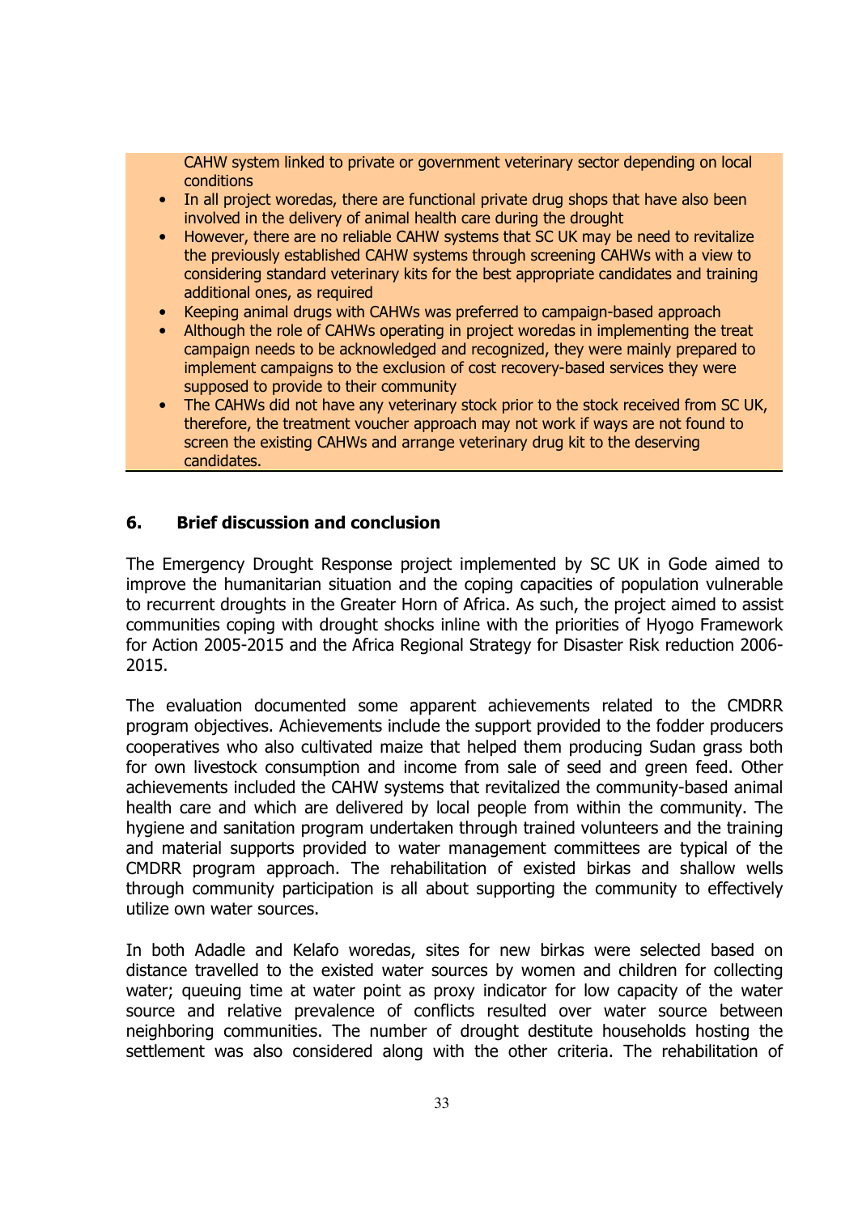CAHW system linked to private or government veterinary sector depending on local conditions

- In all project woredas, there are functional private drug shops that have also been involved in the delivery of animal health care during the drought
- However, there are no reliable CAHW systems that SC UK may be need to revitalize the previously established CAHW systems through screening CAHWs with a view to considering standard veterinary kits for the best appropriate candidates and training additional ones, as required
- Keeping animal drugs with CAHWs was preferred to campaign-based approach
- Although the role of CAHWs operating in project woredas in implementing the treat campaign needs to be acknowledged and recognized, they were mainly prepared to implement campaigns to the exclusion of cost recovery-based services they were supposed to provide to their community
- The CAHWs did not have any veterinary stock prior to the stock received from SC UK, therefore, the treatment voucher approach may not work if ways are not found to screen the existing CAHWs and arrange veterinary drug kit to the deserving candidates.

### 6. Brief discussion and conclusion

The Emergency Drought Response project implemented by SC UK in Gode aimed to improve the humanitarian situation and the coping capacities of population vulnerable to recurrent droughts in the Greater Horn of Africa. As such, the project aimed to assist communities coping with drought shocks inline with the priorities of Hyogo Framework for Action 2005-2015 and the Africa Regional Strategy for Disaster Risk reduction 2006- 2015.

The evaluation documented some apparent achievements related to the CMDRR program objectives. Achievements include the support provided to the fodder producers cooperatives who also cultivated maize that helped them producing Sudan grass both for own livestock consumption and income from sale of seed and green feed. Other achievements included the CAHW systems that revitalized the community-based animal health care and which are delivered by local people from within the community. The hygiene and sanitation program undertaken through trained volunteers and the training and material supports provided to water management committees are typical of the CMDRR program approach. The rehabilitation of existed birkas and shallow wells through community participation is all about supporting the community to effectively utilize own water sources.

In both Adadle and Kelafo woredas, sites for new birkas were selected based on distance travelled to the existed water sources by women and children for collecting water; queuing time at water point as proxy indicator for low capacity of the water source and relative prevalence of conflicts resulted over water source between neighboring communities. The number of drought destitute households hosting the settlement was also considered along with the other criteria. The rehabilitation of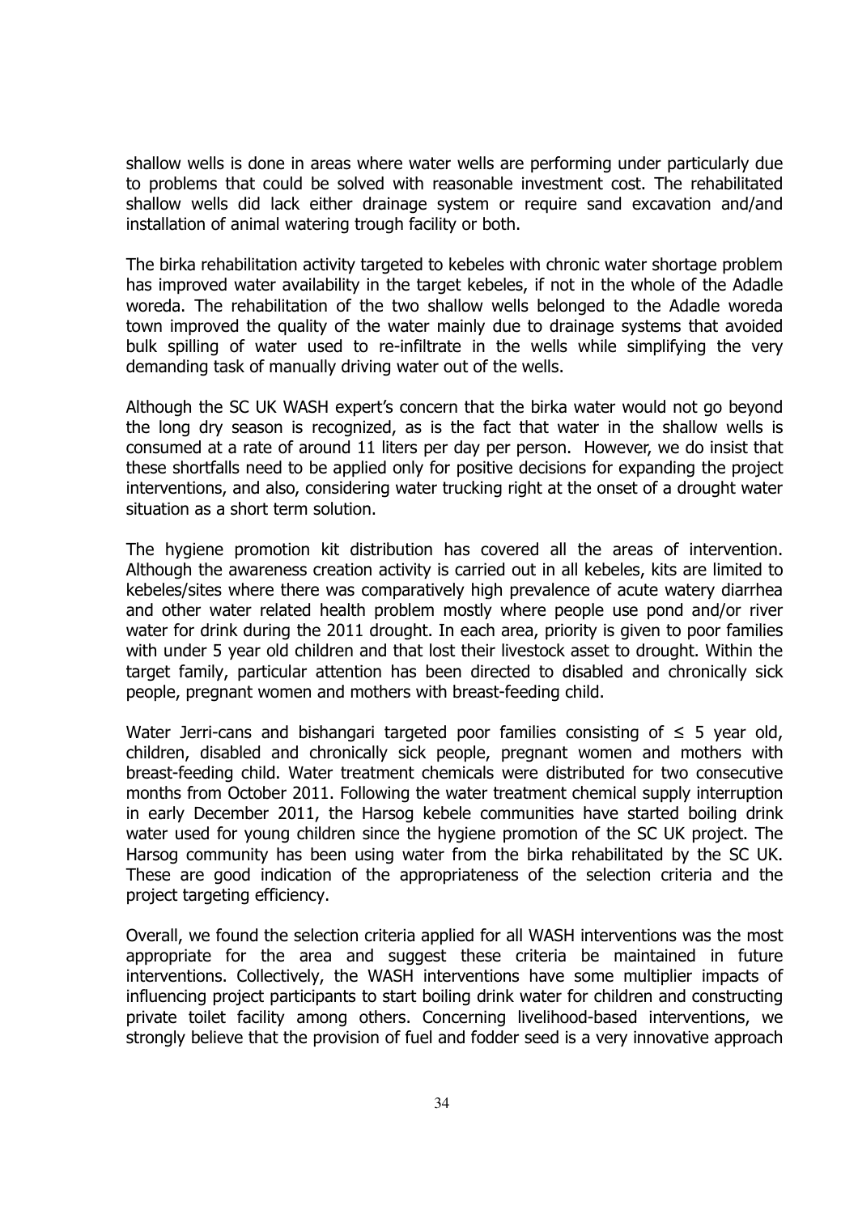shallow wells is done in areas where water wells are performing under particularly due to problems that could be solved with reasonable investment cost. The rehabilitated shallow wells did lack either drainage system or require sand excavation and/and installation of animal watering trough facility or both.

The birka rehabilitation activity targeted to kebeles with chronic water shortage problem has improved water availability in the target kebeles, if not in the whole of the Adadle woreda. The rehabilitation of the two shallow wells belonged to the Adadle woreda town improved the quality of the water mainly due to drainage systems that avoided bulk spilling of water used to re-infiltrate in the wells while simplifying the very demanding task of manually driving water out of the wells.

Although the SC UK WASH expert's concern that the birka water would not go beyond the long dry season is recognized, as is the fact that water in the shallow wells is consumed at a rate of around 11 liters per day per person. However, we do insist that these shortfalls need to be applied only for positive decisions for expanding the project interventions, and also, considering water trucking right at the onset of a drought water situation as a short term solution.

The hygiene promotion kit distribution has covered all the areas of intervention. Although the awareness creation activity is carried out in all kebeles, kits are limited to kebeles/sites where there was comparatively high prevalence of acute watery diarrhea and other water related health problem mostly where people use pond and/or river water for drink during the 2011 drought. In each area, priority is given to poor families with under 5 year old children and that lost their livestock asset to drought. Within the target family, particular attention has been directed to disabled and chronically sick people, pregnant women and mothers with breast-feeding child.

Water Jerri-cans and bishangari targeted poor families consisting of  $\leq$  5 year old, children, disabled and chronically sick people, pregnant women and mothers with breast-feeding child. Water treatment chemicals were distributed for two consecutive months from October 2011. Following the water treatment chemical supply interruption in early December 2011, the Harsog kebele communities have started boiling drink water used for young children since the hygiene promotion of the SC UK project. The Harsog community has been using water from the birka rehabilitated by the SC UK. These are good indication of the appropriateness of the selection criteria and the project targeting efficiency.

Overall, we found the selection criteria applied for all WASH interventions was the most appropriate for the area and suggest these criteria be maintained in future interventions. Collectively, the WASH interventions have some multiplier impacts of influencing project participants to start boiling drink water for children and constructing private toilet facility among others. Concerning livelihood-based interventions, we strongly believe that the provision of fuel and fodder seed is a very innovative approach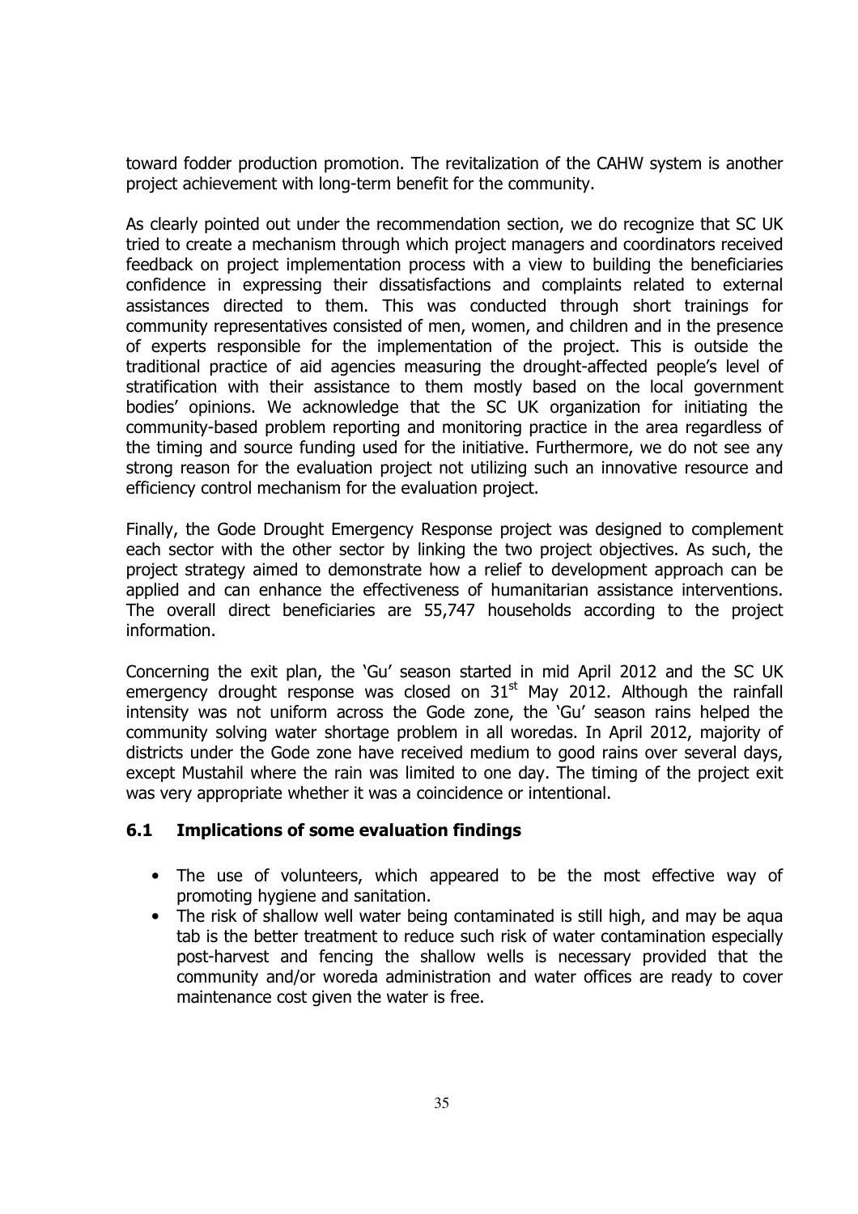toward fodder production promotion. The revitalization of the CAHW system is another project achievement with long-term benefit for the community.

As clearly pointed out under the recommendation section, we do recognize that SC UK tried to create a mechanism through which project managers and coordinators received feedback on project implementation process with a view to building the beneficiaries confidence in expressing their dissatisfactions and complaints related to external assistances directed to them. This was conducted through short trainings for community representatives consisted of men, women, and children and in the presence of experts responsible for the implementation of the project. This is outside the traditional practice of aid agencies measuring the drought-affected people's level of stratification with their assistance to them mostly based on the local government bodies' opinions. We acknowledge that the SC UK organization for initiating the community-based problem reporting and monitoring practice in the area regardless of the timing and source funding used for the initiative. Furthermore, we do not see any strong reason for the evaluation project not utilizing such an innovative resource and efficiency control mechanism for the evaluation project.

Finally, the Gode Drought Emergency Response project was designed to complement each sector with the other sector by linking the two project objectives. As such, the project strategy aimed to demonstrate how a relief to development approach can be applied and can enhance the effectiveness of humanitarian assistance interventions. The overall direct beneficiaries are 55,747 households according to the project information.

Concerning the exit plan, the 'Gu' season started in mid April 2012 and the SC UK emergency drought response was closed on  $31<sup>st</sup>$  May 2012. Although the rainfall intensity was not uniform across the Gode zone, the 'Gu' season rains helped the community solving water shortage problem in all woredas. In April 2012, majority of districts under the Gode zone have received medium to good rains over several days, except Mustahil where the rain was limited to one day. The timing of the project exit was very appropriate whether it was a coincidence or intentional.

### 6.1 Implications of some evaluation findings

- The use of volunteers, which appeared to be the most effective way of promoting hygiene and sanitation.
- The risk of shallow well water being contaminated is still high, and may be aqua tab is the better treatment to reduce such risk of water contamination especially post-harvest and fencing the shallow wells is necessary provided that the community and/or woreda administration and water offices are ready to cover maintenance cost given the water is free.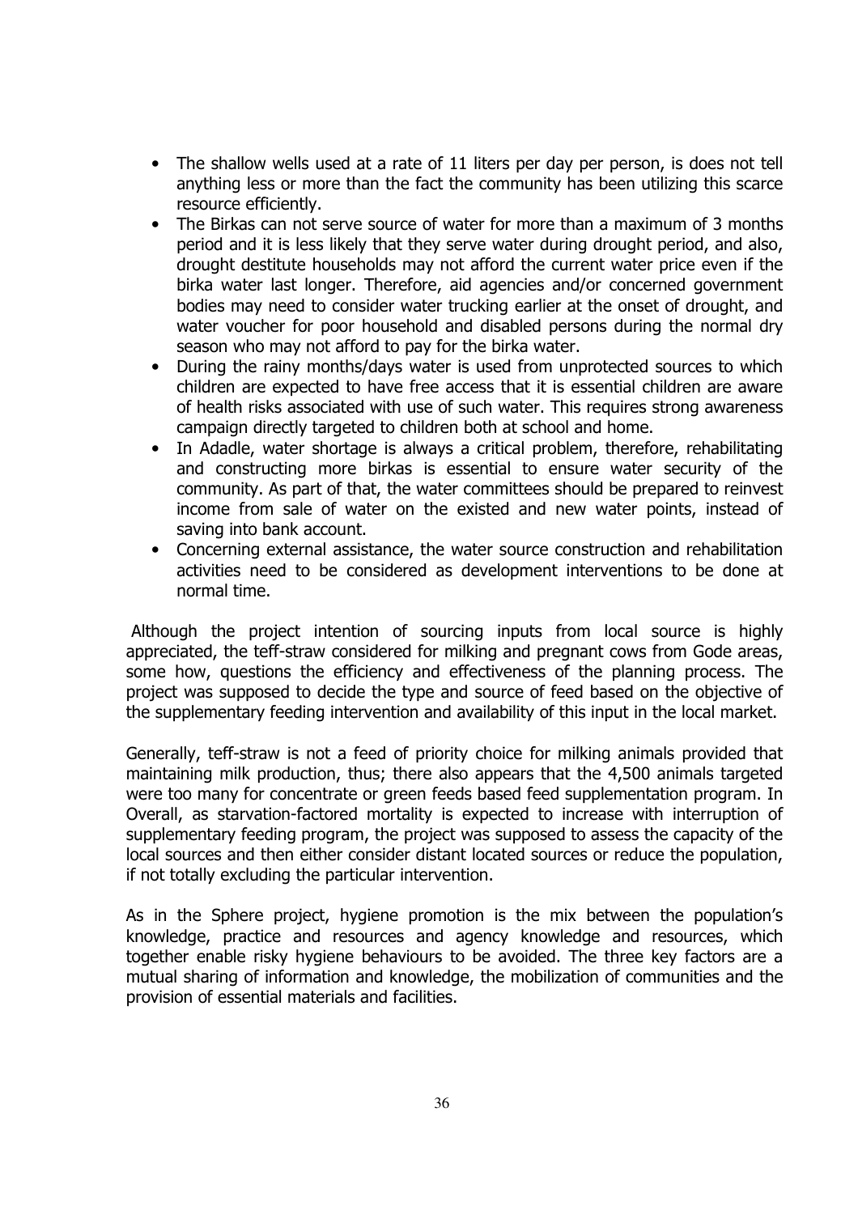- The shallow wells used at a rate of 11 liters per day per person, is does not tell anything less or more than the fact the community has been utilizing this scarce resource efficiently.
- The Birkas can not serve source of water for more than a maximum of 3 months period and it is less likely that they serve water during drought period, and also, drought destitute households may not afford the current water price even if the birka water last longer. Therefore, aid agencies and/or concerned government bodies may need to consider water trucking earlier at the onset of drought, and water voucher for poor household and disabled persons during the normal dry season who may not afford to pay for the birka water.
- During the rainy months/days water is used from unprotected sources to which children are expected to have free access that it is essential children are aware of health risks associated with use of such water. This requires strong awareness campaign directly targeted to children both at school and home.
- In Adadle, water shortage is always a critical problem, therefore, rehabilitating and constructing more birkas is essential to ensure water security of the community. As part of that, the water committees should be prepared to reinvest income from sale of water on the existed and new water points, instead of saving into bank account.
- Concerning external assistance, the water source construction and rehabilitation activities need to be considered as development interventions to be done at normal time.

 Although the project intention of sourcing inputs from local source is highly appreciated, the teff-straw considered for milking and pregnant cows from Gode areas, some how, questions the efficiency and effectiveness of the planning process. The project was supposed to decide the type and source of feed based on the objective of the supplementary feeding intervention and availability of this input in the local market.

Generally, teff-straw is not a feed of priority choice for milking animals provided that maintaining milk production, thus; there also appears that the 4,500 animals targeted were too many for concentrate or green feeds based feed supplementation program. In Overall, as starvation-factored mortality is expected to increase with interruption of supplementary feeding program, the project was supposed to assess the capacity of the local sources and then either consider distant located sources or reduce the population, if not totally excluding the particular intervention.

As in the Sphere project, hygiene promotion is the mix between the population's knowledge, practice and resources and agency knowledge and resources, which together enable risky hygiene behaviours to be avoided. The three key factors are a mutual sharing of information and knowledge, the mobilization of communities and the provision of essential materials and facilities.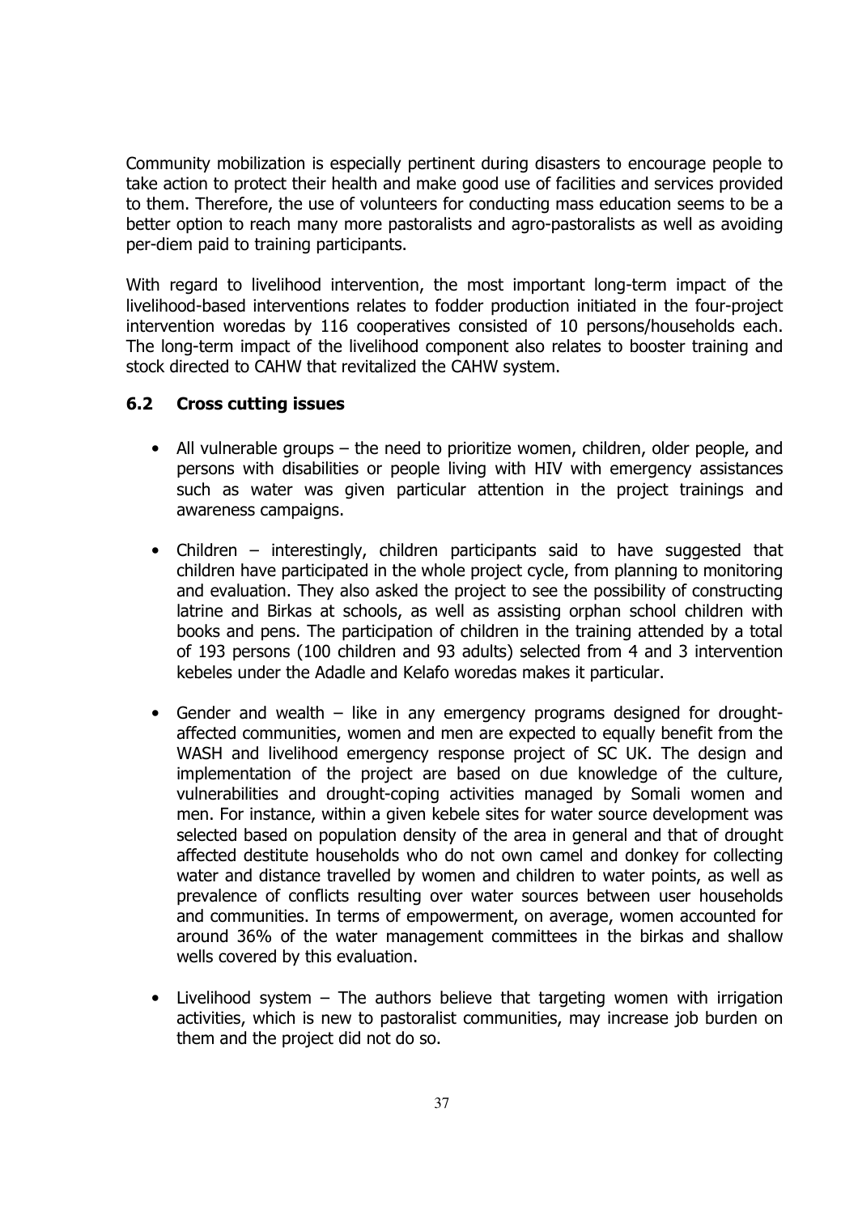Community mobilization is especially pertinent during disasters to encourage people to take action to protect their health and make good use of facilities and services provided to them. Therefore, the use of volunteers for conducting mass education seems to be a better option to reach many more pastoralists and agro-pastoralists as well as avoiding per-diem paid to training participants.

With regard to livelihood intervention, the most important long-term impact of the livelihood-based interventions relates to fodder production initiated in the four-project intervention woredas by 116 cooperatives consisted of 10 persons/households each. The long-term impact of the livelihood component also relates to booster training and stock directed to CAHW that revitalized the CAHW system.

### 6.2 Cross cutting issues

- All vulnerable groups the need to prioritize women, children, older people, and persons with disabilities or people living with HIV with emergency assistances such as water was given particular attention in the project trainings and awareness campaigns.
- Children interestingly, children participants said to have suggested that children have participated in the whole project cycle, from planning to monitoring and evaluation. They also asked the project to see the possibility of constructing latrine and Birkas at schools, as well as assisting orphan school children with books and pens. The participation of children in the training attended by a total of 193 persons (100 children and 93 adults) selected from 4 and 3 intervention kebeles under the Adadle and Kelafo woredas makes it particular.
- Gender and wealth like in any emergency programs designed for droughtaffected communities, women and men are expected to equally benefit from the WASH and livelihood emergency response project of SC UK. The design and implementation of the project are based on due knowledge of the culture, vulnerabilities and drought-coping activities managed by Somali women and men. For instance, within a given kebele sites for water source development was selected based on population density of the area in general and that of drought affected destitute households who do not own camel and donkey for collecting water and distance travelled by women and children to water points, as well as prevalence of conflicts resulting over water sources between user households and communities. In terms of empowerment, on average, women accounted for around 36% of the water management committees in the birkas and shallow wells covered by this evaluation.
- Livelihood system The authors believe that targeting women with irrigation activities, which is new to pastoralist communities, may increase job burden on them and the project did not do so.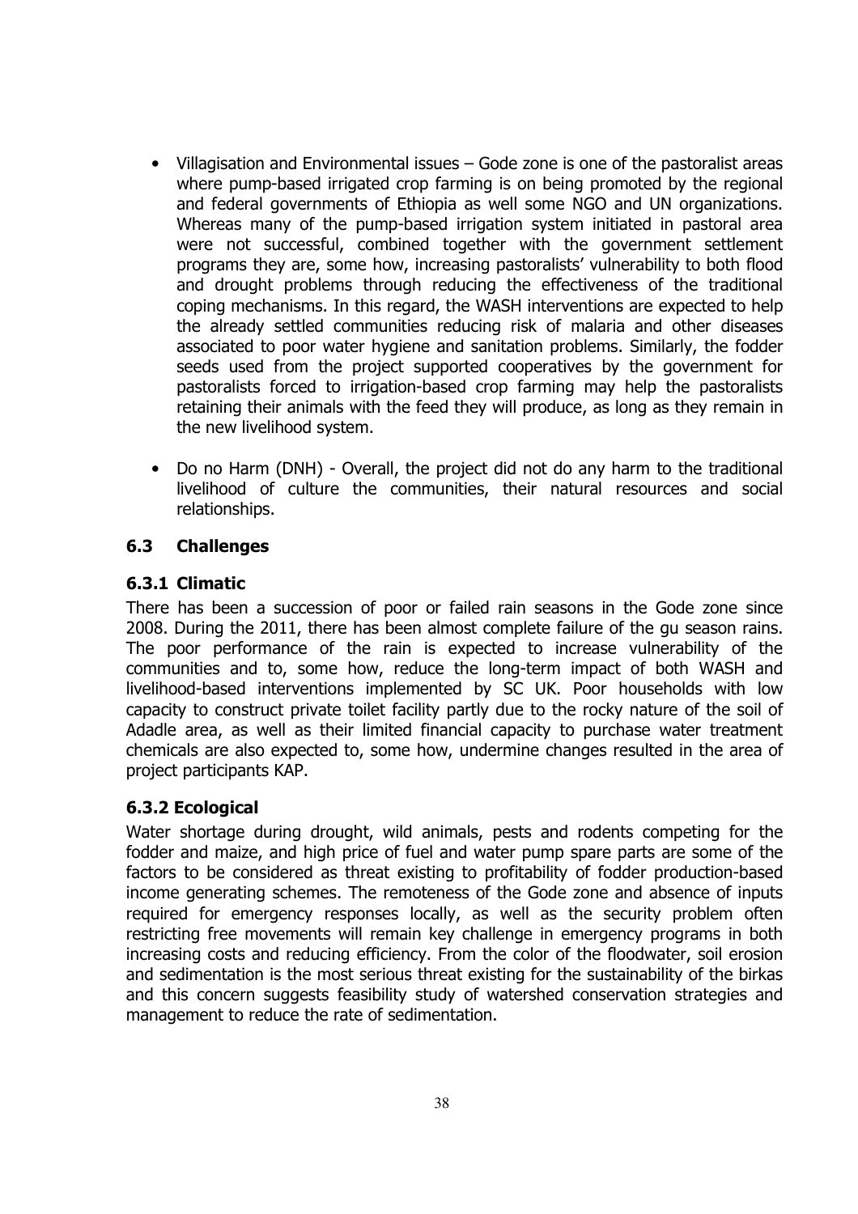- Villagisation and Environmental issues Gode zone is one of the pastoralist areas where pump-based irrigated crop farming is on being promoted by the regional and federal governments of Ethiopia as well some NGO and UN organizations. Whereas many of the pump-based irrigation system initiated in pastoral area were not successful, combined together with the government settlement programs they are, some how, increasing pastoralists' vulnerability to both flood and drought problems through reducing the effectiveness of the traditional coping mechanisms. In this regard, the WASH interventions are expected to help the already settled communities reducing risk of malaria and other diseases associated to poor water hygiene and sanitation problems. Similarly, the fodder seeds used from the project supported cooperatives by the government for pastoralists forced to irrigation-based crop farming may help the pastoralists retaining their animals with the feed they will produce, as long as they remain in the new livelihood system.
- Do no Harm (DNH) Overall, the project did not do any harm to the traditional livelihood of culture the communities, their natural resources and social relationships.

### 6.3 Challenges

### 6.3.1 Climatic

There has been a succession of poor or failed rain seasons in the Gode zone since 2008. During the 2011, there has been almost complete failure of the gu season rains. The poor performance of the rain is expected to increase vulnerability of the communities and to, some how, reduce the long-term impact of both WASH and livelihood-based interventions implemented by SC UK. Poor households with low capacity to construct private toilet facility partly due to the rocky nature of the soil of Adadle area, as well as their limited financial capacity to purchase water treatment chemicals are also expected to, some how, undermine changes resulted in the area of project participants KAP.

### 6.3.2 Ecological

Water shortage during drought, wild animals, pests and rodents competing for the fodder and maize, and high price of fuel and water pump spare parts are some of the factors to be considered as threat existing to profitability of fodder production-based income generating schemes. The remoteness of the Gode zone and absence of inputs required for emergency responses locally, as well as the security problem often restricting free movements will remain key challenge in emergency programs in both increasing costs and reducing efficiency. From the color of the floodwater, soil erosion and sedimentation is the most serious threat existing for the sustainability of the birkas and this concern suggests feasibility study of watershed conservation strategies and management to reduce the rate of sedimentation.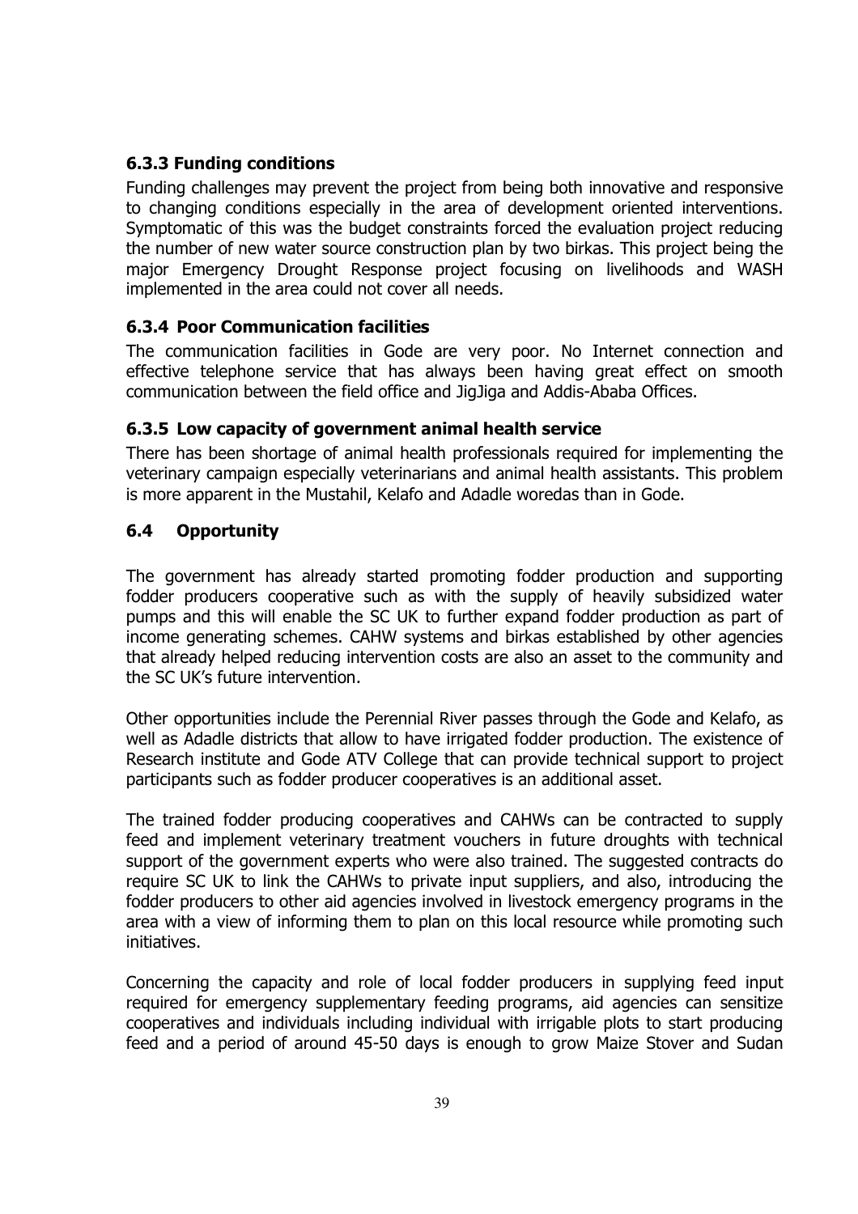## 6.3.3 Funding conditions

Funding challenges may prevent the project from being both innovative and responsive to changing conditions especially in the area of development oriented interventions. Symptomatic of this was the budget constraints forced the evaluation project reducing the number of new water source construction plan by two birkas. This project being the major Emergency Drought Response project focusing on livelihoods and WASH implemented in the area could not cover all needs.

## 6.3.4 Poor Communication facilities

The communication facilities in Gode are very poor. No Internet connection and effective telephone service that has always been having great effect on smooth communication between the field office and JigJiga and Addis-Ababa Offices.

### 6.3.5 Low capacity of government animal health service

There has been shortage of animal health professionals required for implementing the veterinary campaign especially veterinarians and animal health assistants. This problem is more apparent in the Mustahil, Kelafo and Adadle woredas than in Gode.

## 6.4 Opportunity

The government has already started promoting fodder production and supporting fodder producers cooperative such as with the supply of heavily subsidized water pumps and this will enable the SC UK to further expand fodder production as part of income generating schemes. CAHW systems and birkas established by other agencies that already helped reducing intervention costs are also an asset to the community and the SC UK's future intervention.

Other opportunities include the Perennial River passes through the Gode and Kelafo, as well as Adadle districts that allow to have irrigated fodder production. The existence of Research institute and Gode ATV College that can provide technical support to project participants such as fodder producer cooperatives is an additional asset.

The trained fodder producing cooperatives and CAHWs can be contracted to supply feed and implement veterinary treatment vouchers in future droughts with technical support of the government experts who were also trained. The suggested contracts do require SC UK to link the CAHWs to private input suppliers, and also, introducing the fodder producers to other aid agencies involved in livestock emergency programs in the area with a view of informing them to plan on this local resource while promoting such initiatives.

Concerning the capacity and role of local fodder producers in supplying feed input required for emergency supplementary feeding programs, aid agencies can sensitize cooperatives and individuals including individual with irrigable plots to start producing feed and a period of around 45-50 days is enough to grow Maize Stover and Sudan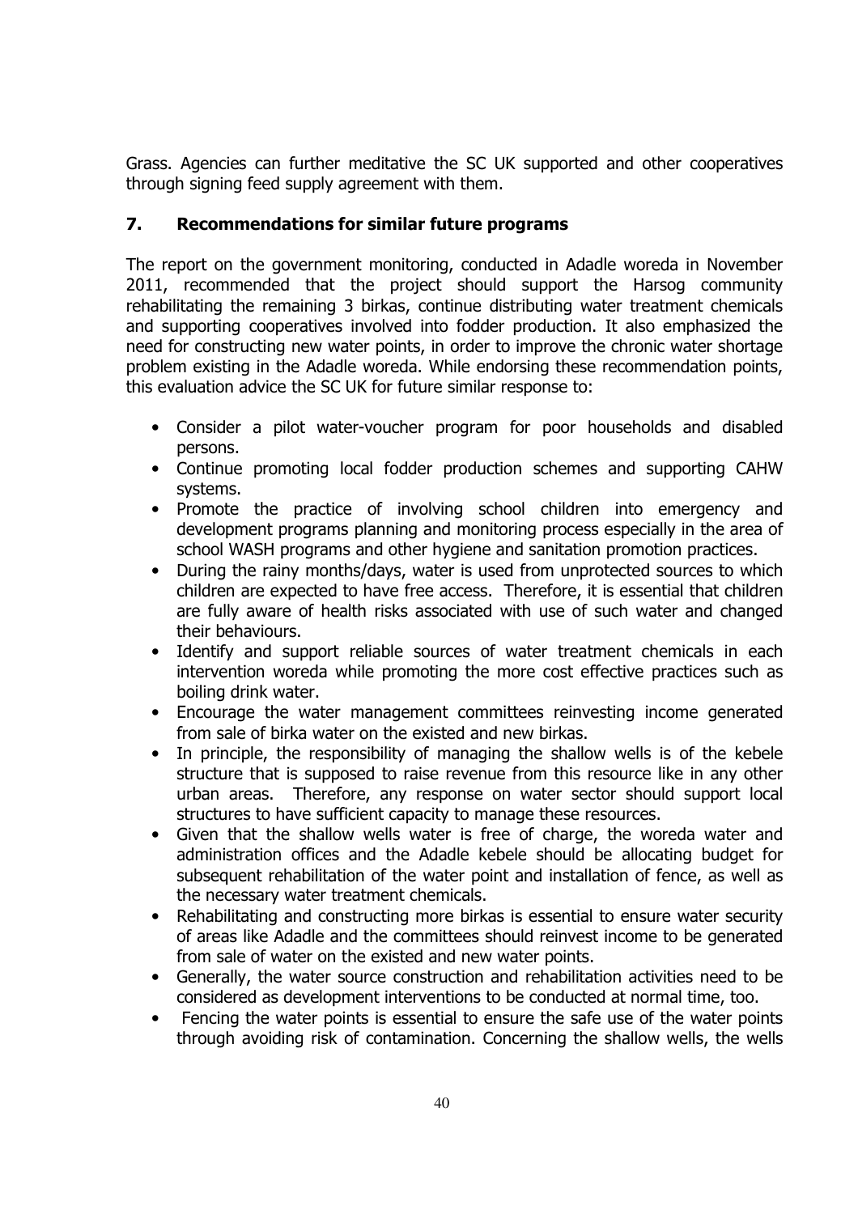Grass. Agencies can further meditative the SC UK supported and other cooperatives through signing feed supply agreement with them.

## 7. Recommendations for similar future programs

The report on the government monitoring, conducted in Adadle woreda in November 2011, recommended that the project should support the Harsog community rehabilitating the remaining 3 birkas, continue distributing water treatment chemicals and supporting cooperatives involved into fodder production. It also emphasized the need for constructing new water points, in order to improve the chronic water shortage problem existing in the Adadle woreda. While endorsing these recommendation points, this evaluation advice the SC UK for future similar response to:

- Consider a pilot water-voucher program for poor households and disabled persons.
- Continue promoting local fodder production schemes and supporting CAHW systems.
- Promote the practice of involving school children into emergency and development programs planning and monitoring process especially in the area of school WASH programs and other hygiene and sanitation promotion practices.
- During the rainy months/days, water is used from unprotected sources to which children are expected to have free access. Therefore, it is essential that children are fully aware of health risks associated with use of such water and changed their behaviours.
- Identify and support reliable sources of water treatment chemicals in each intervention woreda while promoting the more cost effective practices such as boiling drink water.
- Encourage the water management committees reinvesting income generated from sale of birka water on the existed and new birkas.
- In principle, the responsibility of managing the shallow wells is of the kebele structure that is supposed to raise revenue from this resource like in any other urban areas. Therefore, any response on water sector should support local structures to have sufficient capacity to manage these resources.
- Given that the shallow wells water is free of charge, the woreda water and administration offices and the Adadle kebele should be allocating budget for subsequent rehabilitation of the water point and installation of fence, as well as the necessary water treatment chemicals.
- Rehabilitating and constructing more birkas is essential to ensure water security of areas like Adadle and the committees should reinvest income to be generated from sale of water on the existed and new water points.
- Generally, the water source construction and rehabilitation activities need to be considered as development interventions to be conducted at normal time, too.
- Fencing the water points is essential to ensure the safe use of the water points through avoiding risk of contamination. Concerning the shallow wells, the wells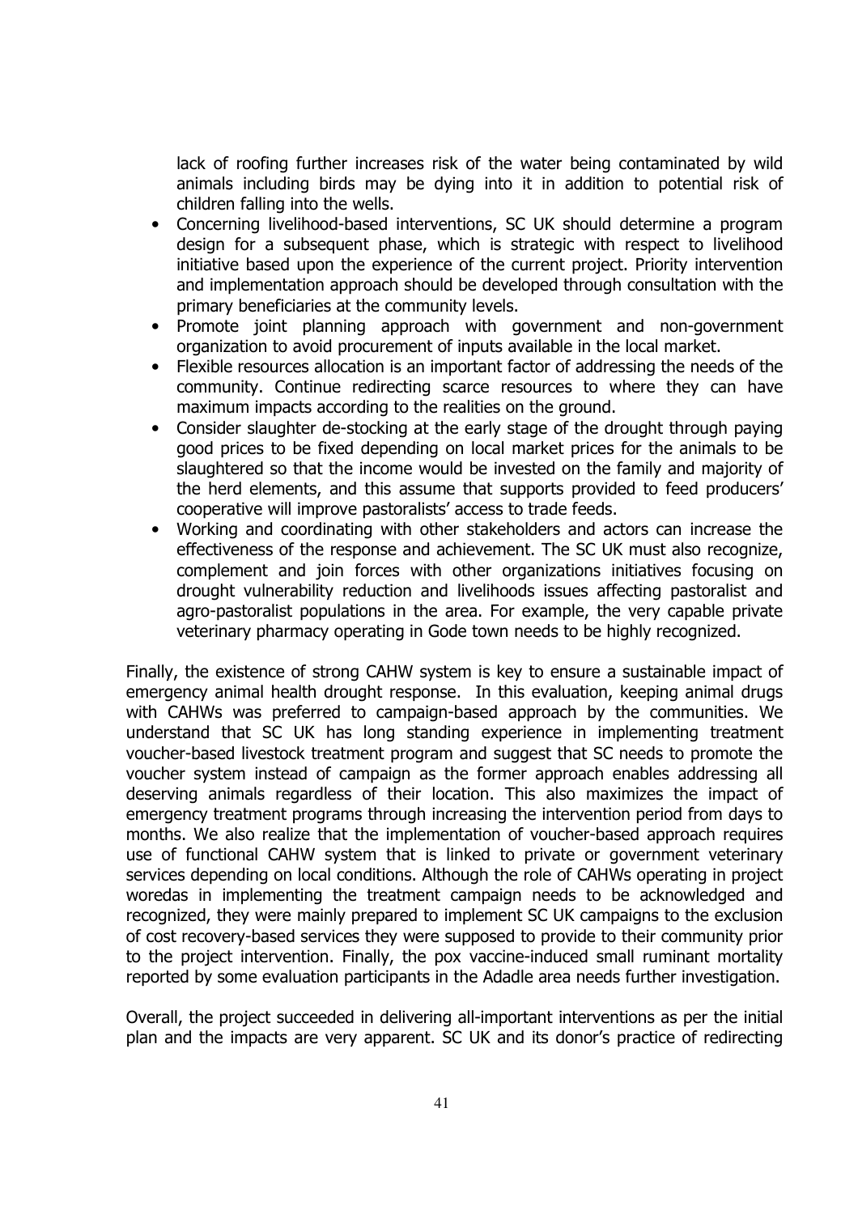lack of roofing further increases risk of the water being contaminated by wild animals including birds may be dying into it in addition to potential risk of children falling into the wells.

- Concerning livelihood-based interventions, SC UK should determine a program design for a subsequent phase, which is strategic with respect to livelihood initiative based upon the experience of the current project. Priority intervention and implementation approach should be developed through consultation with the primary beneficiaries at the community levels.
- Promote joint planning approach with government and non-government organization to avoid procurement of inputs available in the local market.
- Flexible resources allocation is an important factor of addressing the needs of the community. Continue redirecting scarce resources to where they can have maximum impacts according to the realities on the ground.
- Consider slaughter de-stocking at the early stage of the drought through paying good prices to be fixed depending on local market prices for the animals to be slaughtered so that the income would be invested on the family and majority of the herd elements, and this assume that supports provided to feed producers' cooperative will improve pastoralists' access to trade feeds.
- Working and coordinating with other stakeholders and actors can increase the effectiveness of the response and achievement. The SC UK must also recognize, complement and join forces with other organizations initiatives focusing on drought vulnerability reduction and livelihoods issues affecting pastoralist and agro-pastoralist populations in the area. For example, the very capable private veterinary pharmacy operating in Gode town needs to be highly recognized.

Finally, the existence of strong CAHW system is key to ensure a sustainable impact of emergency animal health drought response. In this evaluation, keeping animal drugs with CAHWs was preferred to campaign-based approach by the communities. We understand that SC UK has long standing experience in implementing treatment voucher-based livestock treatment program and suggest that SC needs to promote the voucher system instead of campaign as the former approach enables addressing all deserving animals regardless of their location. This also maximizes the impact of emergency treatment programs through increasing the intervention period from days to months. We also realize that the implementation of voucher-based approach requires use of functional CAHW system that is linked to private or government veterinary services depending on local conditions. Although the role of CAHWs operating in project woredas in implementing the treatment campaign needs to be acknowledged and recognized, they were mainly prepared to implement SC UK campaigns to the exclusion of cost recovery-based services they were supposed to provide to their community prior to the project intervention. Finally, the pox vaccine-induced small ruminant mortality reported by some evaluation participants in the Adadle area needs further investigation.

Overall, the project succeeded in delivering all-important interventions as per the initial plan and the impacts are very apparent. SC UK and its donor's practice of redirecting